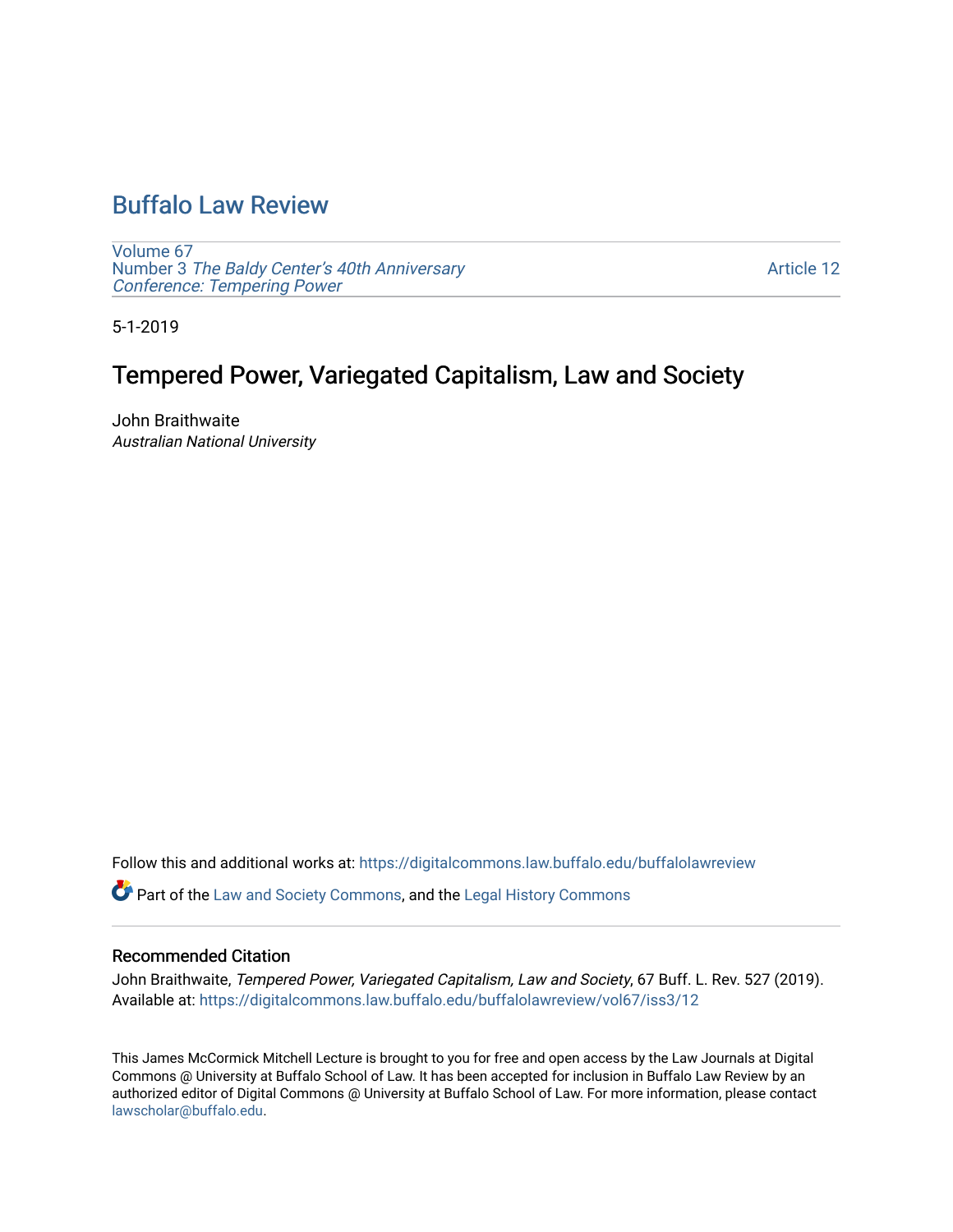# [Buffalo Law Review](https://digitalcommons.law.buffalo.edu/buffalolawreview)

[Volume 67](https://digitalcommons.law.buffalo.edu/buffalolawreview/vol67) Number 3 [The Baldy Center's 40th Anniversary](https://digitalcommons.law.buffalo.edu/buffalolawreview/vol67/iss3) [Conference: Tempering Power](https://digitalcommons.law.buffalo.edu/buffalolawreview/vol67/iss3)

[Article 12](https://digitalcommons.law.buffalo.edu/buffalolawreview/vol67/iss3/12) 

5-1-2019

# Tempered Power, Variegated Capitalism, Law and Society

John Braithwaite Australian National University

Follow this and additional works at: [https://digitalcommons.law.buffalo.edu/buffalolawreview](https://digitalcommons.law.buffalo.edu/buffalolawreview?utm_source=digitalcommons.law.buffalo.edu%2Fbuffalolawreview%2Fvol67%2Fiss3%2F12&utm_medium=PDF&utm_campaign=PDFCoverPages) 

Part of the [Law and Society Commons](http://network.bepress.com/hgg/discipline/853?utm_source=digitalcommons.law.buffalo.edu%2Fbuffalolawreview%2Fvol67%2Fiss3%2F12&utm_medium=PDF&utm_campaign=PDFCoverPages), and the [Legal History Commons](http://network.bepress.com/hgg/discipline/904?utm_source=digitalcommons.law.buffalo.edu%2Fbuffalolawreview%2Fvol67%2Fiss3%2F12&utm_medium=PDF&utm_campaign=PDFCoverPages)

#### Recommended Citation

John Braithwaite, Tempered Power, Variegated Capitalism, Law and Society, 67 Buff. L. Rev. 527 (2019). Available at: [https://digitalcommons.law.buffalo.edu/buffalolawreview/vol67/iss3/12](https://digitalcommons.law.buffalo.edu/buffalolawreview/vol67/iss3/12?utm_source=digitalcommons.law.buffalo.edu%2Fbuffalolawreview%2Fvol67%2Fiss3%2F12&utm_medium=PDF&utm_campaign=PDFCoverPages)

This James McCormick Mitchell Lecture is brought to you for free and open access by the Law Journals at Digital Commons @ University at Buffalo School of Law. It has been accepted for inclusion in Buffalo Law Review by an authorized editor of Digital Commons @ University at Buffalo School of Law. For more information, please contact [lawscholar@buffalo.edu](mailto:lawscholar@buffalo.edu).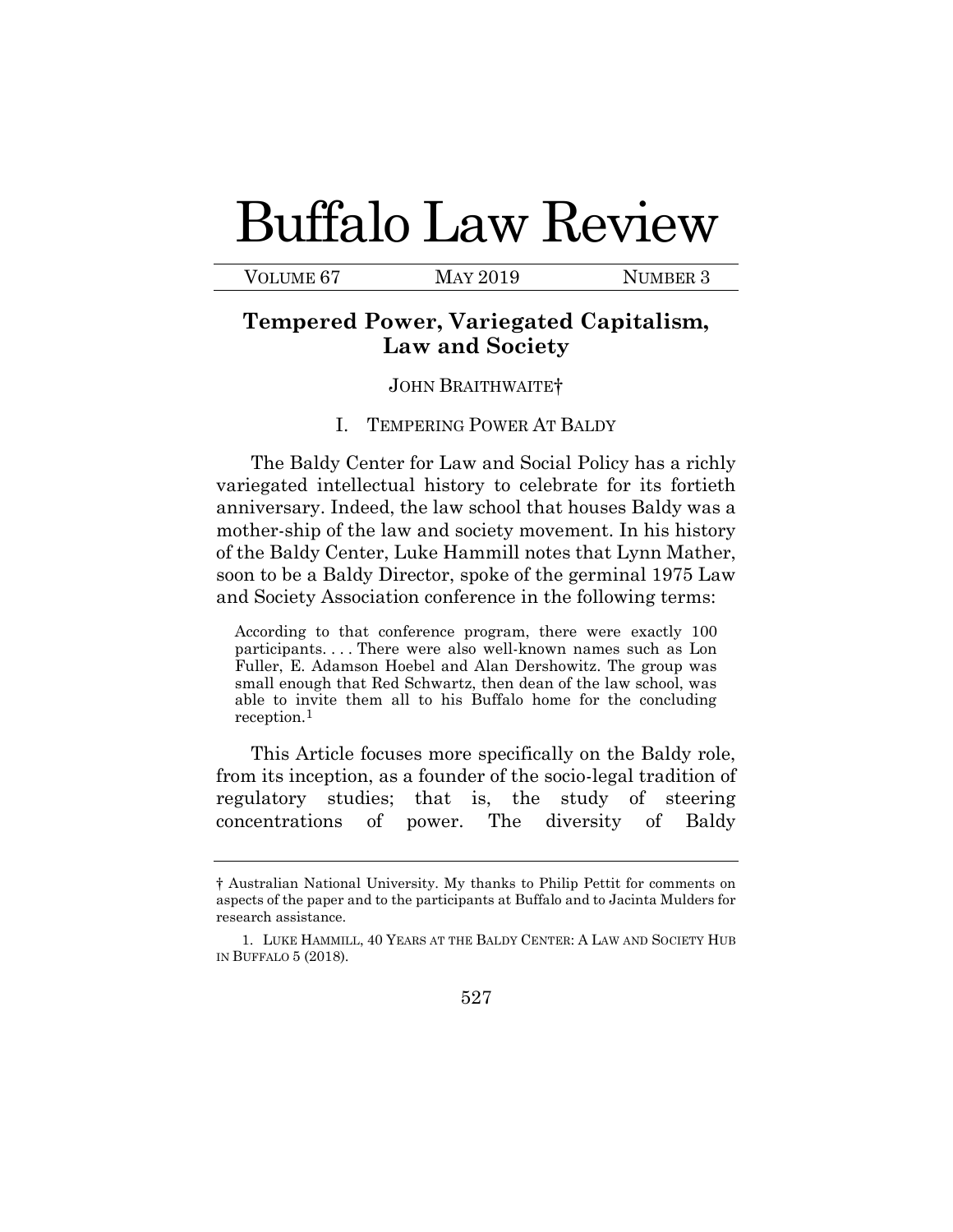# Buffalo Law Review

VOLUME 67 MAY 2019 NUMBER 3

# **Tempered Power, Variegated Capitalism, Law and Society**

#### JOHN BRAITHWAITE†

# I. TEMPERING POWER AT BALDY

The Baldy Center for Law and Social Policy has a richly variegated intellectual history to celebrate for its fortieth anniversary. Indeed, the law school that houses Baldy was a mother-ship of the law and society movement. In his history of the Baldy Center, Luke Hammill notes that Lynn Mather, soon to be a Baldy Director, spoke of the germinal 1975 Law and Society Association conference in the following terms:

According to that conference program, there were exactly 100 participants. . . . There were also well-known names such as Lon Fuller, E. Adamson Hoebel and Alan Dershowitz. The group was small enough that Red Schwartz, then dean of the law school, was able to invite them all to his Buffalo home for the concluding reception.<sup>1</sup>

This Article focuses more specifically on the Baldy role, from its inception, as a founder of the socio-legal tradition of regulatory studies; that is, the study of steering concentrations of power. The diversity of Baldy

<sup>†</sup> Australian National University. My thanks to Philip Pettit for comments on aspects of the paper and to the participants at Buffalo and to Jacinta Mulders for research assistance.

<sup>1.</sup> LUKE HAMMILL, 40 YEARS AT THE BALDY CENTER: A LAW AND SOCIETY HUB IN BUFFALO 5 (2018).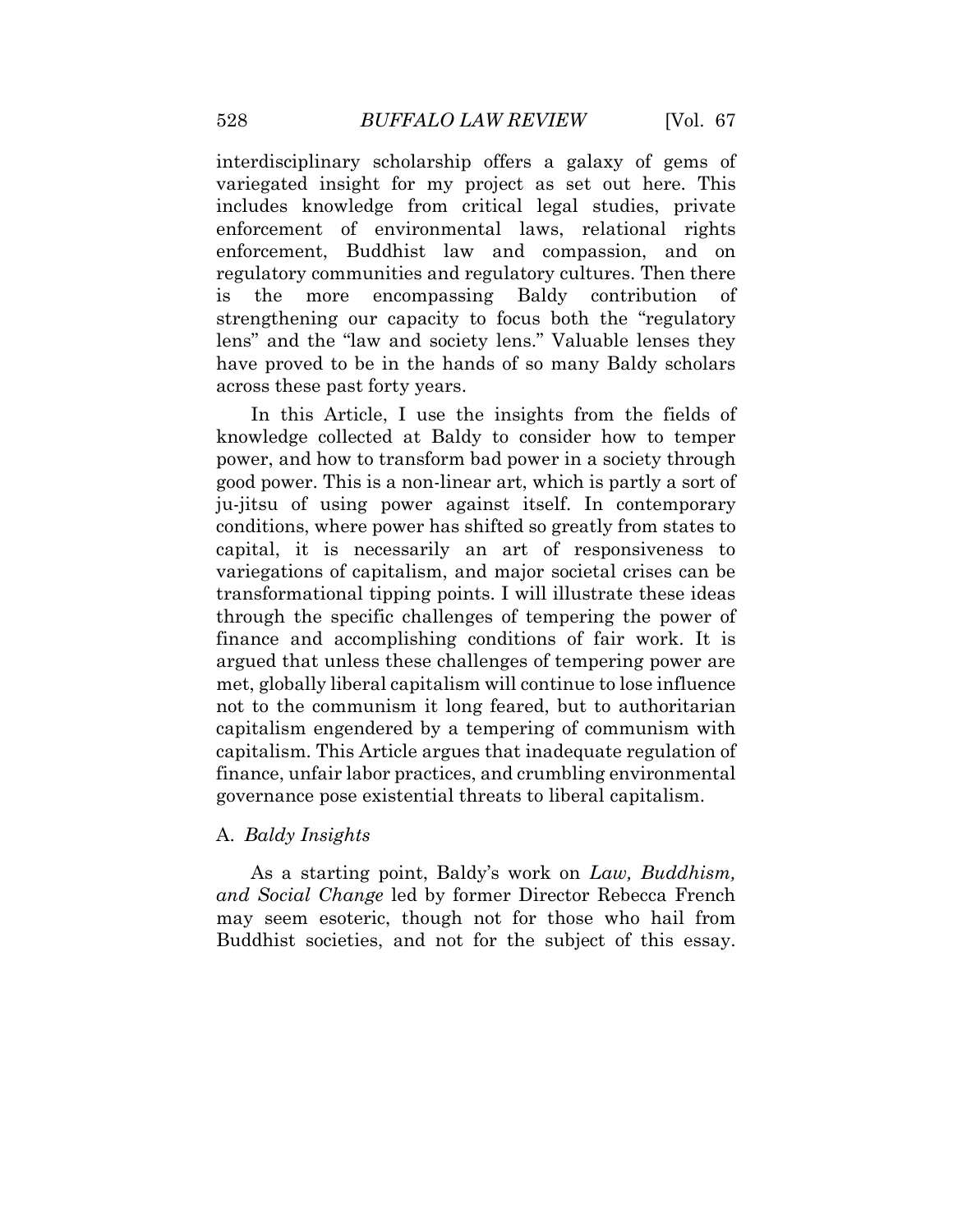interdisciplinary scholarship offers a galaxy of gems of variegated insight for my project as set out here. This includes knowledge from critical legal studies, private enforcement of environmental laws, relational rights enforcement, Buddhist law and compassion, and on regulatory communities and regulatory cultures. Then there is the more encompassing Baldy contribution of strengthening our capacity to focus both the "regulatory lens" and the "law and society lens." Valuable lenses they have proved to be in the hands of so many Baldy scholars across these past forty years.

In this Article, I use the insights from the fields of knowledge collected at Baldy to consider how to temper power, and how to transform bad power in a society through good power. This is a non-linear art, which is partly a sort of ju-jitsu of using power against itself. In contemporary conditions, where power has shifted so greatly from states to capital, it is necessarily an art of responsiveness to variegations of capitalism, and major societal crises can be transformational tipping points. I will illustrate these ideas through the specific challenges of tempering the power of finance and accomplishing conditions of fair work. It is argued that unless these challenges of tempering power are met, globally liberal capitalism will continue to lose influence not to the communism it long feared, but to authoritarian capitalism engendered by a tempering of communism with capitalism. This Article argues that inadequate regulation of finance, unfair labor practices, and crumbling environmental governance pose existential threats to liberal capitalism.

# A. *Baldy Insights*

As a starting point, Baldy's work on *Law, Buddhism, and Social Change* led by former Director Rebecca French may seem esoteric, though not for those who hail from Buddhist societies, and not for the subject of this essay.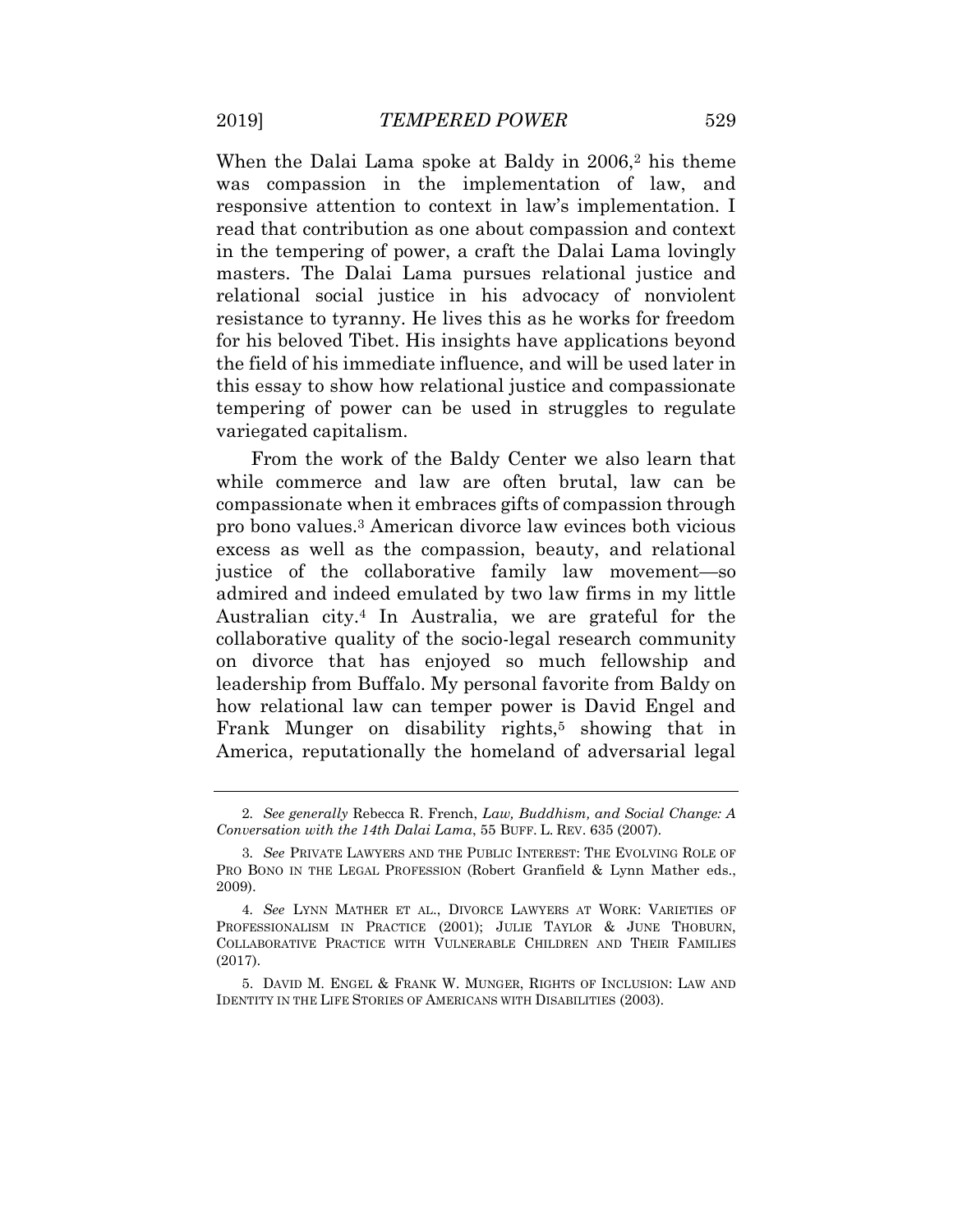When the Dalai Lama spoke at Baldy in 2006,<sup>2</sup> his theme was compassion in the implementation of law, and responsive attention to context in law's implementation. I read that contribution as one about compassion and context in the tempering of power, a craft the Dalai Lama lovingly masters. The Dalai Lama pursues relational justice and relational social justice in his advocacy of nonviolent resistance to tyranny. He lives this as he works for freedom for his beloved Tibet. His insights have applications beyond the field of his immediate influence, and will be used later in this essay to show how relational justice and compassionate tempering of power can be used in struggles to regulate variegated capitalism.

From the work of the Baldy Center we also learn that while commerce and law are often brutal, law can be compassionate when it embraces gifts of compassion through pro bono values.<sup>3</sup> American divorce law evinces both vicious excess as well as the compassion, beauty, and relational justice of the collaborative family law movement—so admired and indeed emulated by two law firms in my little Australian city.<sup>4</sup> In Australia, we are grateful for the collaborative quality of the socio-legal research community on divorce that has enjoyed so much fellowship and leadership from Buffalo. My personal favorite from Baldy on how relational law can temper power is David Engel and Frank Munger on disability rights,<sup>5</sup> showing that in America, reputationally the homeland of adversarial legal

<sup>2</sup>*. See generally* Rebecca R. French, *Law, Buddhism, and Social Change: A Conversation with the 14th Dalai Lama*, 55 BUFF. L. REV. 635 (2007).

<sup>3</sup>*. See* PRIVATE LAWYERS AND THE PUBLIC INTEREST: THE EVOLVING ROLE OF PRO BONO IN THE LEGAL PROFESSION (Robert Granfield & Lynn Mather eds., 2009).

<sup>4</sup>*. See* LYNN MATHER ET AL., DIVORCE LAWYERS AT WORK: VARIETIES OF PROFESSIONALISM IN PRACTICE (2001); JULIE TAYLOR & JUNE THOBURN, COLLABORATIVE PRACTICE WITH VULNERABLE CHILDREN AND THEIR FAMILIES (2017).

<sup>5.</sup> DAVID M. ENGEL & FRANK W. MUNGER, RIGHTS OF INCLUSION: LAW AND IDENTITY IN THE LIFE STORIES OF AMERICANS WITH DISABILITIES (2003).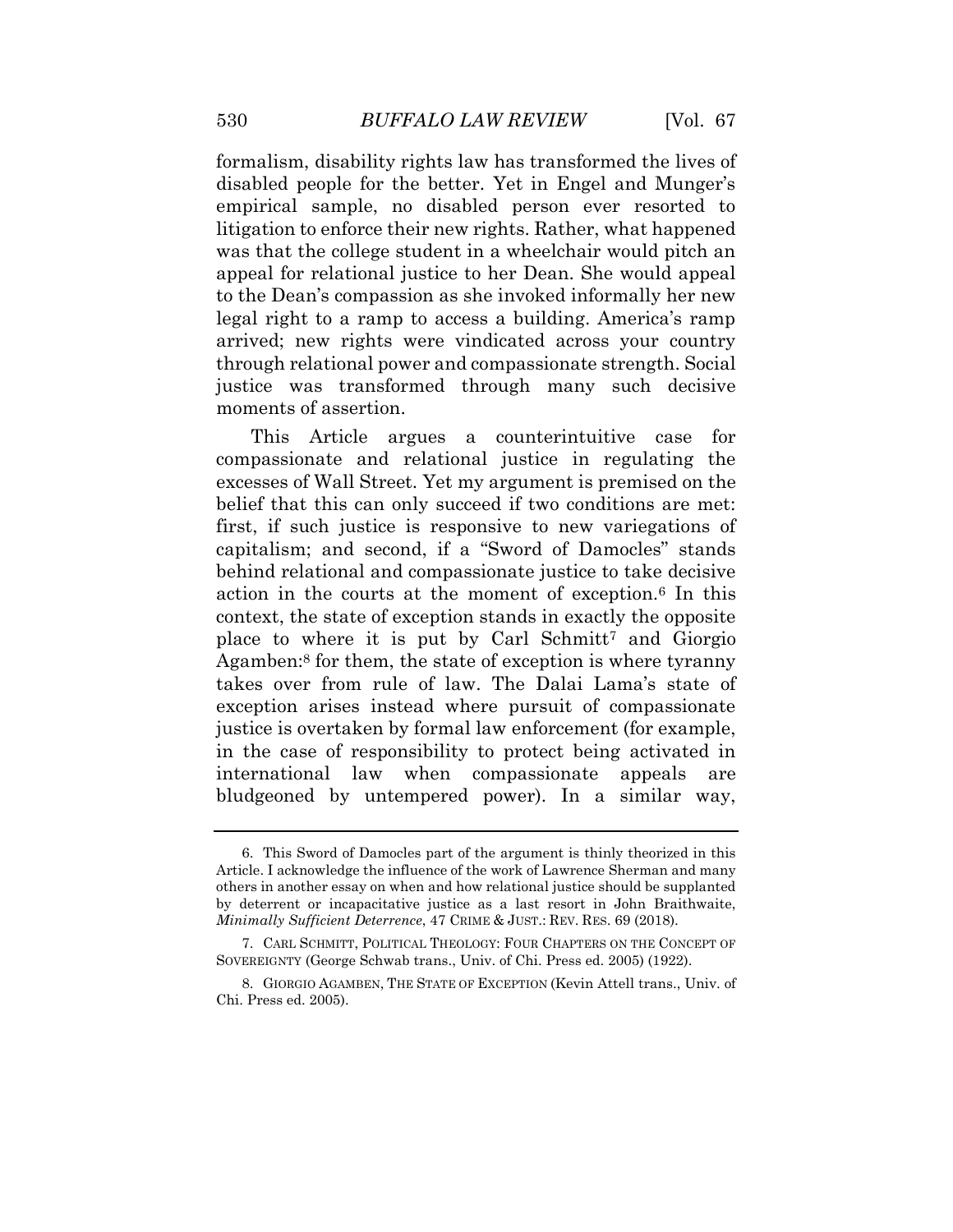formalism, disability rights law has transformed the lives of disabled people for the better. Yet in Engel and Munger's empirical sample, no disabled person ever resorted to litigation to enforce their new rights. Rather, what happened was that the college student in a wheelchair would pitch an appeal for relational justice to her Dean. She would appeal to the Dean's compassion as she invoked informally her new legal right to a ramp to access a building. America's ramp arrived; new rights were vindicated across your country through relational power and compassionate strength. Social justice was transformed through many such decisive moments of assertion.

This Article argues a counterintuitive case for compassionate and relational justice in regulating the excesses of Wall Street. Yet my argument is premised on the belief that this can only succeed if two conditions are met: first, if such justice is responsive to new variegations of capitalism; and second, if a "Sword of Damocles" stands behind relational and compassionate justice to take decisive action in the courts at the moment of exception.<sup>6</sup> In this context, the state of exception stands in exactly the opposite place to where it is put by Carl Schmitt<sup>7</sup> and Giorgio Agamben:<sup>8</sup> for them, the state of exception is where tyranny takes over from rule of law. The Dalai Lama's state of exception arises instead where pursuit of compassionate justice is overtaken by formal law enforcement (for example, in the case of responsibility to protect being activated in international law when compassionate appeals are bludgeoned by untempered power). In a similar way,

<sup>6.</sup> This Sword of Damocles part of the argument is thinly theorized in this Article. I acknowledge the influence of the work of Lawrence Sherman and many others in another essay on when and how relational justice should be supplanted by deterrent or incapacitative justice as a last resort in John Braithwaite, *Minimally Sufficient Deterrence*, 47 CRIME & JUST.: REV. RES. 69 (2018).

<sup>7.</sup> CARL SCHMITT, POLITICAL THEOLOGY: FOUR CHAPTERS ON THE CONCEPT OF SOVEREIGNTY (George Schwab trans., Univ. of Chi. Press ed. 2005) (1922).

<sup>8.</sup> GIORGIO AGAMBEN, THE STATE OF EXCEPTION (Kevin Attell trans., Univ. of Chi. Press ed. 2005).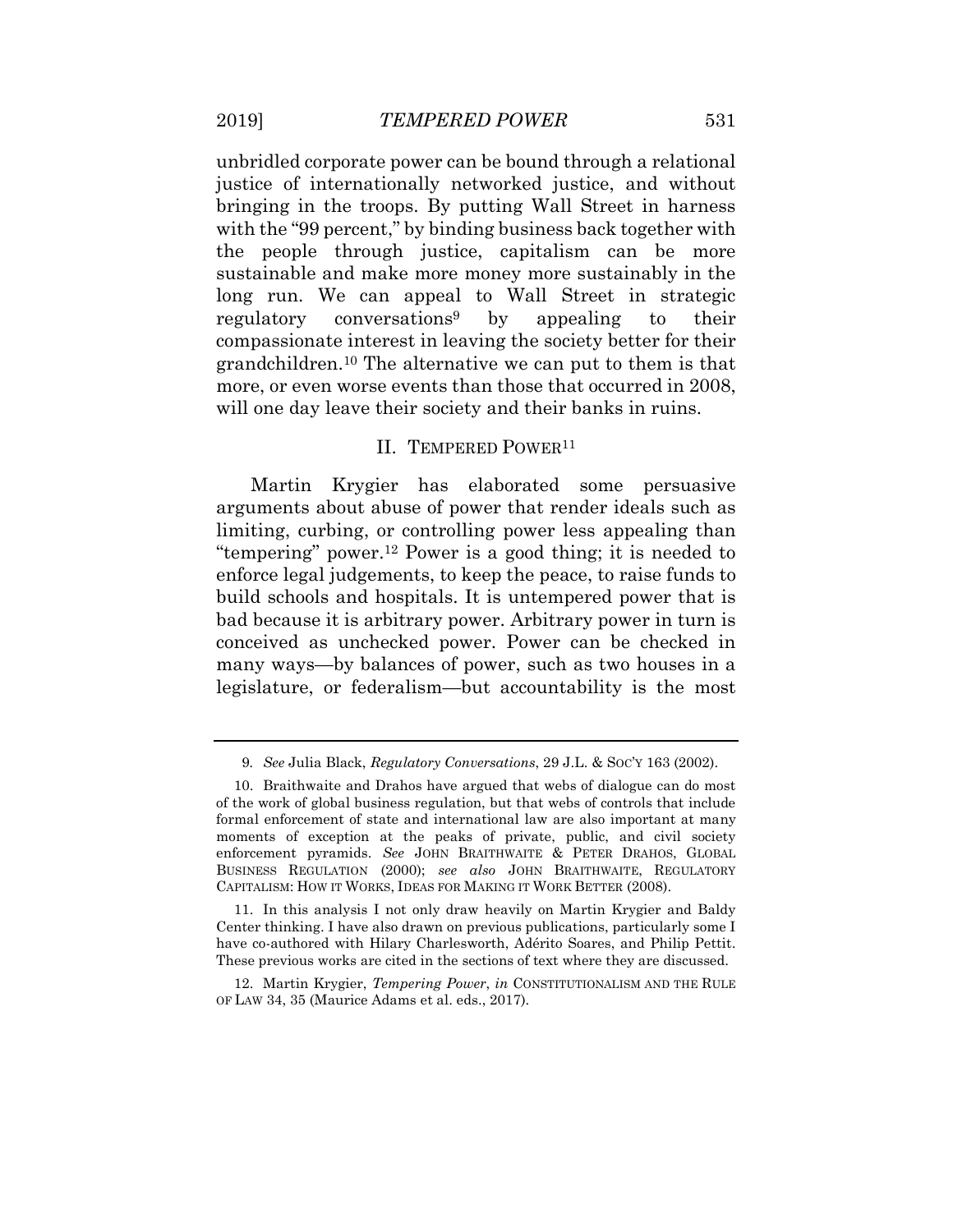unbridled corporate power can be bound through a relational justice of internationally networked justice, and without bringing in the troops. By putting Wall Street in harness with the "99 percent," by binding business back together with the people through justice, capitalism can be more sustainable and make more money more sustainably in the long run. We can appeal to Wall Street in strategic regulatory conversations<sup>9</sup> by appealing to their compassionate interest in leaving the society better for their grandchildren.<sup>10</sup> The alternative we can put to them is that more, or even worse events than those that occurred in 2008, will one day leave their society and their banks in ruins.

#### II. TEMPERED POWER<sup>11</sup>

Martin Krygier has elaborated some persuasive arguments about abuse of power that render ideals such as limiting, curbing, or controlling power less appealing than "tempering" power.<sup>12</sup> Power is a good thing; it is needed to enforce legal judgements, to keep the peace, to raise funds to build schools and hospitals. It is untempered power that is bad because it is arbitrary power. Arbitrary power in turn is conceived as unchecked power. Power can be checked in many ways—by balances of power, such as two houses in a legislature, or federalism—but accountability is the most

11. In this analysis I not only draw heavily on Martin Krygier and Baldy Center thinking. I have also drawn on previous publications, particularly some I have co-authored with Hilary Charlesworth, Adérito Soares, and Philip Pettit. These previous works are cited in the sections of text where they are discussed.

12. Martin Krygier, *Tempering Power*, *in* CONSTITUTIONALISM AND THE RULE OF LAW 34, 35 (Maurice Adams et al. eds., 2017).

<sup>9</sup>*. See* Julia Black, *Regulatory Conversations*, 29 J.L. & SOC'Y 163 (2002).

<sup>10.</sup> Braithwaite and Drahos have argued that webs of dialogue can do most of the work of global business regulation, but that webs of controls that include formal enforcement of state and international law are also important at many moments of exception at the peaks of private, public, and civil society enforcement pyramids. *See* JOHN BRAITHWAITE & PETER DRAHOS, GLOBAL BUSINESS REGULATION (2000); *see also* JOHN BRAITHWAITE, REGULATORY CAPITALISM: HOW IT WORKS, IDEAS FOR MAKING IT WORK BETTER (2008).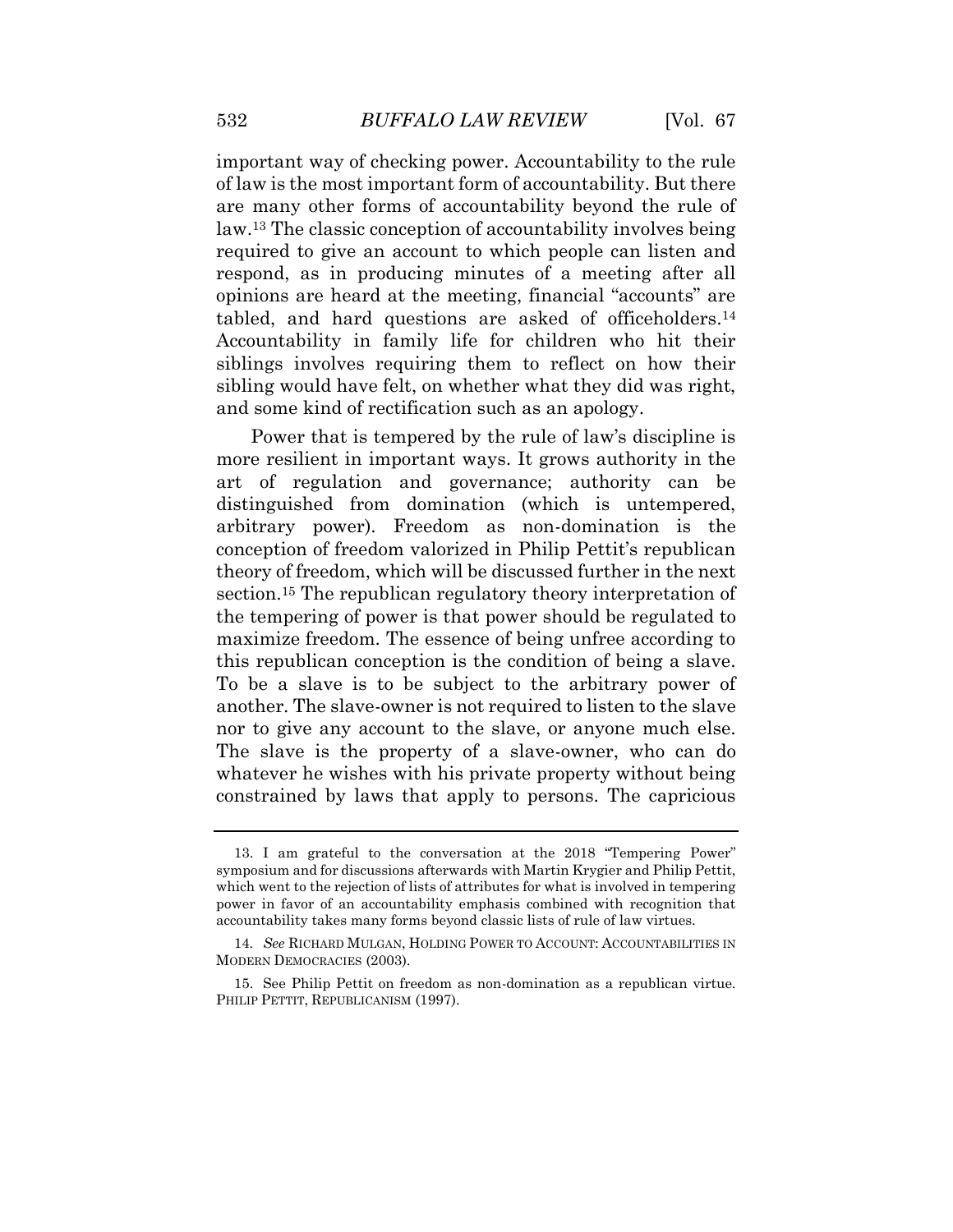important way of checking power. Accountability to the rule of law is the most important form of accountability. But there are many other forms of accountability beyond the rule of law.<sup>13</sup> The classic conception of accountability involves being required to give an account to which people can listen and respond, as in producing minutes of a meeting after all opinions are heard at the meeting, financial "accounts" are tabled, and hard questions are asked of officeholders.<sup>14</sup> Accountability in family life for children who hit their siblings involves requiring them to reflect on how their sibling would have felt, on whether what they did was right, and some kind of rectification such as an apology.

Power that is tempered by the rule of law's discipline is more resilient in important ways. It grows authority in the art of regulation and governance; authority can be distinguished from domination (which is untempered, arbitrary power). Freedom as non-domination is the conception of freedom valorized in Philip Pettit's republican theory of freedom, which will be discussed further in the next section.<sup>15</sup> The republican regulatory theory interpretation of the tempering of power is that power should be regulated to maximize freedom. The essence of being unfree according to this republican conception is the condition of being a slave. To be a slave is to be subject to the arbitrary power of another. The slave-owner is not required to listen to the slave nor to give any account to the slave, or anyone much else. The slave is the property of a slave-owner, who can do whatever he wishes with his private property without being constrained by laws that apply to persons. The capricious

<sup>13.</sup> I am grateful to the conversation at the 2018 "Tempering Power" symposium and for discussions afterwards with Martin Krygier and Philip Pettit, which went to the rejection of lists of attributes for what is involved in tempering power in favor of an accountability emphasis combined with recognition that accountability takes many forms beyond classic lists of rule of law virtues.

<sup>14</sup>*. See* RICHARD MULGAN, HOLDING POWER TO ACCOUNT: ACCOUNTABILITIES IN MODERN DEMOCRACIES (2003).

<sup>15.</sup> See Philip Pettit on freedom as non-domination as a republican virtue. PHILIP PETTIT, REPUBLICANISM (1997).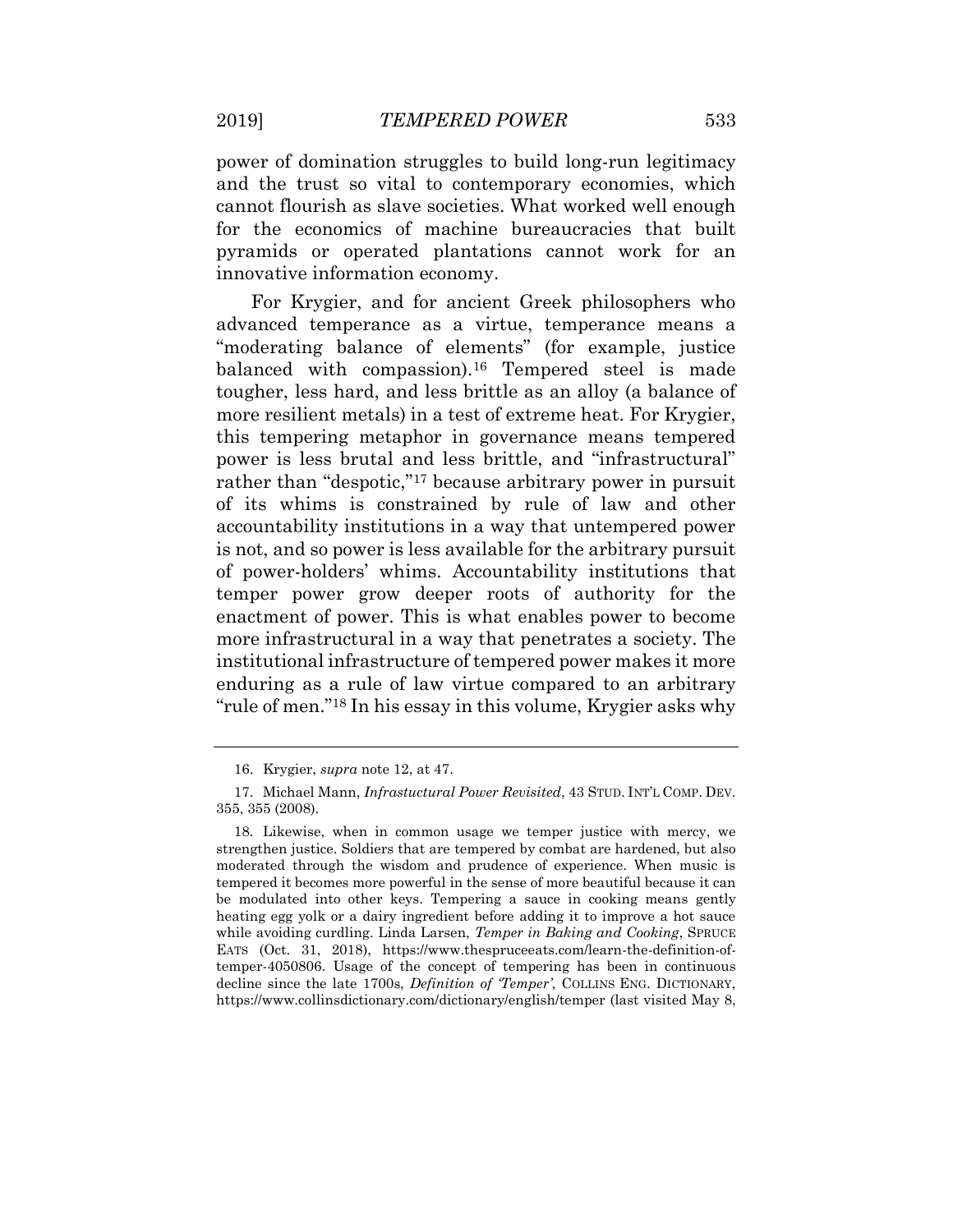power of domination struggles to build long-run legitimacy and the trust so vital to contemporary economies, which cannot flourish as slave societies. What worked well enough for the economics of machine bureaucracies that built pyramids or operated plantations cannot work for an innovative information economy.

For Krygier, and for ancient Greek philosophers who advanced temperance as a virtue, temperance means a "moderating balance of elements" (for example, justice balanced with compassion).<sup>16</sup> Tempered steel is made tougher, less hard, and less brittle as an alloy (a balance of more resilient metals) in a test of extreme heat. For Krygier, this tempering metaphor in governance means tempered power is less brutal and less brittle, and "infrastructural" rather than "despotic,"<sup>17</sup> because arbitrary power in pursuit of its whims is constrained by rule of law and other accountability institutions in a way that untempered power is not, and so power is less available for the arbitrary pursuit of power-holders' whims. Accountability institutions that temper power grow deeper roots of authority for the enactment of power. This is what enables power to become more infrastructural in a way that penetrates a society. The institutional infrastructure of tempered power makes it more enduring as a rule of law virtue compared to an arbitrary "rule of men."<sup>18</sup> In his essay in this volume, Krygier asks why

<sup>16.</sup> Krygier, *supra* note 12, at 47.

<sup>17.</sup> Michael Mann, *Infrastuctural Power Revisited*, 43 STUD. INT'L COMP. DEV. 355, 355 (2008).

<sup>18.</sup> Likewise, when in common usage we temper justice with mercy, we strengthen justice. Soldiers that are tempered by combat are hardened, but also moderated through the wisdom and prudence of experience. When music is tempered it becomes more powerful in the sense of more beautiful because it can be modulated into other keys. Tempering a sauce in cooking means gently heating egg yolk or a dairy ingredient before adding it to improve a hot sauce while avoiding curdling. Linda Larsen, *Temper in Baking and Cooking*, SPRUCE EATS (Oct. 31, 2018), https://www.thespruceeats.com/learn-the-definition-oftemper-4050806. Usage of the concept of tempering has been in continuous decline since the late 1700s, *Definition of 'Temper'*, COLLINS ENG. DICTIONARY, https://www.collinsdictionary.com/dictionary/english/temper (last visited May 8,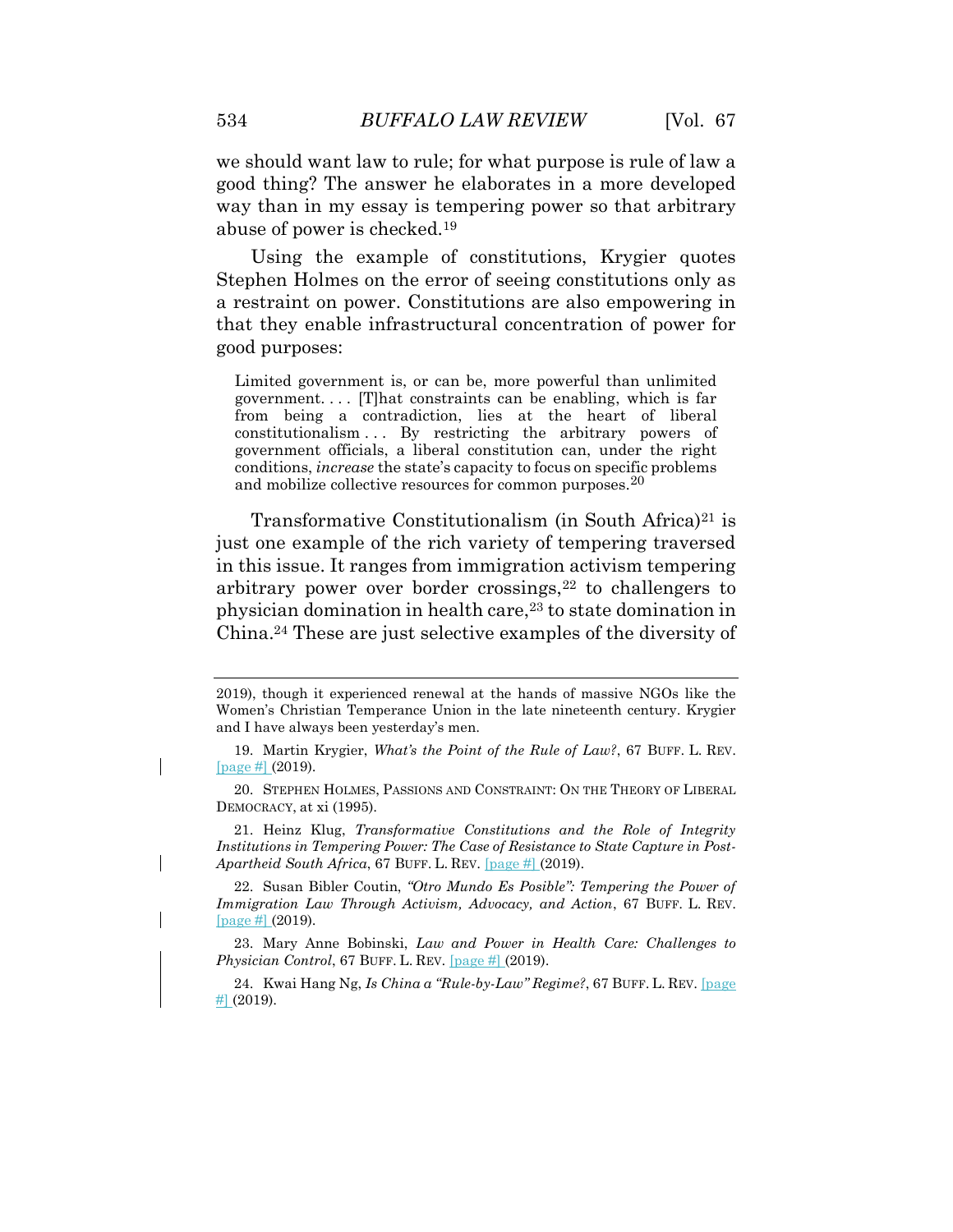we should want law to rule; for what purpose is rule of law a good thing? The answer he elaborates in a more developed way than in my essay is tempering power so that arbitrary abuse of power is checked.<sup>19</sup>

Using the example of constitutions, Krygier quotes Stephen Holmes on the error of seeing constitutions only as a restraint on power. Constitutions are also empowering in that they enable infrastructural concentration of power for good purposes:

Limited government is, or can be, more powerful than unlimited government. . . . [T]hat constraints can be enabling, which is far from being a contradiction, lies at the heart of liberal constitutionalism . . . By restricting the arbitrary powers of government officials, a liberal constitution can, under the right conditions, *increase* the state's capacity to focus on specific problems and mobilize collective resources for common purposes.<sup>20</sup>

Transformative Constitutionalism (in South Africa)<sup>21</sup> is just one example of the rich variety of tempering traversed in this issue. It ranges from immigration activism tempering arbitrary power over border crossings, $22$  to challengers to physician domination in health care,<sup>23</sup> to state domination in China.<sup>24</sup> These are just selective examples of the diversity of

21. Heinz Klug, *Transformative Constitutions and the Role of Integrity Institutions in Tempering Power: The Case of Resistance to State Capture in Post-Apartheid South Africa*, 67 BUFF. L. REV. [page #] (2019).

22. Susan Bibler Coutin, *"Otro Mundo Es Posible": Tempering the Power of Immigration Law Through Activism, Advocacy, and Action*, 67 BUFF. L. REV. [page #] (2019).

23. Mary Anne Bobinski, *Law and Power in Health Care: Challenges to Physician Control*, 67 BUFF. L. REV. [page #] (2019).

24. Kwai Hang Ng, *Is China a "Rule-by-Law" Regime?*, 67 BUFF. L. REV. [page  $#$  (2019).

<sup>2019),</sup> though it experienced renewal at the hands of massive NGOs like the Women's Christian Temperance Union in the late nineteenth century. Krygier and I have always been yesterday's men.

<sup>19.</sup> Martin Krygier, *What's the Point of the Rule of Law?*, 67 BUFF. L. REV. [page #] (2019).

<sup>20.</sup> STEPHEN HOLMES, PASSIONS AND CONSTRAINT: ON THE THEORY OF LIBERAL DEMOCRACY, at xi (1995).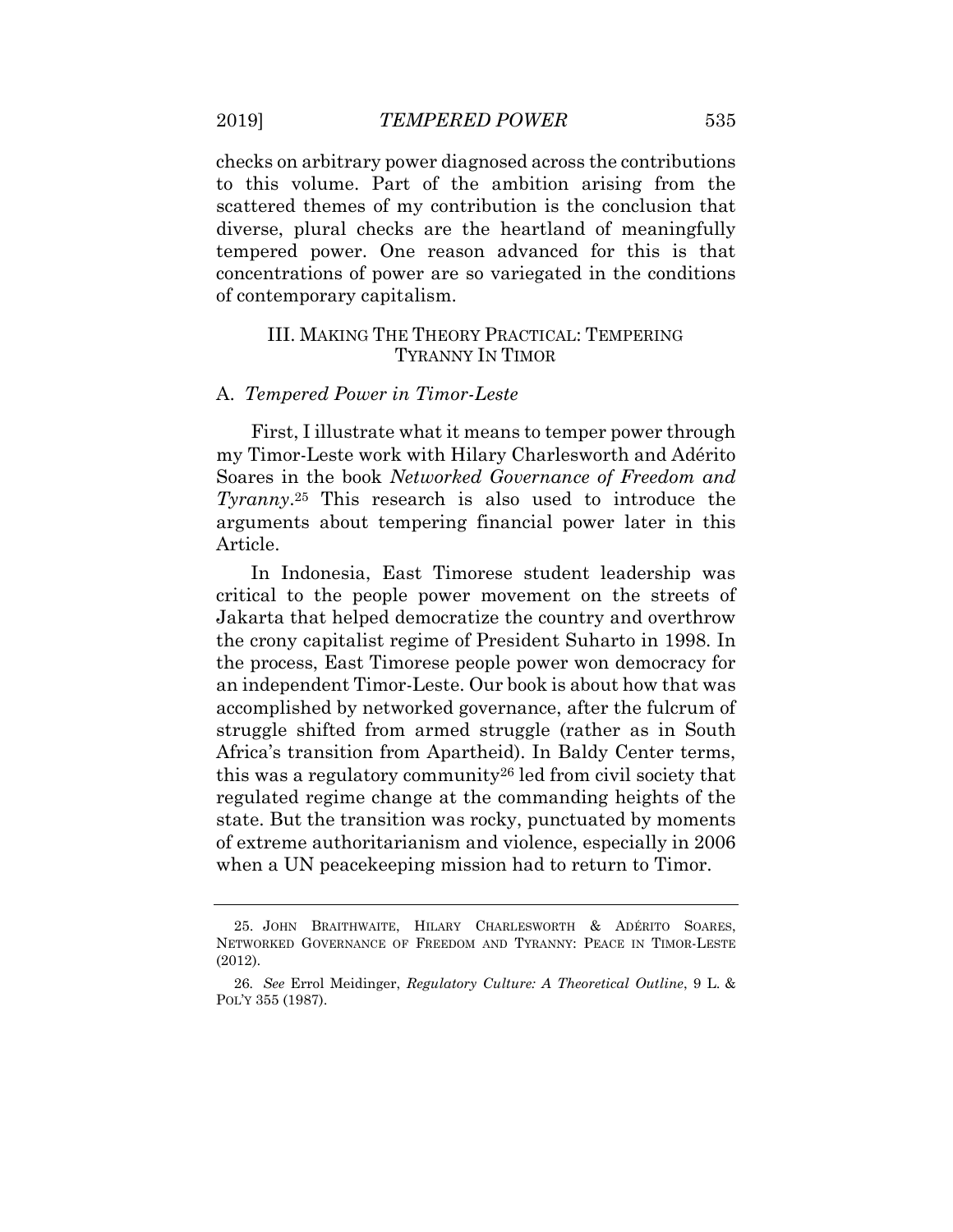checks on arbitrary power diagnosed across the contributions to this volume. Part of the ambition arising from the scattered themes of my contribution is the conclusion that diverse, plural checks are the heartland of meaningfully tempered power. One reason advanced for this is that concentrations of power are so variegated in the conditions of contemporary capitalism.

## III. MAKING THE THEORY PRACTICAL: TEMPERING TYRANNY IN TIMOR

#### A. *Tempered Power in Timor-Leste*

First, I illustrate what it means to temper power through my Timor-Leste work with Hilary Charlesworth and Adérito Soares in the book *Networked Governance of Freedom and Tyranny*. <sup>25</sup> This research is also used to introduce the arguments about tempering financial power later in this Article.

In Indonesia, East Timorese student leadership was critical to the people power movement on the streets of Jakarta that helped democratize the country and overthrow the crony capitalist regime of President Suharto in 1998. In the process, East Timorese people power won democracy for an independent Timor-Leste. Our book is about how that was accomplished by networked governance, after the fulcrum of struggle shifted from armed struggle (rather as in South Africa's transition from Apartheid). In Baldy Center terms, this was a regulatory community<sup>26</sup> led from civil society that regulated regime change at the commanding heights of the state. But the transition was rocky, punctuated by moments of extreme authoritarianism and violence, especially in 2006 when a UN peacekeeping mission had to return to Timor.

<sup>25.</sup> JOHN BRAITHWAITE, HILARY CHARLESWORTH & ADÉRITO SOARES, NETWORKED GOVERNANCE OF FREEDOM AND TYRANNY: PEACE IN TIMOR-LESTE (2012).

<sup>26</sup>*. See* Errol Meidinger, *Regulatory Culture: A Theoretical Outline*, 9 L. & POL'Y 355 (1987).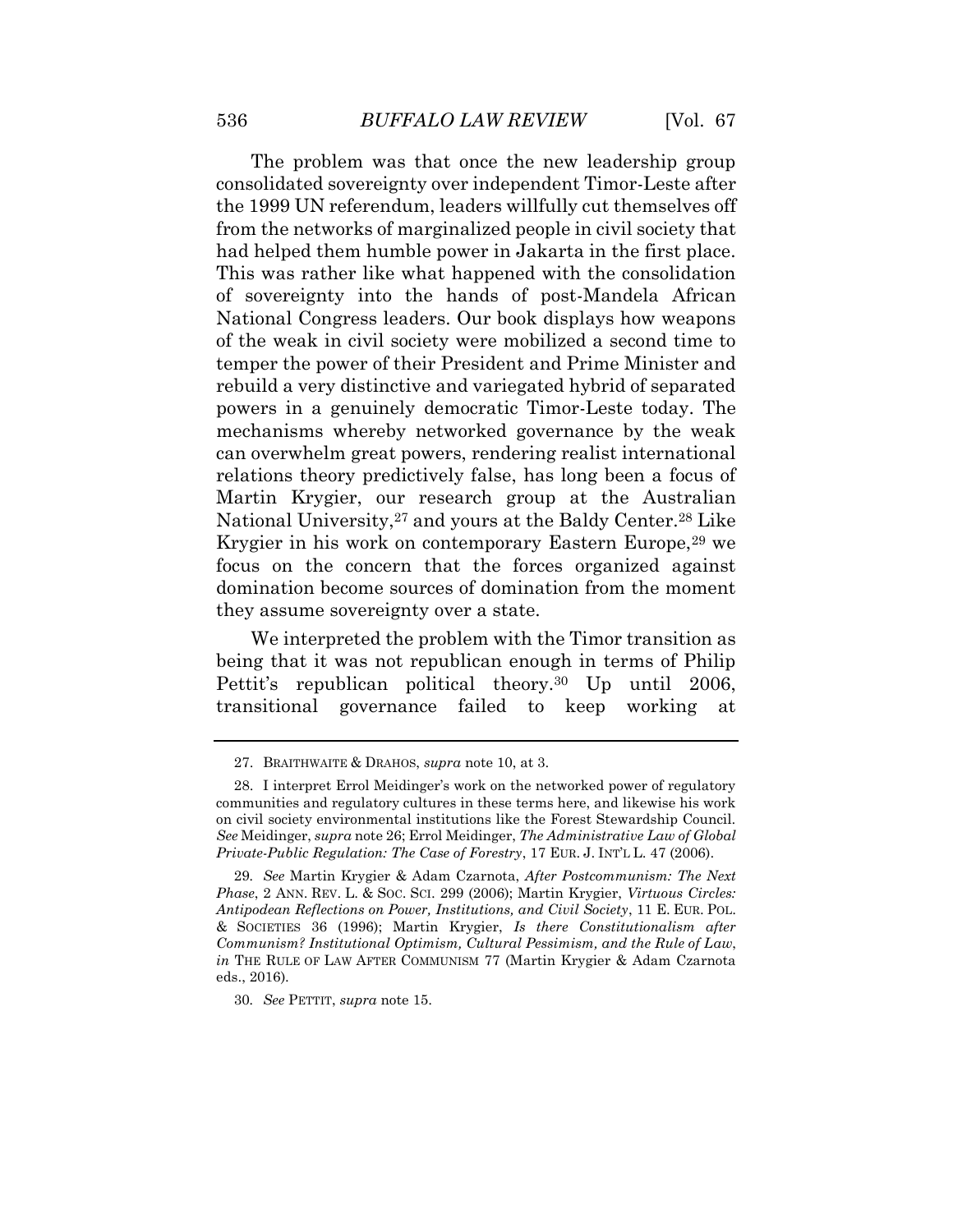The problem was that once the new leadership group consolidated sovereignty over independent Timor-Leste after the 1999 UN referendum, leaders willfully cut themselves off from the networks of marginalized people in civil society that had helped them humble power in Jakarta in the first place. This was rather like what happened with the consolidation of sovereignty into the hands of post-Mandela African National Congress leaders. Our book displays how weapons of the weak in civil society were mobilized a second time to temper the power of their President and Prime Minister and rebuild a very distinctive and variegated hybrid of separated powers in a genuinely democratic Timor-Leste today. The mechanisms whereby networked governance by the weak can overwhelm great powers, rendering realist international relations theory predictively false, has long been a focus of Martin Krygier, our research group at the Australian National University,<sup>27</sup> and yours at the Baldy Center.<sup>28</sup> Like Krygier in his work on contemporary Eastern Europe,<sup>29</sup> we focus on the concern that the forces organized against domination become sources of domination from the moment they assume sovereignty over a state.

We interpreted the problem with the Timor transition as being that it was not republican enough in terms of Philip Pettit's republican political theory.<sup>30</sup> Up until 2006, transitional governance failed to keep working at

30*. See* PETTIT, *supra* note 15.

<sup>27.</sup> BRAITHWAITE & DRAHOS, *supra* note 10, at 3.

<sup>28.</sup> I interpret Errol Meidinger's work on the networked power of regulatory communities and regulatory cultures in these terms here, and likewise his work on civil society environmental institutions like the Forest Stewardship Council. *See* Meidinger, *supra* note 26; Errol Meidinger, *The Administrative Law of Global Private-Public Regulation: The Case of Forestry*, 17 EUR. J. INT'L L. 47 (2006).

<sup>29</sup>*. See* Martin Krygier & Adam Czarnota, *After Postcommunism: The Next Phase*, 2 ANN. REV. L. & SOC. SCI. 299 (2006); Martin Krygier, *Virtuous Circles: Antipodean Reflections on Power, Institutions, and Civil Society*, 11 E. EUR. POL. & SOCIETIES 36 (1996); Martin Krygier, *Is there Constitutionalism after Communism? Institutional Optimism, Cultural Pessimism, and the Rule of Law*, *in* THE RULE OF LAW AFTER COMMUNISM 77 (Martin Krygier & Adam Czarnota eds., 2016).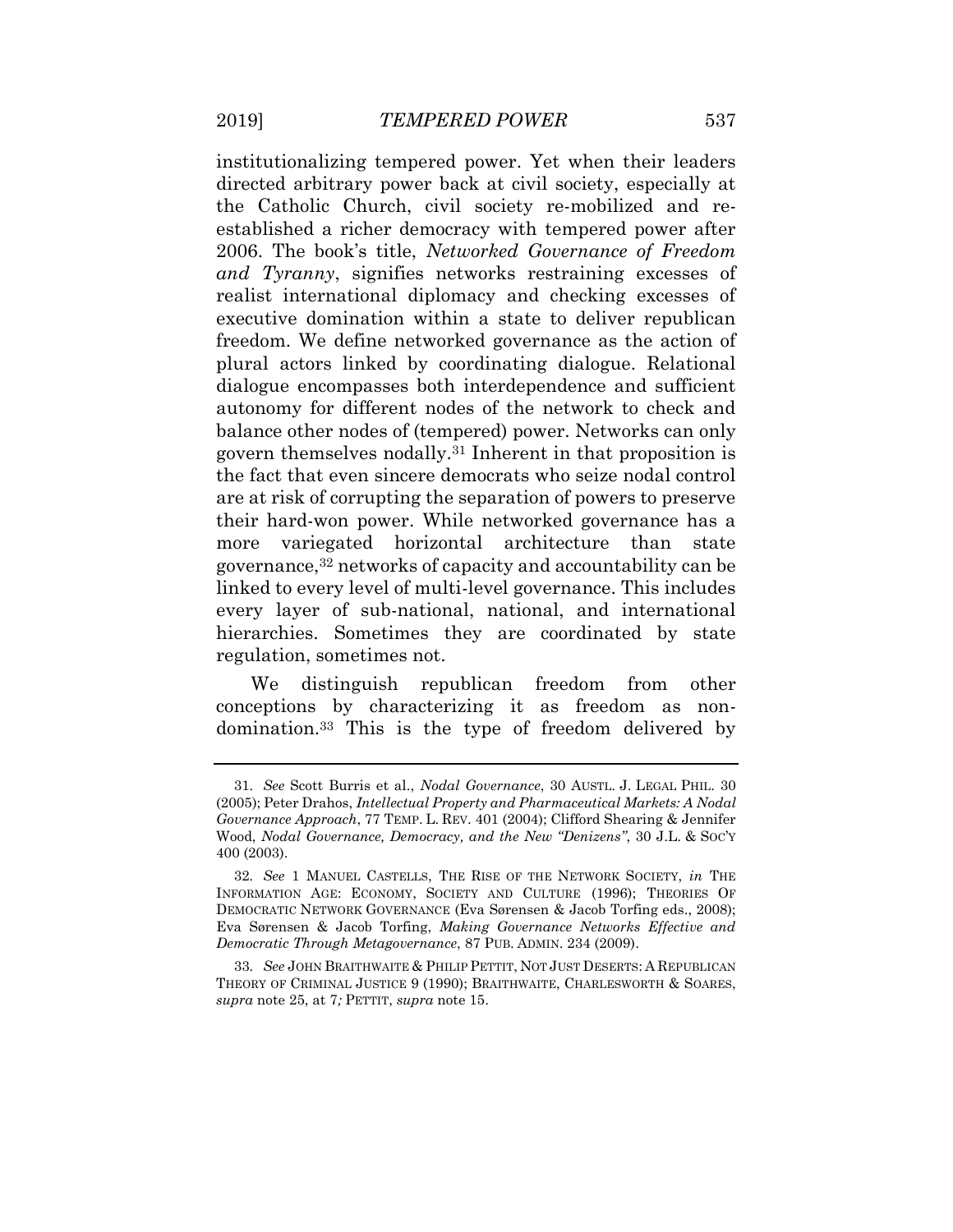institutionalizing tempered power. Yet when their leaders directed arbitrary power back at civil society, especially at the Catholic Church, civil society re-mobilized and reestablished a richer democracy with tempered power after 2006. The book's title, *Networked Governance of Freedom and Tyranny*, signifies networks restraining excesses of realist international diplomacy and checking excesses of executive domination within a state to deliver republican freedom. We define networked governance as the action of plural actors linked by coordinating dialogue. Relational dialogue encompasses both interdependence and sufficient autonomy for different nodes of the network to check and balance other nodes of (tempered) power. Networks can only govern themselves nodally.<sup>31</sup> Inherent in that proposition is the fact that even sincere democrats who seize nodal control are at risk of corrupting the separation of powers to preserve their hard-won power. While networked governance has a more variegated horizontal architecture than state governance,<sup>32</sup> networks of capacity and accountability can be linked to every level of multi-level governance. This includes every layer of sub-national, national, and international hierarchies. Sometimes they are coordinated by state regulation, sometimes not.

We distinguish republican freedom from other conceptions by characterizing it as freedom as nondomination.<sup>33</sup> This is the type of freedom delivered by

<sup>31</sup>*. See* Scott Burris et al., *Nodal Governance*, 30 AUSTL. J. LEGAL PHIL. 30 (2005); Peter Drahos, *Intellectual Property and Pharmaceutical Markets: A Nodal Governance Approach*, 77 TEMP. L. REV. 401 (2004); Clifford Shearing & Jennifer Wood, *Nodal Governance, Democracy, and the New "Denizens"*, 30 J.L. & SOC'Y 400 (2003).

<sup>32</sup>*. See* 1 MANUEL CASTELLS, THE RISE OF THE NETWORK SOCIETY, *in* THE INFORMATION AGE: ECONOMY, SOCIETY AND CULTURE (1996); THEORIES OF DEMOCRATIC NETWORK GOVERNANCE (Eva Sørensen & Jacob Torfing eds., 2008); Eva Sørensen & Jacob Torfing, *Making Governance Networks Effective and Democratic Through Metagovernance*, 87 PUB. ADMIN. 234 (2009).

<sup>33</sup>*. See* JOHN BRAITHWAITE & PHILIP PETTIT, NOT JUST DESERTS: A REPUBLICAN THEORY OF CRIMINAL JUSTICE 9 (1990); BRAITHWAITE, CHARLESWORTH & SOARES, *supra* note 25, at 7*;* PETTIT, *supra* note 15.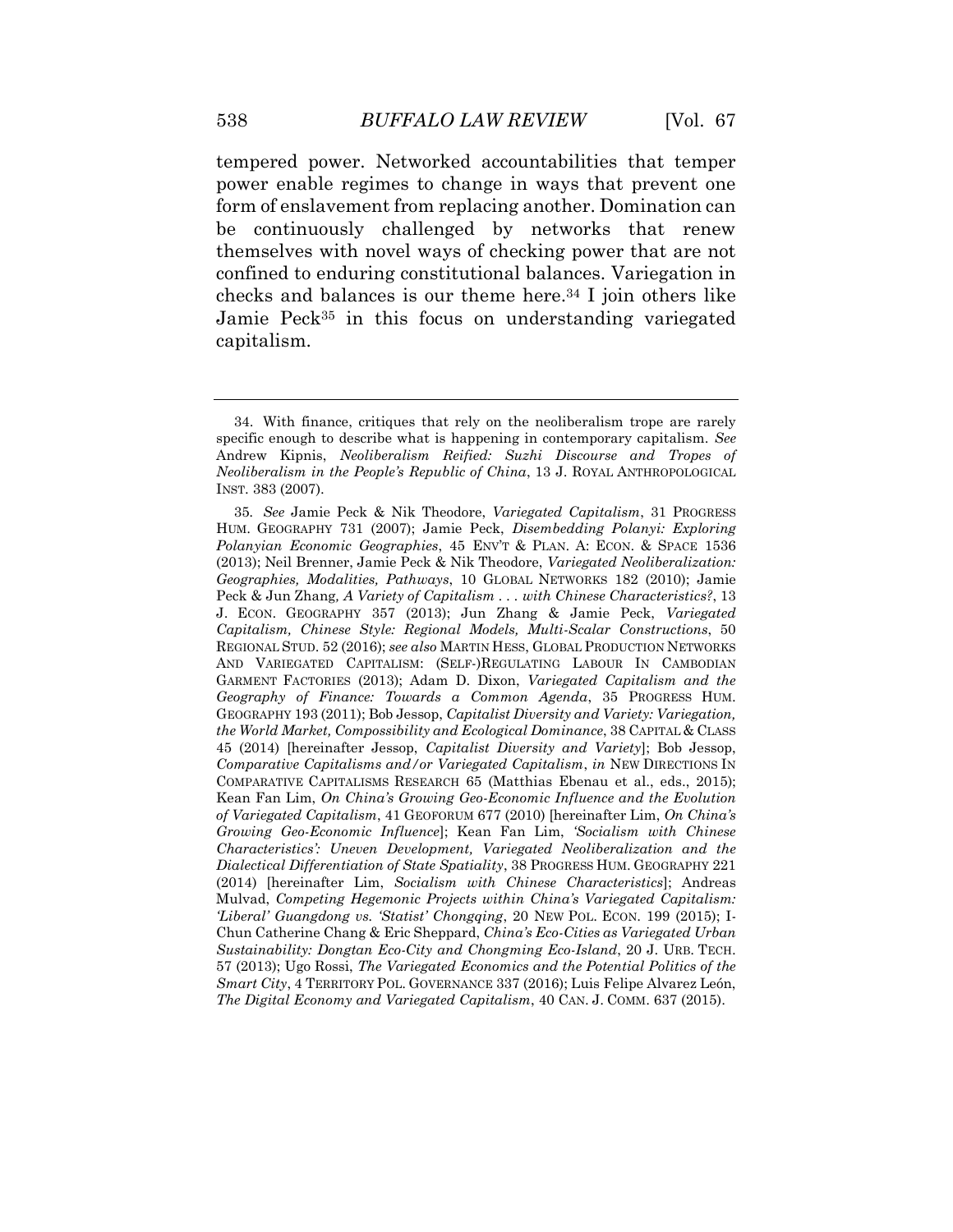tempered power. Networked accountabilities that temper power enable regimes to change in ways that prevent one form of enslavement from replacing another. Domination can be continuously challenged by networks that renew themselves with novel ways of checking power that are not confined to enduring constitutional balances. Variegation in checks and balances is our theme here.<sup>34</sup> I join others like Jamie Peck<sup>35</sup> in this focus on understanding variegated capitalism.

<sup>34.</sup> With finance, critiques that rely on the neoliberalism trope are rarely specific enough to describe what is happening in contemporary capitalism. *See*  Andrew Kipnis, *Neoliberalism Reified: Suzhi Discourse and Tropes of Neoliberalism in the People's Republic of China*, 13 J. ROYAL ANTHROPOLOGICAL INST. 383 (2007).

<sup>35</sup>*. See* Jamie Peck & Nik Theodore, *Variegated Capitalism*, 31 PROGRESS HUM. GEOGRAPHY 731 (2007); Jamie Peck, *Disembedding Polanyi: Exploring Polanyian Economic Geographies*, 45 ENV'T & PLAN. A: ECON. & SPACE 1536 (2013); Neil Brenner, Jamie Peck & Nik Theodore, *Variegated Neoliberalization: Geographies, Modalities, Pathways*, 10 GLOBAL NETWORKS 182 (2010); Jamie Peck & Jun Zhang*, A Variety of Capitalism . . . with Chinese Characteristics?*, 13 J. ECON. GEOGRAPHY 357 (2013); Jun Zhang & Jamie Peck, *Variegated Capitalism, Chinese Style: Regional Models, Multi-Scalar Constructions*, 50 REGIONAL STUD. 52 (2016); *see also* MARTIN HESS, GLOBAL PRODUCTION NETWORKS AND VARIEGATED CAPITALISM: (SELF-)REGULATING LABOUR IN CAMBODIAN GARMENT FACTORIES (2013); Adam D. Dixon, *Variegated Capitalism and the Geography of Finance: Towards a Common Agenda*, 35 PROGRESS HUM. GEOGRAPHY 193 (2011); Bob Jessop, *Capitalist Diversity and Variety: Variegation, the World Market, Compossibility and Ecological Dominance*, 38 CAPITAL & CLASS 45 (2014) [hereinafter Jessop, *Capitalist Diversity and Variety*]; Bob Jessop, *Comparative Capitalisms and/or Variegated Capitalism*, *in* NEW DIRECTIONS IN COMPARATIVE CAPITALISMS RESEARCH 65 (Matthias Ebenau et al., eds., 2015); Kean Fan Lim, *On China's Growing Geo-Economic Influence and the Evolution of Variegated Capitalism*, 41 GEOFORUM 677 (2010) [hereinafter Lim, *On China's Growing Geo-Economic Influence*]; Kean Fan Lim, *'Socialism with Chinese Characteristics': Uneven Development, Variegated Neoliberalization and the Dialectical Differentiation of State Spatiality*, 38 PROGRESS HUM. GEOGRAPHY 221 (2014) [hereinafter Lim, *Socialism with Chinese Characteristics*]; Andreas Mulvad, *Competing Hegemonic Projects within China's Variegated Capitalism: 'Liberal' Guangdong vs. 'Statist' Chongqing*, 20 NEW POL. ECON. 199 (2015); I-Chun Catherine Chang & Eric Sheppard, *China's Eco-Cities as Variegated Urban Sustainability: Dongtan Eco-City and Chongming Eco-Island*, 20 J. URB. TECH. 57 (2013); Ugo Rossi, *The Variegated Economics and the Potential Politics of the Smart City*, 4 TERRITORY POL. GOVERNANCE 337 (2016); Luis Felipe Alvarez León, *The Digital Economy and Variegated Capitalism*, 40 CAN. J. COMM. 637 (2015).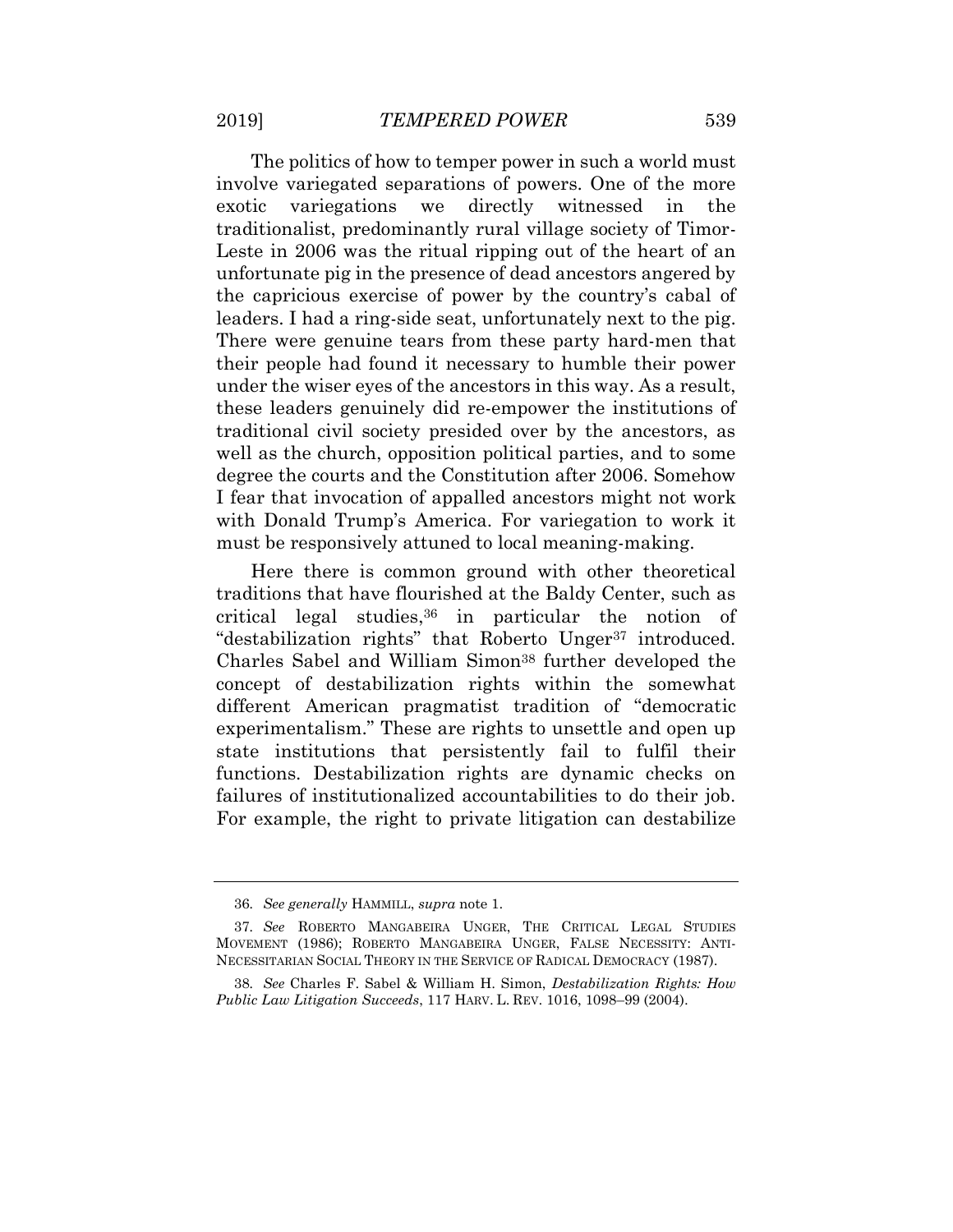The politics of how to temper power in such a world must involve variegated separations of powers. One of the more exotic variegations we directly witnessed in the traditionalist, predominantly rural village society of Timor-Leste in 2006 was the ritual ripping out of the heart of an unfortunate pig in the presence of dead ancestors angered by the capricious exercise of power by the country's cabal of leaders. I had a ring-side seat, unfortunately next to the pig. There were genuine tears from these party hard-men that their people had found it necessary to humble their power under the wiser eyes of the ancestors in this way. As a result, these leaders genuinely did re-empower the institutions of traditional civil society presided over by the ancestors, as well as the church, opposition political parties, and to some degree the courts and the Constitution after 2006. Somehow I fear that invocation of appalled ancestors might not work with Donald Trump's America. For variegation to work it must be responsively attuned to local meaning-making.

Here there is common ground with other theoretical traditions that have flourished at the Baldy Center, such as critical legal studies,  $36$  in particular the notion of "destabilization rights" that Roberto Unger<sup>37</sup> introduced. Charles Sabel and William Simon<sup>38</sup> further developed the concept of destabilization rights within the somewhat different American pragmatist tradition of "democratic experimentalism." These are rights to unsettle and open up state institutions that persistently fail to fulfil their functions. Destabilization rights are dynamic checks on failures of institutionalized accountabilities to do their job. For example, the right to private litigation can destabilize

<sup>36</sup>*. See generally* HAMMILL, *supra* note 1.

<sup>37</sup>*. See* ROBERTO MANGABEIRA UNGER, THE CRITICAL LEGAL STUDIES MOVEMENT (1986); ROBERTO MANGABEIRA UNGER, FALSE NECESSITY: ANTI-NECESSITARIAN SOCIAL THEORY IN THE SERVICE OF RADICAL DEMOCRACY (1987).

<sup>38</sup>*. See* Charles F. Sabel & William H. Simon, *Destabilization Rights: How Public Law Litigation Succeeds*, 117 HARV. L. REV. 1016, 1098–99 (2004).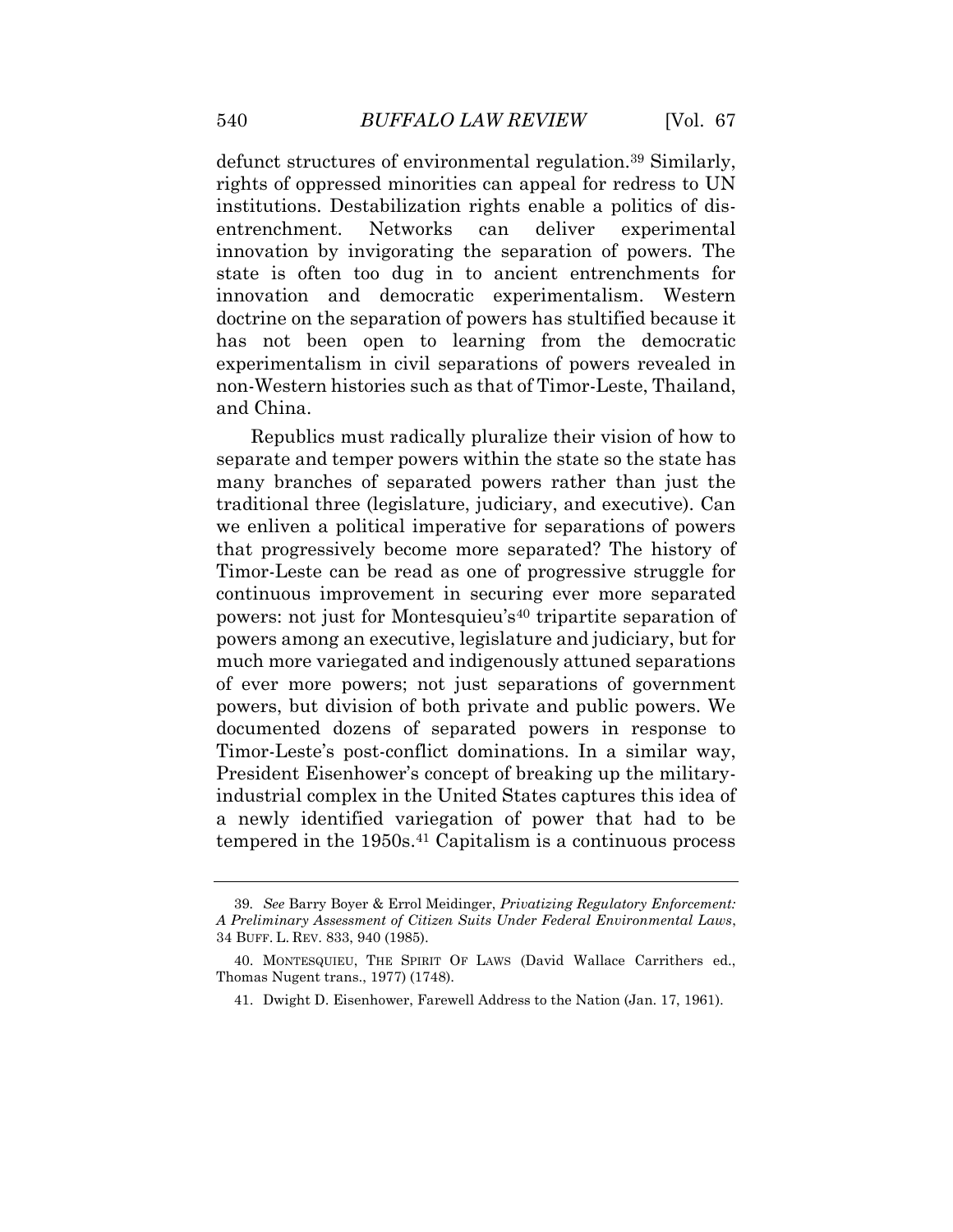defunct structures of environmental regulation.<sup>39</sup> Similarly, rights of oppressed minorities can appeal for redress to UN institutions. Destabilization rights enable a politics of disentrenchment. Networks can deliver experimental innovation by invigorating the separation of powers. The state is often too dug in to ancient entrenchments for innovation and democratic experimentalism. Western doctrine on the separation of powers has stultified because it has not been open to learning from the democratic experimentalism in civil separations of powers revealed in non-Western histories such as that of Timor-Leste, Thailand, and China.

Republics must radically pluralize their vision of how to separate and temper powers within the state so the state has many branches of separated powers rather than just the traditional three (legislature, judiciary, and executive). Can we enliven a political imperative for separations of powers that progressively become more separated? The history of Timor-Leste can be read as one of progressive struggle for continuous improvement in securing ever more separated powers: not just for Montesquieu's<sup>40</sup> tripartite separation of powers among an executive, legislature and judiciary, but for much more variegated and indigenously attuned separations of ever more powers; not just separations of government powers, but division of both private and public powers. We documented dozens of separated powers in response to Timor-Leste's post-conflict dominations. In a similar way, President Eisenhower's concept of breaking up the militaryindustrial complex in the United States captures this idea of a newly identified variegation of power that had to be tempered in the 1950s.<sup>41</sup> Capitalism is a continuous process

<sup>39</sup>*. See* Barry Boyer & Errol Meidinger, *Privatizing Regulatory Enforcement: A Preliminary Assessment of Citizen Suits Under Federal Environmental Laws*, 34 BUFF. L. REV. 833, 940 (1985).

<sup>40.</sup> MONTESQUIEU, THE SPIRIT OF LAWS (David Wallace Carrithers ed., Thomas Nugent trans., 1977) (1748).

<sup>41.</sup> Dwight D. Eisenhower, Farewell Address to the Nation (Jan. 17, 1961).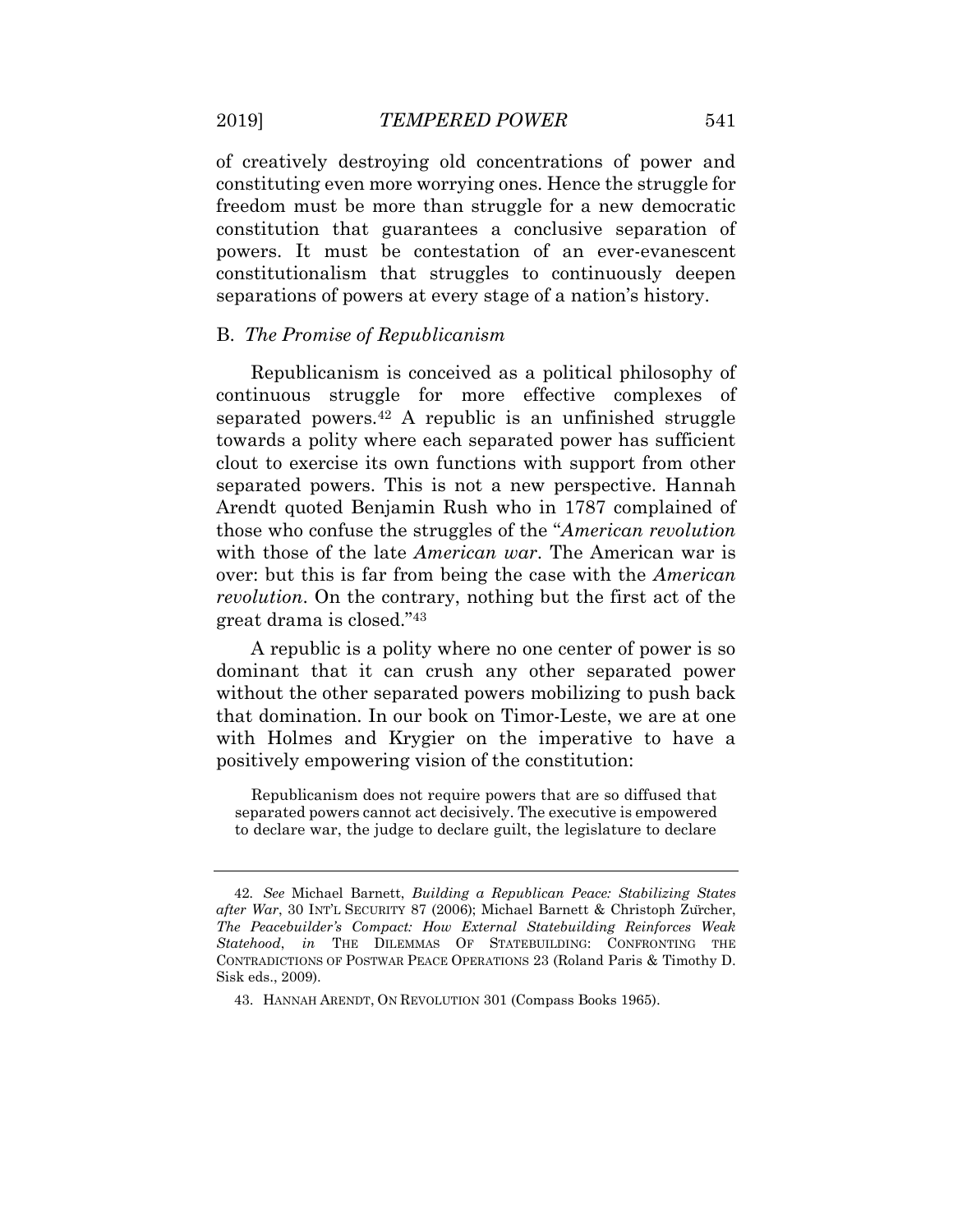of creatively destroying old concentrations of power and constituting even more worrying ones. Hence the struggle for freedom must be more than struggle for a new democratic constitution that guarantees a conclusive separation of powers. It must be contestation of an ever-evanescent constitutionalism that struggles to continuously deepen separations of powers at every stage of a nation's history.

#### B. *The Promise of Republicanism*

Republicanism is conceived as a political philosophy of continuous struggle for more effective complexes of separated powers.<sup>42</sup> A republic is an unfinished struggle towards a polity where each separated power has sufficient clout to exercise its own functions with support from other separated powers. This is not a new perspective. Hannah Arendt quoted Benjamin Rush who in 1787 complained of those who confuse the struggles of the "*American revolution* with those of the late *American war*. The American war is over: but this is far from being the case with the *American revolution*. On the contrary, nothing but the first act of the great drama is closed."<sup>43</sup>

A republic is a polity where no one center of power is so dominant that it can crush any other separated power without the other separated powers mobilizing to push back that domination. In our book on Timor-Leste, we are at one with Holmes and Krygier on the imperative to have a positively empowering vision of the constitution:

Republicanism does not require powers that are so diffused that separated powers cannot act decisively. The executive is empowered to declare war, the judge to declare guilt, the legislature to declare

<sup>42</sup>*. See* Michael Barnett, *Building a Republican Peace: Stabilizing States after War*, 30 INT'L SECURITY 87 (2006); Michael Barnett & Christoph Zürcher, *The Peacebuilder's Compact: How External Statebuilding Reinforces Weak Statehood*, *in* THE DILEMMAS OF STATEBUILDING: CONFRONTING THE CONTRADICTIONS OF POSTWAR PEACE OPERATIONS 23 (Roland Paris & Timothy D. Sisk eds., 2009).

<sup>43.</sup> HANNAH ARENDT, ON REVOLUTION 301 (Compass Books 1965).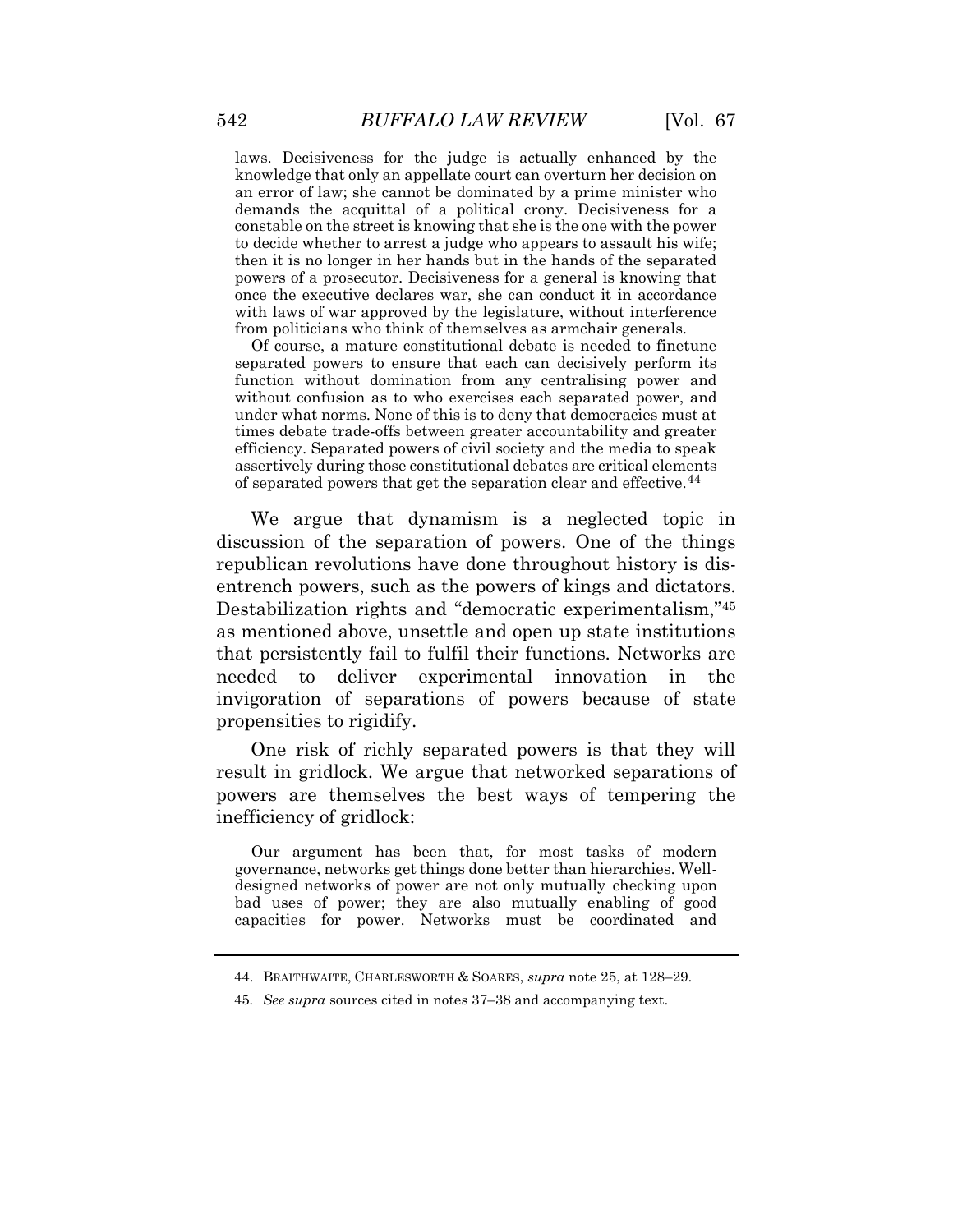laws. Decisiveness for the judge is actually enhanced by the knowledge that only an appellate court can overturn her decision on an error of law; she cannot be dominated by a prime minister who demands the acquittal of a political crony. Decisiveness for a constable on the street is knowing that she is the one with the power to decide whether to arrest a judge who appears to assault his wife; then it is no longer in her hands but in the hands of the separated powers of a prosecutor. Decisiveness for a general is knowing that once the executive declares war, she can conduct it in accordance with laws of war approved by the legislature, without interference from politicians who think of themselves as armchair generals.

Of course, a mature constitutional debate is needed to finetune separated powers to ensure that each can decisively perform its function without domination from any centralising power and without confusion as to who exercises each separated power, and under what norms. None of this is to deny that democracies must at times debate trade-offs between greater accountability and greater efficiency. Separated powers of civil society and the media to speak assertively during those constitutional debates are critical elements of separated powers that get the separation clear and effective.<sup>44</sup>

We argue that dynamism is a neglected topic in discussion of the separation of powers. One of the things republican revolutions have done throughout history is disentrench powers, such as the powers of kings and dictators. Destabilization rights and "democratic experimentalism,"<sup>45</sup> as mentioned above, unsettle and open up state institutions that persistently fail to fulfil their functions. Networks are needed to deliver experimental innovation in the invigoration of separations of powers because of state propensities to rigidify.

One risk of richly separated powers is that they will result in gridlock. We argue that networked separations of powers are themselves the best ways of tempering the inefficiency of gridlock:

Our argument has been that, for most tasks of modern governance, networks get things done better than hierarchies. Welldesigned networks of power are not only mutually checking upon bad uses of power; they are also mutually enabling of good capacities for power. Networks must be coordinated and

<sup>44.</sup> BRAITHWAITE, CHARLESWORTH & SOARES, *supra* note 25, at 128–29.

<sup>45</sup>*. See supra* sources cited in notes 37–38 and accompanying text.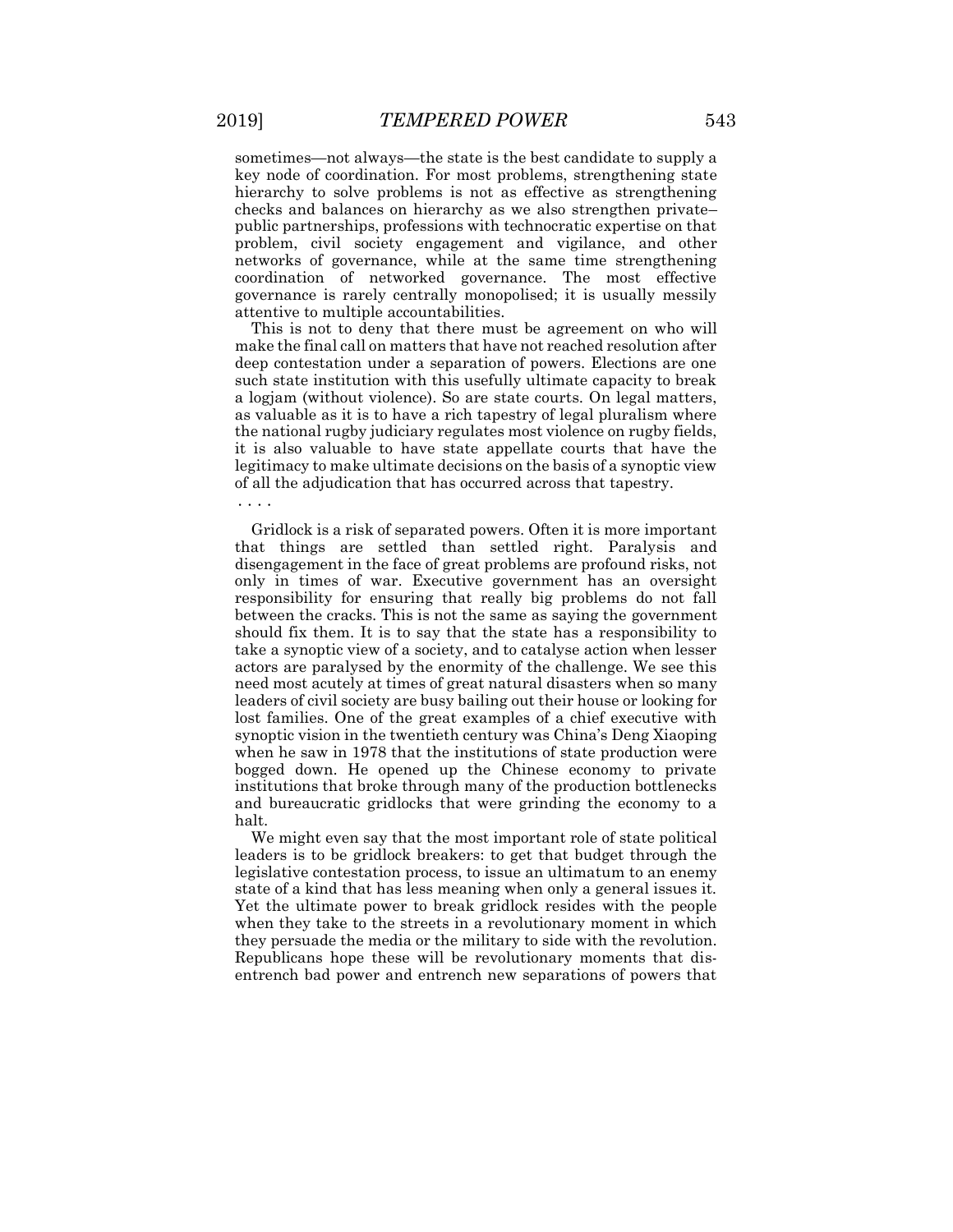sometimes—not always—the state is the best candidate to supply a key node of coordination. For most problems, strengthening state hierarchy to solve problems is not as effective as strengthening checks and balances on hierarchy as we also strengthen private– public partnerships, professions with technocratic expertise on that problem, civil society engagement and vigilance, and other networks of governance, while at the same time strengthening coordination of networked governance. The most effective governance is rarely centrally monopolised; it is usually messily attentive to multiple accountabilities.

This is not to deny that there must be agreement on who will make the final call on matters that have not reached resolution after deep contestation under a separation of powers. Elections are one such state institution with this usefully ultimate capacity to break a logjam (without violence). So are state courts. On legal matters, as valuable as it is to have a rich tapestry of legal pluralism where the national rugby judiciary regulates most violence on rugby fields, it is also valuable to have state appellate courts that have the legitimacy to make ultimate decisions on the basis of a synoptic view of all the adjudication that has occurred across that tapestry.

Gridlock is a risk of separated powers. Often it is more important that things are settled than settled right. Paralysis and disengagement in the face of great problems are profound risks, not only in times of war. Executive government has an oversight responsibility for ensuring that really big problems do not fall between the cracks. This is not the same as saying the government should fix them. It is to say that the state has a responsibility to take a synoptic view of a society, and to catalyse action when lesser actors are paralysed by the enormity of the challenge. We see this need most acutely at times of great natural disasters when so many leaders of civil society are busy bailing out their house or looking for lost families. One of the great examples of a chief executive with synoptic vision in the twentieth century was China's Deng Xiaoping when he saw in 1978 that the institutions of state production were bogged down. He opened up the Chinese economy to private institutions that broke through many of the production bottlenecks and bureaucratic gridlocks that were grinding the economy to a halt.

We might even say that the most important role of state political leaders is to be gridlock breakers: to get that budget through the legislative contestation process, to issue an ultimatum to an enemy state of a kind that has less meaning when only a general issues it. Yet the ultimate power to break gridlock resides with the people when they take to the streets in a revolutionary moment in which they persuade the media or the military to side with the revolution. Republicans hope these will be revolutionary moments that disentrench bad power and entrench new separations of powers that

**· · · ·**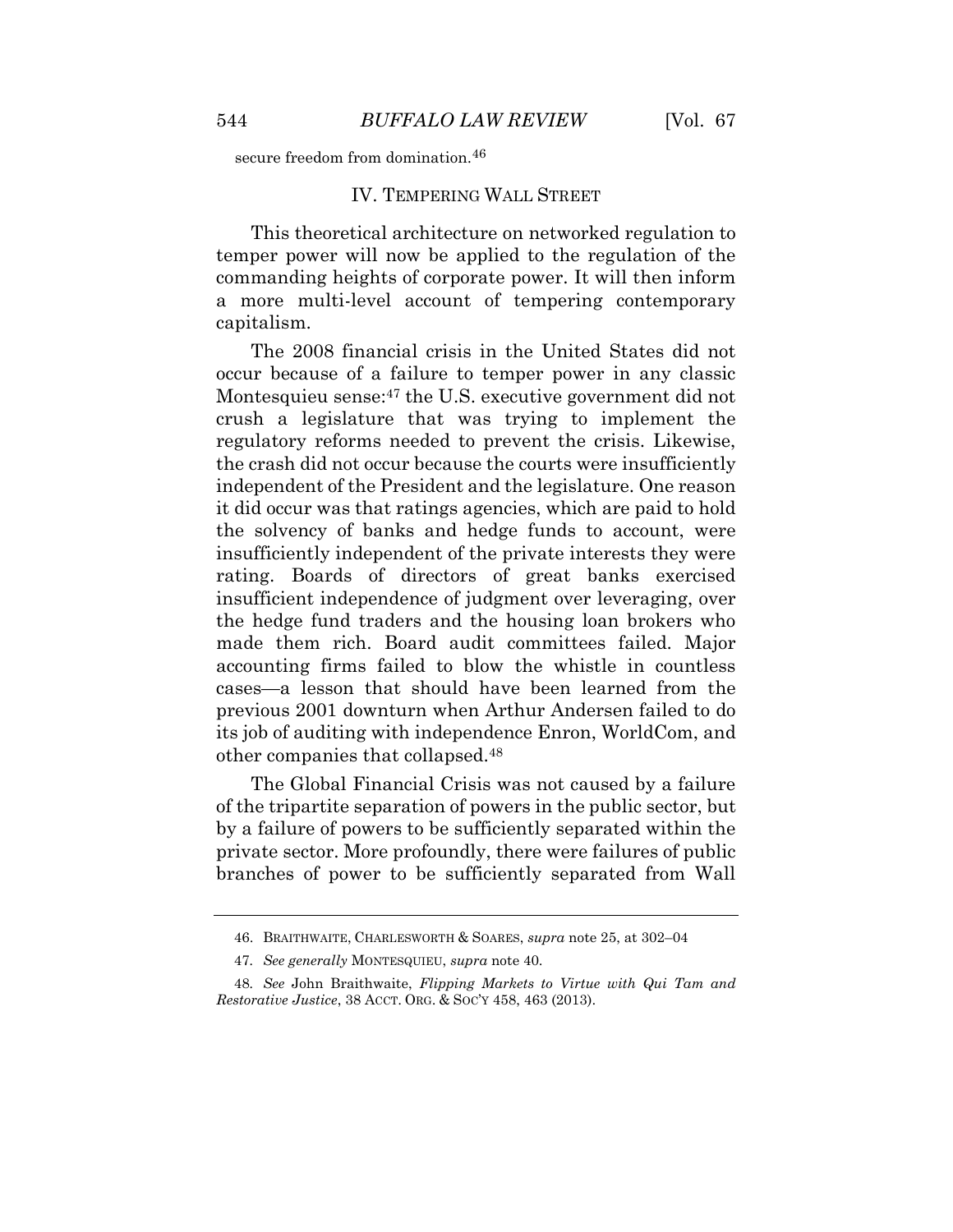secure freedom from domination.<sup>46</sup>

#### IV. TEMPERING WALL STREET

This theoretical architecture on networked regulation to temper power will now be applied to the regulation of the commanding heights of corporate power. It will then inform a more multi-level account of tempering contemporary capitalism.

The 2008 financial crisis in the United States did not occur because of a failure to temper power in any classic Montesquieu sense: <sup>47</sup> the U.S. executive government did not crush a legislature that was trying to implement the regulatory reforms needed to prevent the crisis. Likewise, the crash did not occur because the courts were insufficiently independent of the President and the legislature. One reason it did occur was that ratings agencies, which are paid to hold the solvency of banks and hedge funds to account, were insufficiently independent of the private interests they were rating. Boards of directors of great banks exercised insufficient independence of judgment over leveraging, over the hedge fund traders and the housing loan brokers who made them rich. Board audit committees failed. Major accounting firms failed to blow the whistle in countless cases—a lesson that should have been learned from the previous 2001 downturn when Arthur Andersen failed to do its job of auditing with independence Enron, WorldCom, and other companies that collapsed.<sup>48</sup>

The Global Financial Crisis was not caused by a failure of the tripartite separation of powers in the public sector, but by a failure of powers to be sufficiently separated within the private sector. More profoundly, there were failures of public branches of power to be sufficiently separated from Wall

<sup>46.</sup> BRAITHWAITE, CHARLESWORTH & SOARES, *supra* note 25, at 302–04

<sup>47</sup>*. See generally* MONTESQUIEU, *supra* note 40.

<sup>48</sup>*. See* John Braithwaite, *Flipping Markets to Virtue with Qui Tam and Restorative Justice*, 38 ACCT. ORG. & SOC'Y 458, 463 (2013).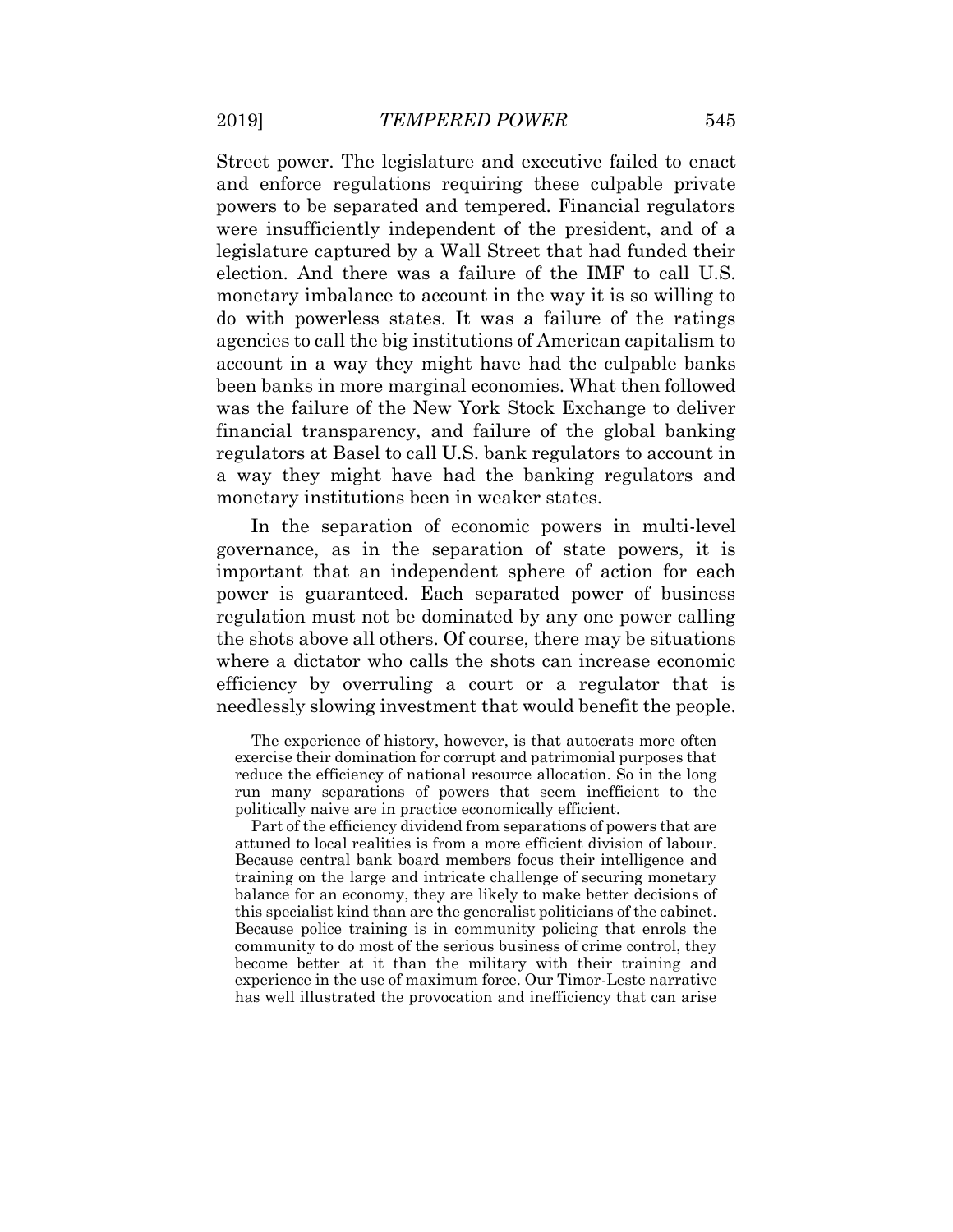Street power. The legislature and executive failed to enact and enforce regulations requiring these culpable private powers to be separated and tempered. Financial regulators were insufficiently independent of the president, and of a legislature captured by a Wall Street that had funded their election. And there was a failure of the IMF to call U.S. monetary imbalance to account in the way it is so willing to do with powerless states. It was a failure of the ratings agencies to call the big institutions of American capitalism to account in a way they might have had the culpable banks been banks in more marginal economies. What then followed was the failure of the New York Stock Exchange to deliver financial transparency, and failure of the global banking regulators at Basel to call U.S. bank regulators to account in a way they might have had the banking regulators and monetary institutions been in weaker states.

In the separation of economic powers in multi-level governance, as in the separation of state powers, it is important that an independent sphere of action for each power is guaranteed. Each separated power of business regulation must not be dominated by any one power calling the shots above all others. Of course, there may be situations where a dictator who calls the shots can increase economic efficiency by overruling a court or a regulator that is needlessly slowing investment that would benefit the people.

The experience of history, however, is that autocrats more often exercise their domination for corrupt and patrimonial purposes that reduce the efficiency of national resource allocation. So in the long run many separations of powers that seem inefficient to the politically naive are in practice economically efficient.

Part of the efficiency dividend from separations of powers that are attuned to local realities is from a more efficient division of labour. Because central bank board members focus their intelligence and training on the large and intricate challenge of securing monetary balance for an economy, they are likely to make better decisions of this specialist kind than are the generalist politicians of the cabinet. Because police training is in community policing that enrols the community to do most of the serious business of crime control, they become better at it than the military with their training and experience in the use of maximum force. Our Timor-Leste narrative has well illustrated the provocation and inefficiency that can arise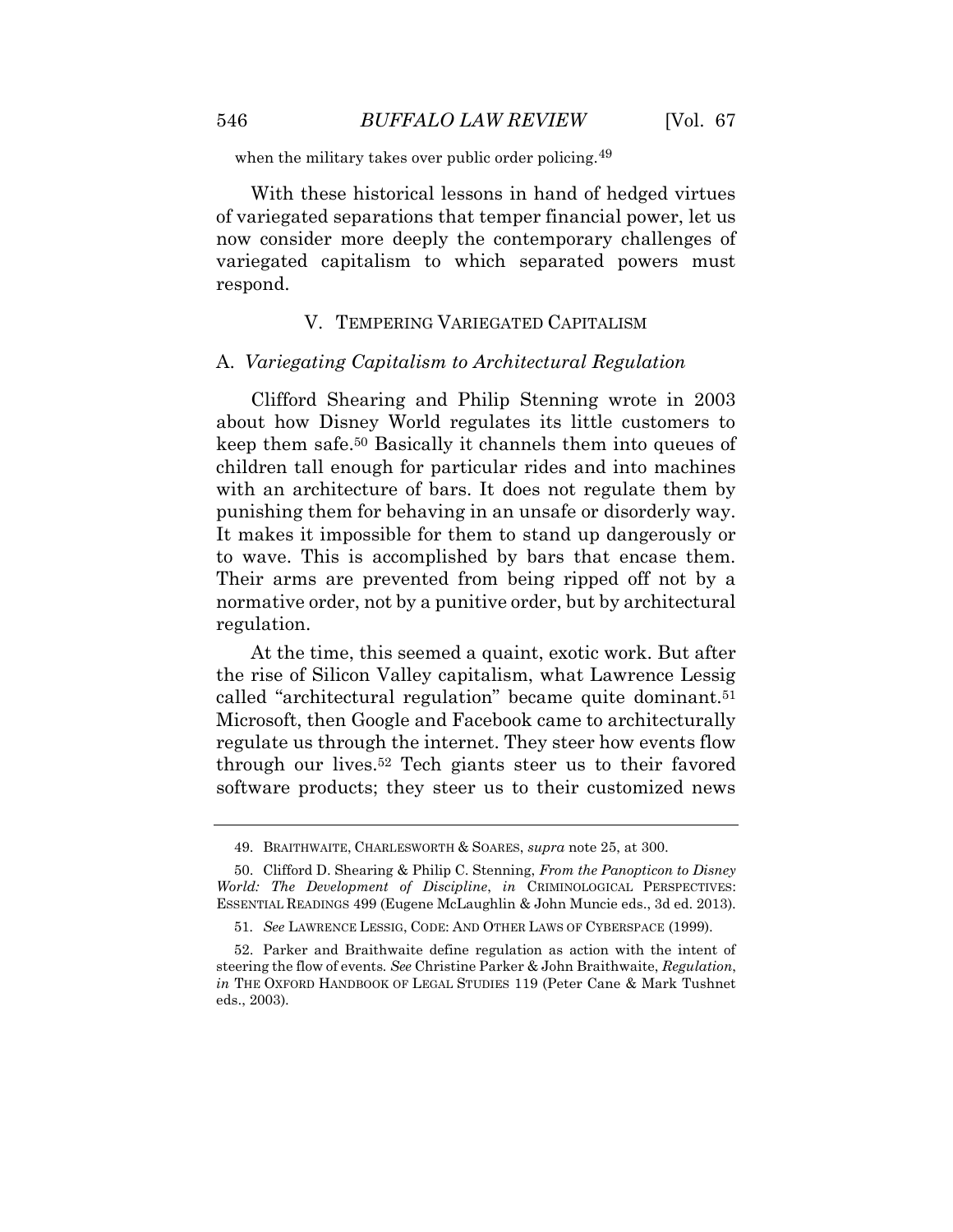when the military takes over public order policing.<sup>49</sup>

With these historical lessons in hand of hedged virtues of variegated separations that temper financial power, let us now consider more deeply the contemporary challenges of variegated capitalism to which separated powers must respond.

#### V. TEMPERING VARIEGATED CAPITALISM

#### A. *Variegating Capitalism to Architectural Regulation*

Clifford Shearing and Philip Stenning wrote in 2003 about how Disney World regulates its little customers to keep them safe.<sup>50</sup> Basically it channels them into queues of children tall enough for particular rides and into machines with an architecture of bars. It does not regulate them by punishing them for behaving in an unsafe or disorderly way. It makes it impossible for them to stand up dangerously or to wave. This is accomplished by bars that encase them. Their arms are prevented from being ripped off not by a normative order, not by a punitive order, but by architectural regulation.

At the time, this seemed a quaint, exotic work. But after the rise of Silicon Valley capitalism, what Lawrence Lessig called "architectural regulation" became quite dominant.<sup>51</sup> Microsoft, then Google and Facebook came to architecturally regulate us through the internet. They steer how events flow through our lives.<sup>52</sup> Tech giants steer us to their favored software products; they steer us to their customized news

<sup>49.</sup> BRAITHWAITE, CHARLESWORTH & SOARES, *supra* note 25, at 300.

<sup>50.</sup> Clifford D. Shearing & Philip C. Stenning, *From the Panopticon to Disney World: The Development of Discipline*, *in* CRIMINOLOGICAL PERSPECTIVES: ESSENTIAL READINGS 499 (Eugene McLaughlin & John Muncie eds., 3d ed. 2013).

<sup>51</sup>*. See* LAWRENCE LESSIG, CODE: AND OTHER LAWS OF CYBERSPACE (1999).

<sup>52.</sup> Parker and Braithwaite define regulation as action with the intent of steering the flow of events*. See* Christine Parker & John Braithwaite, *Regulation*, *in* THE OXFORD HANDBOOK OF LEGAL STUDIES 119 (Peter Cane & Mark Tushnet eds., 2003).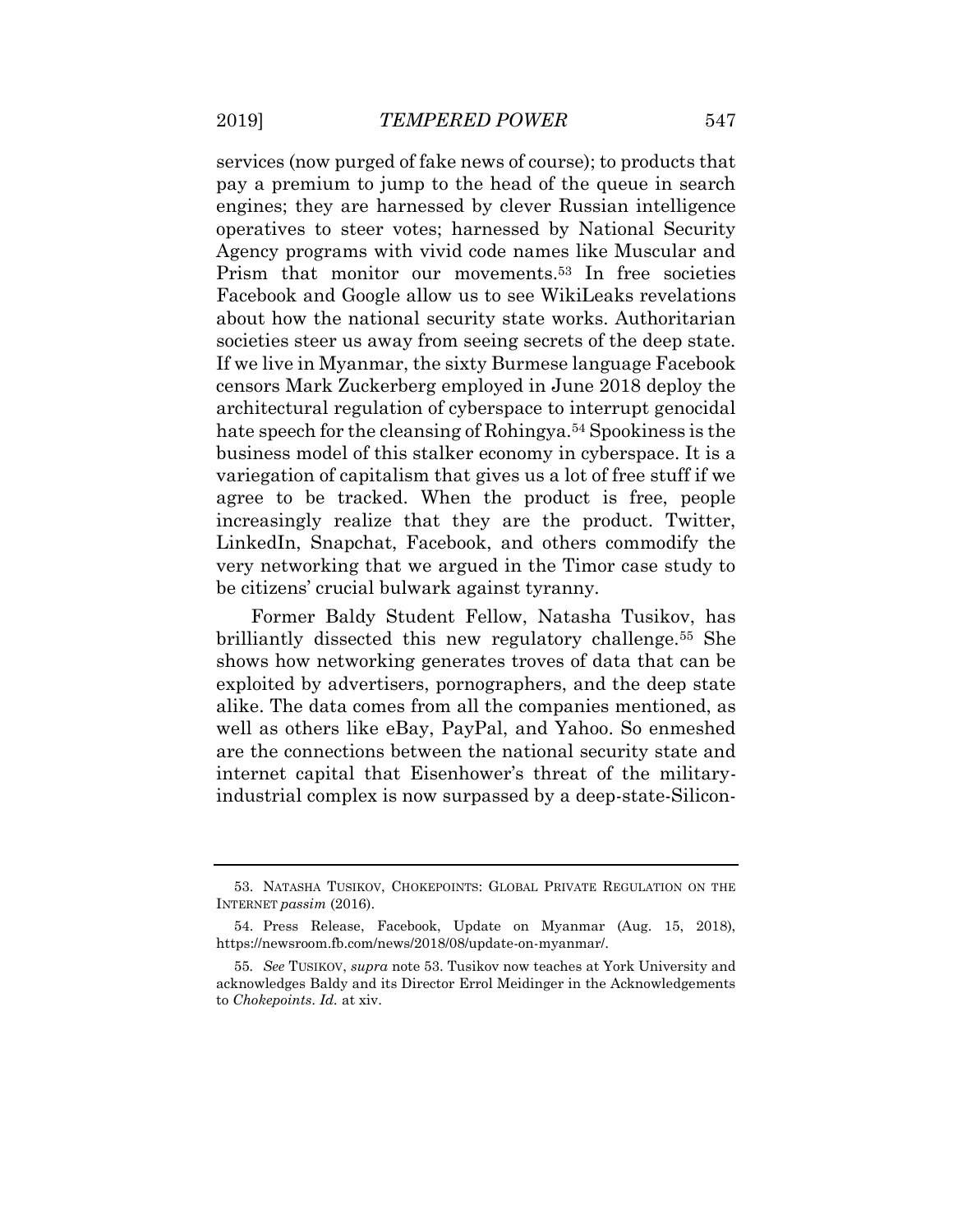services (now purged of fake news of course); to products that pay a premium to jump to the head of the queue in search engines; they are harnessed by clever Russian intelligence operatives to steer votes; harnessed by National Security Agency programs with vivid code names like Muscular and Prism that monitor our movements.<sup>53</sup> In free societies Facebook and Google allow us to see WikiLeaks revelations about how the national security state works. Authoritarian societies steer us away from seeing secrets of the deep state. If we live in Myanmar, the sixty Burmese language Facebook censors Mark Zuckerberg employed in June 2018 deploy the architectural regulation of cyberspace to interrupt genocidal hate speech for the cleansing of Rohingya.<sup>54</sup> Spookiness is the business model of this stalker economy in cyberspace. It is a variegation of capitalism that gives us a lot of free stuff if we agree to be tracked. When the product is free, people increasingly realize that they are the product. Twitter, LinkedIn, Snapchat, Facebook, and others commodify the very networking that we argued in the Timor case study to be citizens' crucial bulwark against tyranny.

Former Baldy Student Fellow, Natasha Tusikov, has brilliantly dissected this new regulatory challenge.<sup>55</sup> She shows how networking generates troves of data that can be exploited by advertisers, pornographers, and the deep state alike. The data comes from all the companies mentioned, as well as others like eBay, PayPal, and Yahoo. So enmeshed are the connections between the national security state and internet capital that Eisenhower's threat of the militaryindustrial complex is now surpassed by a deep-state-Silicon-

<sup>53.</sup> NATASHA TUSIKOV, CHOKEPOINTS: GLOBAL PRIVATE REGULATION ON THE INTERNET *passim* (2016).

<sup>54.</sup> Press Release, Facebook, Update on Myanmar (Aug. 15, 2018), https://newsroom.fb.com/news/2018/08/update-on-myanmar/.

<sup>55</sup>*. See* TUSIKOV, *supra* note 53. Tusikov now teaches at York University and acknowledges Baldy and its Director Errol Meidinger in the Acknowledgements to *Chokepoints*. *Id.* at xiv.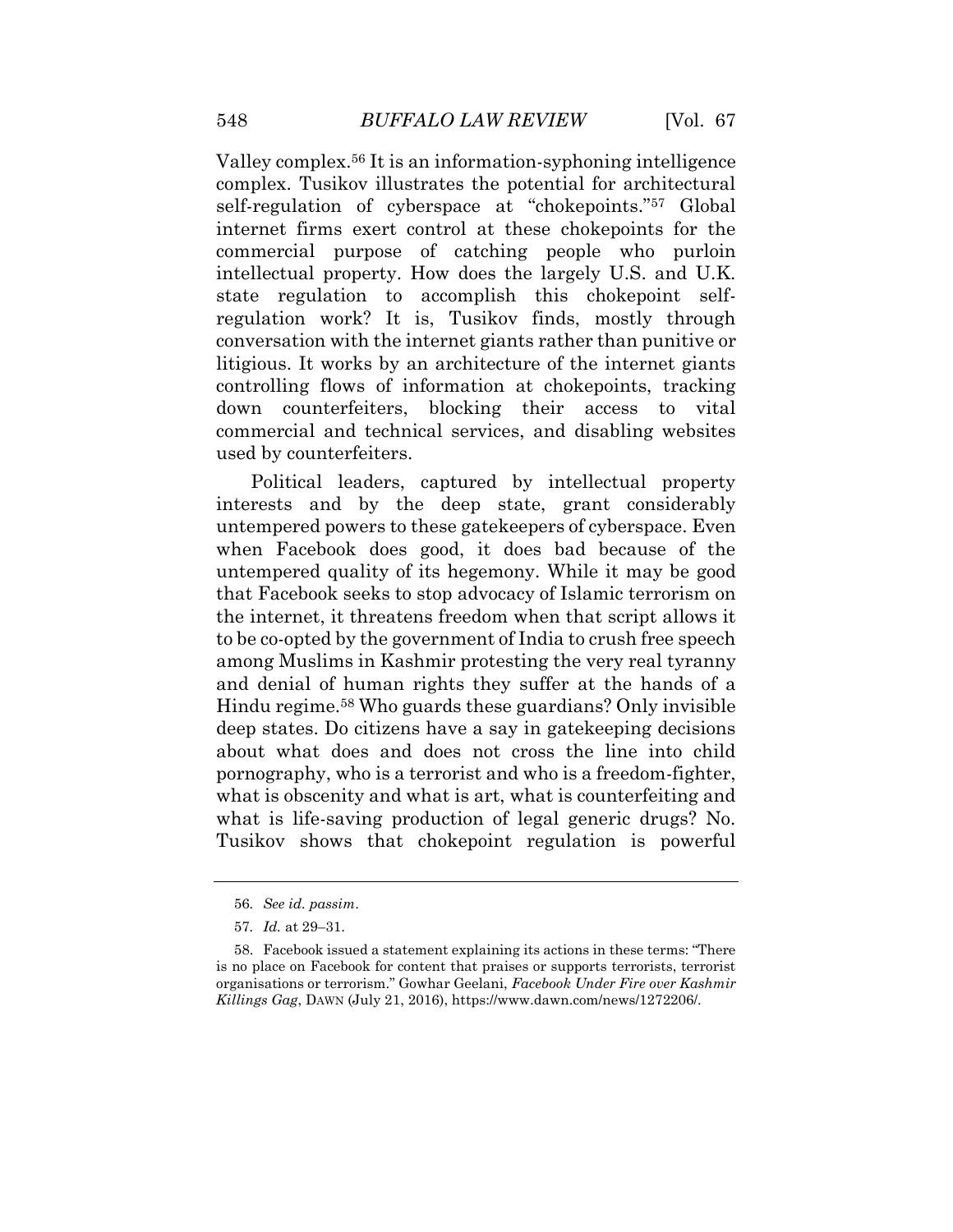Valley complex.<sup>56</sup> It is an information-syphoning intelligence complex. Tusikov illustrates the potential for architectural self-regulation of cyberspace at "chokepoints."<sup>57</sup> Global internet firms exert control at these chokepoints for the commercial purpose of catching people who purloin intellectual property. How does the largely U.S. and U.K. state regulation to accomplish this chokepoint selfregulation work? It is, Tusikov finds, mostly through conversation with the internet giants rather than punitive or litigious. It works by an architecture of the internet giants controlling flows of information at chokepoints, tracking down counterfeiters, blocking their access to vital commercial and technical services, and disabling websites used by counterfeiters.

Political leaders, captured by intellectual property interests and by the deep state, grant considerably untempered powers to these gatekeepers of cyberspace. Even when Facebook does good, it does bad because of the untempered quality of its hegemony. While it may be good that Facebook seeks to stop advocacy of Islamic terrorism on the internet, it threatens freedom when that script allows it to be co-opted by the government of India to crush free speech among Muslims in Kashmir protesting the very real tyranny and denial of human rights they suffer at the hands of a Hindu regime.<sup>58</sup> Who guards these guardians? Only invisible deep states. Do citizens have a say in gatekeeping decisions about what does and does not cross the line into child pornography, who is a terrorist and who is a freedom-fighter, what is obscenity and what is art, what is counterfeiting and what is life-saving production of legal generic drugs? No. Tusikov shows that chokepoint regulation is powerful

<sup>56</sup>*. See id. passim*.

<sup>57</sup>*. Id.* at 29–31.

<sup>58.</sup> Facebook issued a statement explaining its actions in these terms: "There is no place on Facebook for content that praises or supports terrorists, terrorist organisations or terrorism." Gowhar Geelani, *Facebook Under Fire over Kashmir Killings Gag*, DAWN (July 21, 2016), https://www.dawn.com/news/1272206/.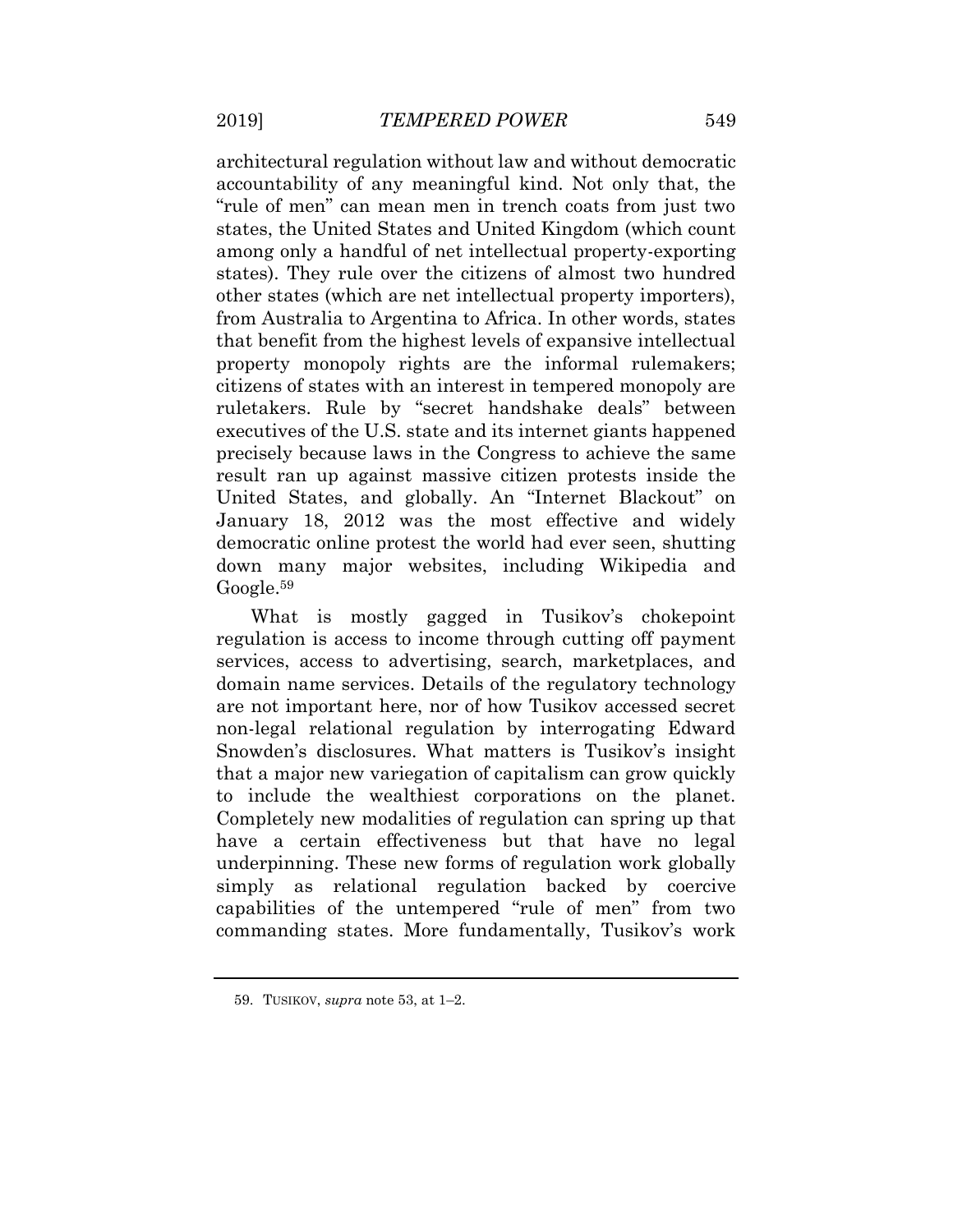architectural regulation without law and without democratic accountability of any meaningful kind. Not only that, the "rule of men" can mean men in trench coats from just two states, the United States and United Kingdom (which count among only a handful of net intellectual property-exporting states). They rule over the citizens of almost two hundred other states (which are net intellectual property importers), from Australia to Argentina to Africa. In other words, states that benefit from the highest levels of expansive intellectual property monopoly rights are the informal rulemakers; citizens of states with an interest in tempered monopoly are ruletakers. Rule by "secret handshake deals" between executives of the U.S. state and its internet giants happened precisely because laws in the Congress to achieve the same result ran up against massive citizen protests inside the United States, and globally. An "Internet Blackout" on January 18, 2012 was the most effective and widely democratic online protest the world had ever seen, shutting down many major websites, including Wikipedia and Google.<sup>59</sup>

What is mostly gagged in Tusikov's chokepoint regulation is access to income through cutting off payment services, access to advertising, search, marketplaces, and domain name services. Details of the regulatory technology are not important here, nor of how Tusikov accessed secret non-legal relational regulation by interrogating Edward Snowden's disclosures. What matters is Tusikov's insight that a major new variegation of capitalism can grow quickly to include the wealthiest corporations on the planet. Completely new modalities of regulation can spring up that have a certain effectiveness but that have no legal underpinning. These new forms of regulation work globally simply as relational regulation backed by coercive capabilities of the untempered "rule of men" from two commanding states. More fundamentally, Tusikov's work

<sup>59.</sup> TUSIKOV, *supra* note 53, at 1–2.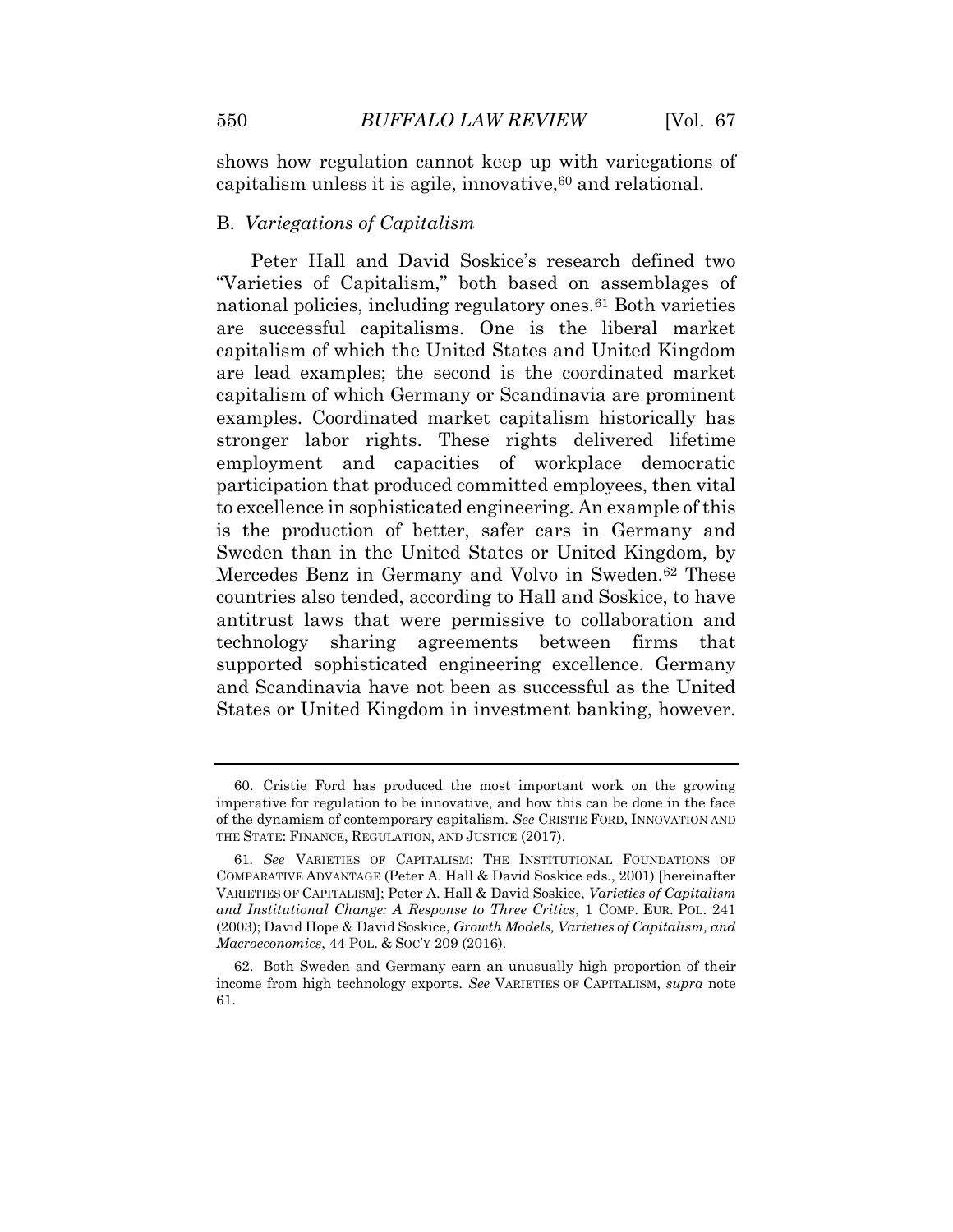shows how regulation cannot keep up with variegations of capitalism unless it is agile, innovative,  $60$  and relational.

# B. *Variegations of Capitalism*

Peter Hall and David Soskice's research defined two "Varieties of Capitalism," both based on assemblages of national policies, including regulatory ones.<sup>61</sup> Both varieties are successful capitalisms. One is the liberal market capitalism of which the United States and United Kingdom are lead examples; the second is the coordinated market capitalism of which Germany or Scandinavia are prominent examples. Coordinated market capitalism historically has stronger labor rights. These rights delivered lifetime employment and capacities of workplace democratic participation that produced committed employees, then vital to excellence in sophisticated engineering. An example of this is the production of better, safer cars in Germany and Sweden than in the United States or United Kingdom, by Mercedes Benz in Germany and Volvo in Sweden.<sup>62</sup> These countries also tended, according to Hall and Soskice, to have antitrust laws that were permissive to collaboration and technology sharing agreements between firms that supported sophisticated engineering excellence. Germany and Scandinavia have not been as successful as the United States or United Kingdom in investment banking, however.

<sup>60.</sup> Cristie Ford has produced the most important work on the growing imperative for regulation to be innovative, and how this can be done in the face of the dynamism of contemporary capitalism. *See* CRISTIE FORD, INNOVATION AND THE STATE: FINANCE, REGULATION, AND JUSTICE (2017).

<sup>61</sup>*. See* VARIETIES OF CAPITALISM: THE INSTITUTIONAL FOUNDATIONS OF COMPARATIVE ADVANTAGE (Peter A. Hall & David Soskice eds., 2001) [hereinafter VARIETIES OF CAPITALISM]; Peter A. Hall & David Soskice, *Varieties of Capitalism and Institutional Change: A Response to Three Critics*, 1 COMP. EUR. POL. 241 (2003); David Hope & David Soskice, *Growth Models, Varieties of Capitalism, and Macroeconomics*, 44 POL. & SOC'Y 209 (2016).

<sup>62.</sup> Both Sweden and Germany earn an unusually high proportion of their income from high technology exports. *See* VARIETIES OF CAPITALISM, *supra* note 61.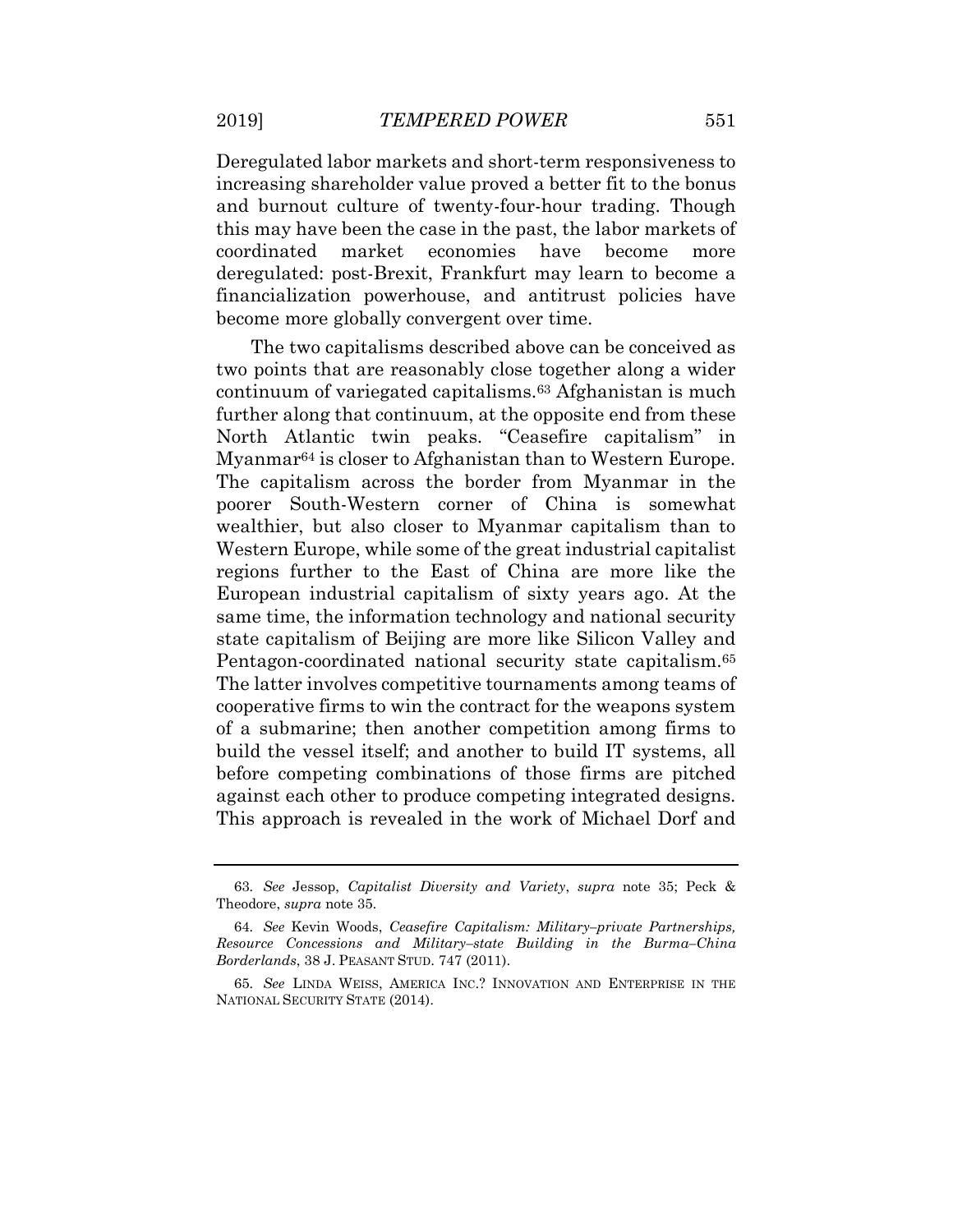Deregulated labor markets and short-term responsiveness to increasing shareholder value proved a better fit to the bonus and burnout culture of twenty-four-hour trading. Though this may have been the case in the past, the labor markets of coordinated market economies have become more deregulated: post-Brexit, Frankfurt may learn to become a financialization powerhouse, and antitrust policies have become more globally convergent over time.

The two capitalisms described above can be conceived as two points that are reasonably close together along a wider continuum of variegated capitalisms.<sup>63</sup> Afghanistan is much further along that continuum, at the opposite end from these North Atlantic twin peaks. "Ceasefire capitalism" in Myanmar<sup>64</sup> is closer to Afghanistan than to Western Europe. The capitalism across the border from Myanmar in the poorer South-Western corner of China is somewhat wealthier, but also closer to Myanmar capitalism than to Western Europe, while some of the great industrial capitalist regions further to the East of China are more like the European industrial capitalism of sixty years ago. At the same time, the information technology and national security state capitalism of Beijing are more like Silicon Valley and Pentagon-coordinated national security state capitalism.<sup>65</sup> The latter involves competitive tournaments among teams of cooperative firms to win the contract for the weapons system of a submarine; then another competition among firms to build the vessel itself; and another to build IT systems, all before competing combinations of those firms are pitched against each other to produce competing integrated designs. This approach is revealed in the work of Michael Dorf and

<sup>63</sup>*. See* Jessop, *Capitalist Diversity and Variety*, *supra* note 35; Peck & Theodore, *supra* note 35.

<sup>64</sup>*. See* Kevin Woods, *Ceasefire Capitalism: Military–private Partnerships, Resource Concessions and Military–state Building in the Burma–China Borderlands*, 38 J. PEASANT STUD. 747 (2011).

<sup>65</sup>*. See* LINDA WEISS, AMERICA INC.? INNOVATION AND ENTERPRISE IN THE NATIONAL SECURITY STATE (2014).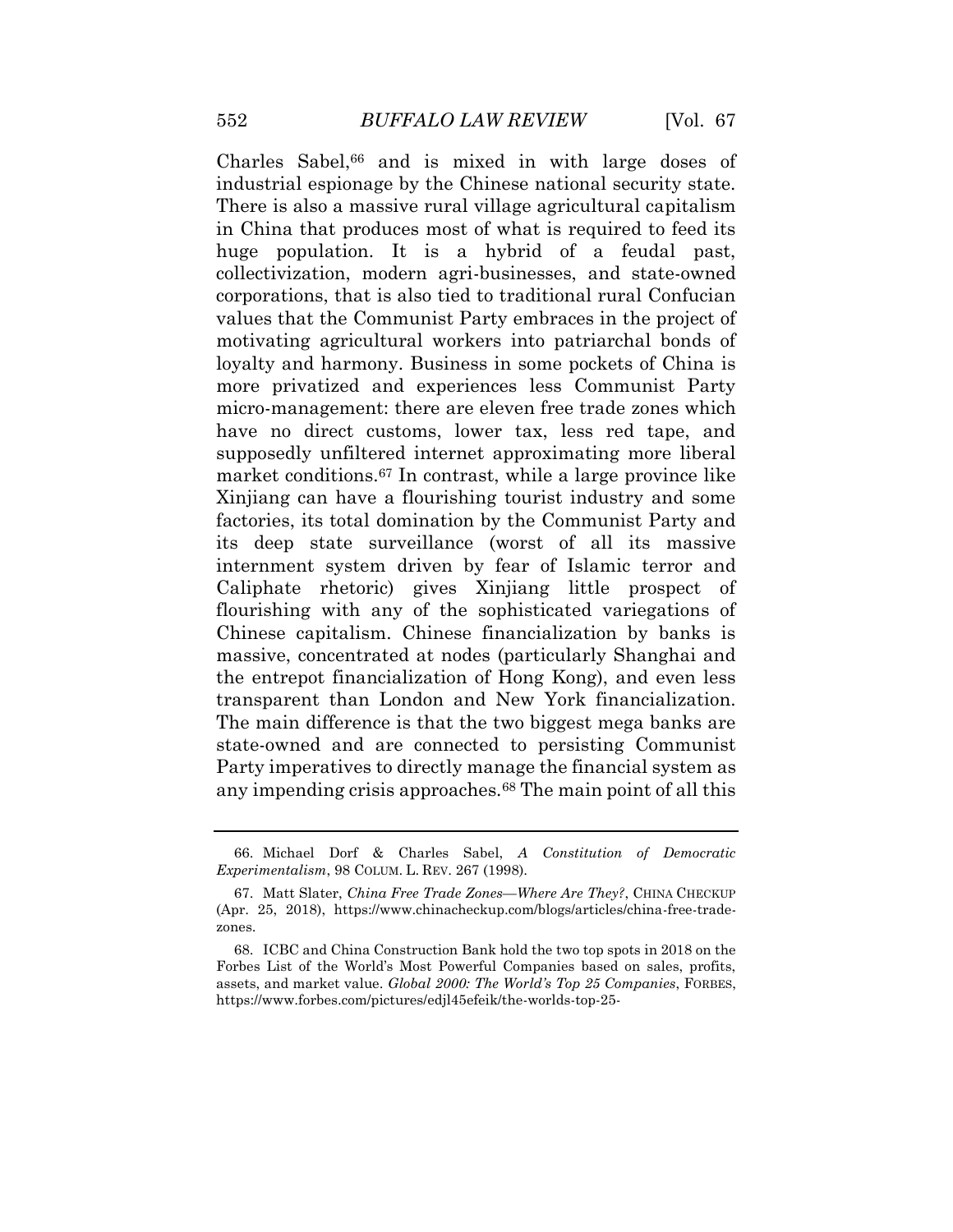Charles Sabel, $66$  and is mixed in with large doses of industrial espionage by the Chinese national security state. There is also a massive rural village agricultural capitalism in China that produces most of what is required to feed its huge population. It is a hybrid of a feudal past, collectivization, modern agri-businesses, and state-owned corporations, that is also tied to traditional rural Confucian values that the Communist Party embraces in the project of motivating agricultural workers into patriarchal bonds of loyalty and harmony. Business in some pockets of China is more privatized and experiences less Communist Party micro-management: there are eleven free trade zones which have no direct customs, lower tax, less red tape, and supposedly unfiltered internet approximating more liberal market conditions.<sup>67</sup> In contrast, while a large province like Xinjiang can have a flourishing tourist industry and some factories, its total domination by the Communist Party and its deep state surveillance (worst of all its massive internment system driven by fear of Islamic terror and Caliphate rhetoric) gives Xinjiang little prospect of flourishing with any of the sophisticated variegations of Chinese capitalism. Chinese financialization by banks is massive, concentrated at nodes (particularly Shanghai and the entrepot financialization of Hong Kong), and even less transparent than London and New York financialization. The main difference is that the two biggest mega banks are state-owned and are connected to persisting Communist Party imperatives to directly manage the financial system as any impending crisis approaches.<sup>68</sup> The main point of all this

<sup>66.</sup> Michael Dorf & Charles Sabel, *A Constitution of Democratic Experimentalism*, 98 COLUM. L. REV. 267 (1998).

<sup>67.</sup> Matt Slater, *China Free Trade Zones—Where Are They?*, CHINA CHECKUP (Apr. 25, 2018), https://www.chinacheckup.com/blogs/articles/china-free-tradezones.

<sup>68.</sup> ICBC and China Construction Bank hold the two top spots in 2018 on the Forbes List of the World's Most Powerful Companies based on sales, profits, assets, and market value. *Global 2000: The World's Top 25 Companies*, FORBES, https://www.forbes.com/pictures/edjl45efeik/the-worlds-top-25-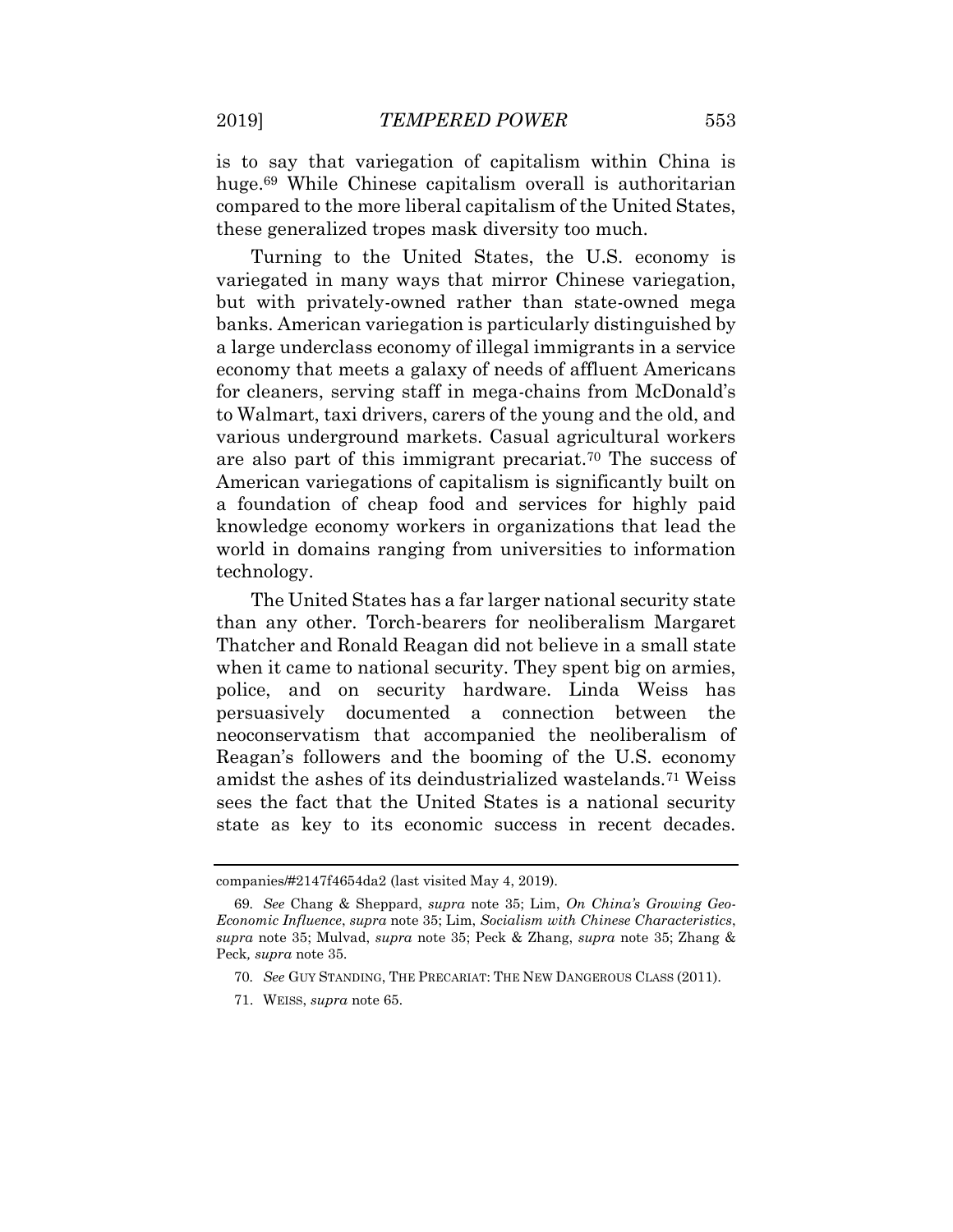is to say that variegation of capitalism within China is huge.<sup>69</sup> While Chinese capitalism overall is authoritarian compared to the more liberal capitalism of the United States, these generalized tropes mask diversity too much.

Turning to the United States, the U.S. economy is variegated in many ways that mirror Chinese variegation, but with privately-owned rather than state-owned mega banks. American variegation is particularly distinguished by a large underclass economy of illegal immigrants in a service economy that meets a galaxy of needs of affluent Americans for cleaners, serving staff in mega-chains from McDonald's to Walmart, taxi drivers, carers of the young and the old, and various underground markets. Casual agricultural workers are also part of this immigrant precariat.<sup>70</sup> The success of American variegations of capitalism is significantly built on a foundation of cheap food and services for highly paid knowledge economy workers in organizations that lead the world in domains ranging from universities to information technology.

The United States has a far larger national security state than any other. Torch-bearers for neoliberalism Margaret Thatcher and Ronald Reagan did not believe in a small state when it came to national security. They spent big on armies, police, and on security hardware. Linda Weiss has persuasively documented a connection between the neoconservatism that accompanied the neoliberalism of Reagan's followers and the booming of the U.S. economy amidst the ashes of its deindustrialized wastelands.<sup>71</sup> Weiss sees the fact that the United States is a national security state as key to its economic success in recent decades.

companies/#2147f4654da2 (last visited May 4, 2019).

<sup>69</sup>*. See* Chang & Sheppard, *supra* note 35; Lim, *On China's Growing Geo-Economic Influence*, *supra* note 35; Lim, *Socialism with Chinese Characteristics*, *supra* note 35; Mulvad, *supra* note 35; Peck & Zhang, *supra* note 35; Zhang & Peck*, supra* note 35.

<sup>70</sup>*. See* GUY STANDING, THE PRECARIAT: THE NEW DANGEROUS CLASS (2011).

<sup>71.</sup> WEISS, *supra* note 65.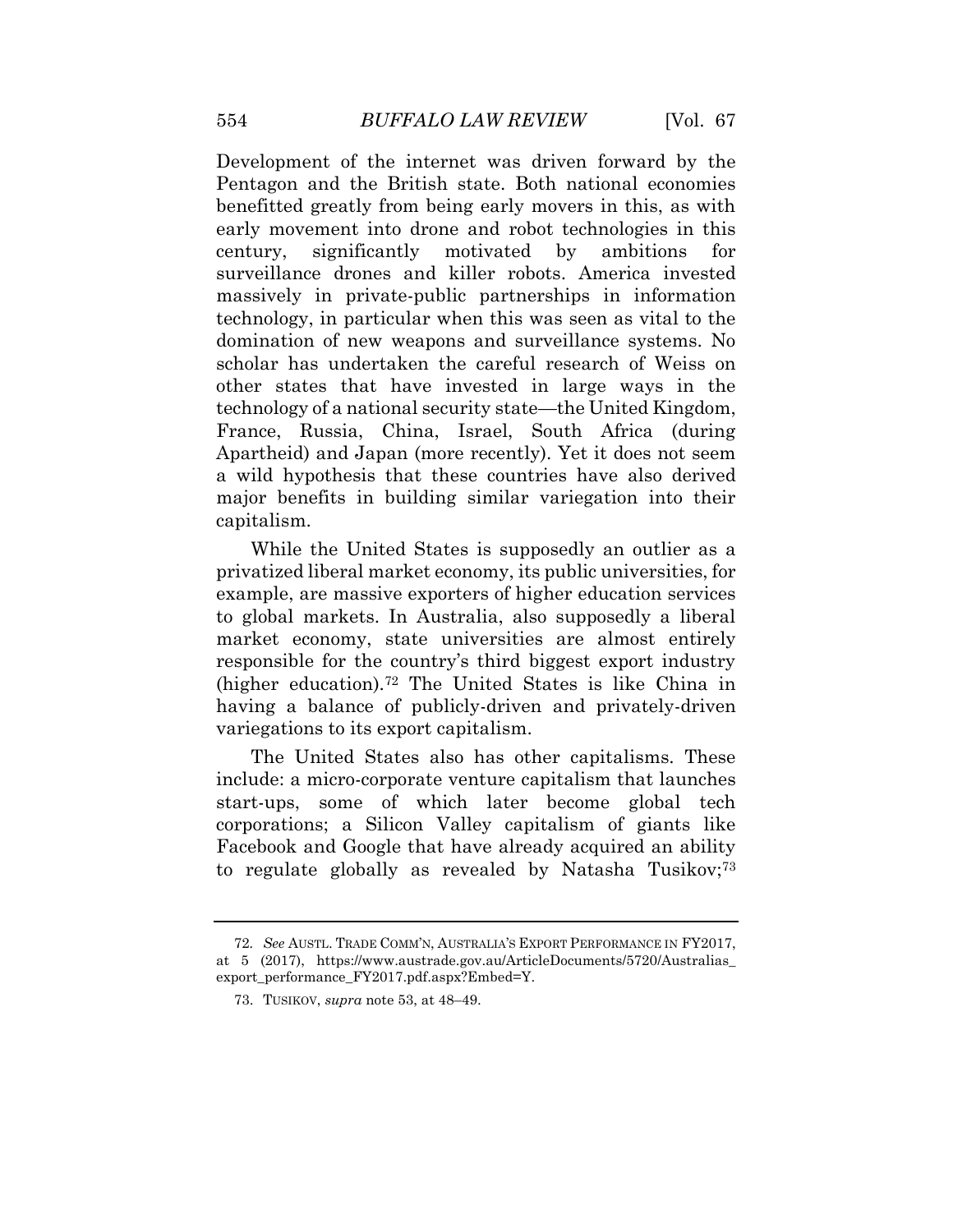Development of the internet was driven forward by the Pentagon and the British state. Both national economies benefitted greatly from being early movers in this, as with early movement into drone and robot technologies in this century, significantly motivated by ambitions for surveillance drones and killer robots. America invested massively in private-public partnerships in information technology, in particular when this was seen as vital to the domination of new weapons and surveillance systems. No scholar has undertaken the careful research of Weiss on other states that have invested in large ways in the technology of a national security state—the United Kingdom, France, Russia, China, Israel, South Africa (during Apartheid) and Japan (more recently). Yet it does not seem a wild hypothesis that these countries have also derived major benefits in building similar variegation into their capitalism.

While the United States is supposedly an outlier as a privatized liberal market economy, its public universities, for example, are massive exporters of higher education services to global markets. In Australia, also supposedly a liberal market economy, state universities are almost entirely responsible for the country's third biggest export industry (higher education).<sup>72</sup> The United States is like China in having a balance of publicly-driven and privately-driven variegations to its export capitalism.

The United States also has other capitalisms. These include: a micro-corporate venture capitalism that launches start-ups, some of which later become global tech corporations; a Silicon Valley capitalism of giants like Facebook and Google that have already acquired an ability to regulate globally as revealed by Natasha Tusikov;<sup>73</sup>

<sup>72</sup>*. See* AUSTL. TRADE COMM'N, AUSTRALIA'S EXPORT PERFORMANCE IN FY2017, at 5 (2017), https://www.austrade.gov.au/ArticleDocuments/5720/Australias\_ export\_performance\_FY2017.pdf.aspx?Embed=Y.

<sup>73.</sup> TUSIKOV, *supra* note 53, at 48–49.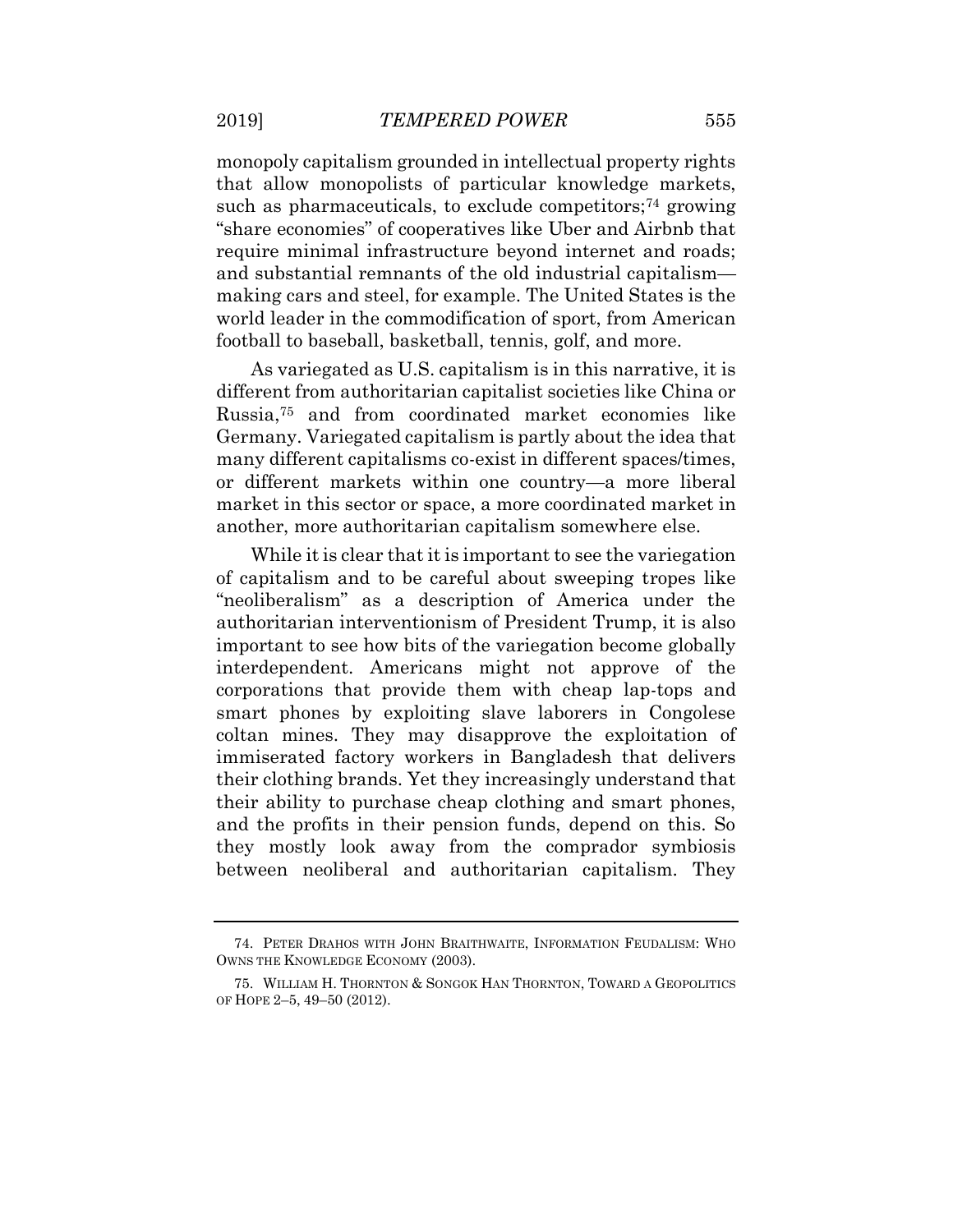monopoly capitalism grounded in intellectual property rights that allow monopolists of particular knowledge markets, such as pharmaceuticals, to exclude competitors;<sup>74</sup> growing "share economies" of cooperatives like Uber and Airbnb that require minimal infrastructure beyond internet and roads; and substantial remnants of the old industrial capitalism making cars and steel, for example. The United States is the world leader in the commodification of sport, from American football to baseball, basketball, tennis, golf, and more.

As variegated as U.S. capitalism is in this narrative, it is different from authoritarian capitalist societies like China or Russia,<sup>75</sup> and from coordinated market economies like Germany. Variegated capitalism is partly about the idea that many different capitalisms co-exist in different spaces/times, or different markets within one country—a more liberal market in this sector or space, a more coordinated market in another, more authoritarian capitalism somewhere else.

While it is clear that it is important to see the variegation of capitalism and to be careful about sweeping tropes like "neoliberalism" as a description of America under the authoritarian interventionism of President Trump, it is also important to see how bits of the variegation become globally interdependent. Americans might not approve of the corporations that provide them with cheap lap-tops and smart phones by exploiting slave laborers in Congolese coltan mines. They may disapprove the exploitation of immiserated factory workers in Bangladesh that delivers their clothing brands. Yet they increasingly understand that their ability to purchase cheap clothing and smart phones, and the profits in their pension funds, depend on this. So they mostly look away from the comprador symbiosis between neoliberal and authoritarian capitalism. They

<sup>74.</sup> PETER DRAHOS WITH JOHN BRAITHWAITE, INFORMATION FEUDALISM: WHO OWNS THE KNOWLEDGE ECONOMY (2003).

<sup>75.</sup> WILLIAM H. THORNTON & SONGOK HAN THORNTON, TOWARD A GEOPOLITICS OF HOPE 2–5, 49–50 (2012).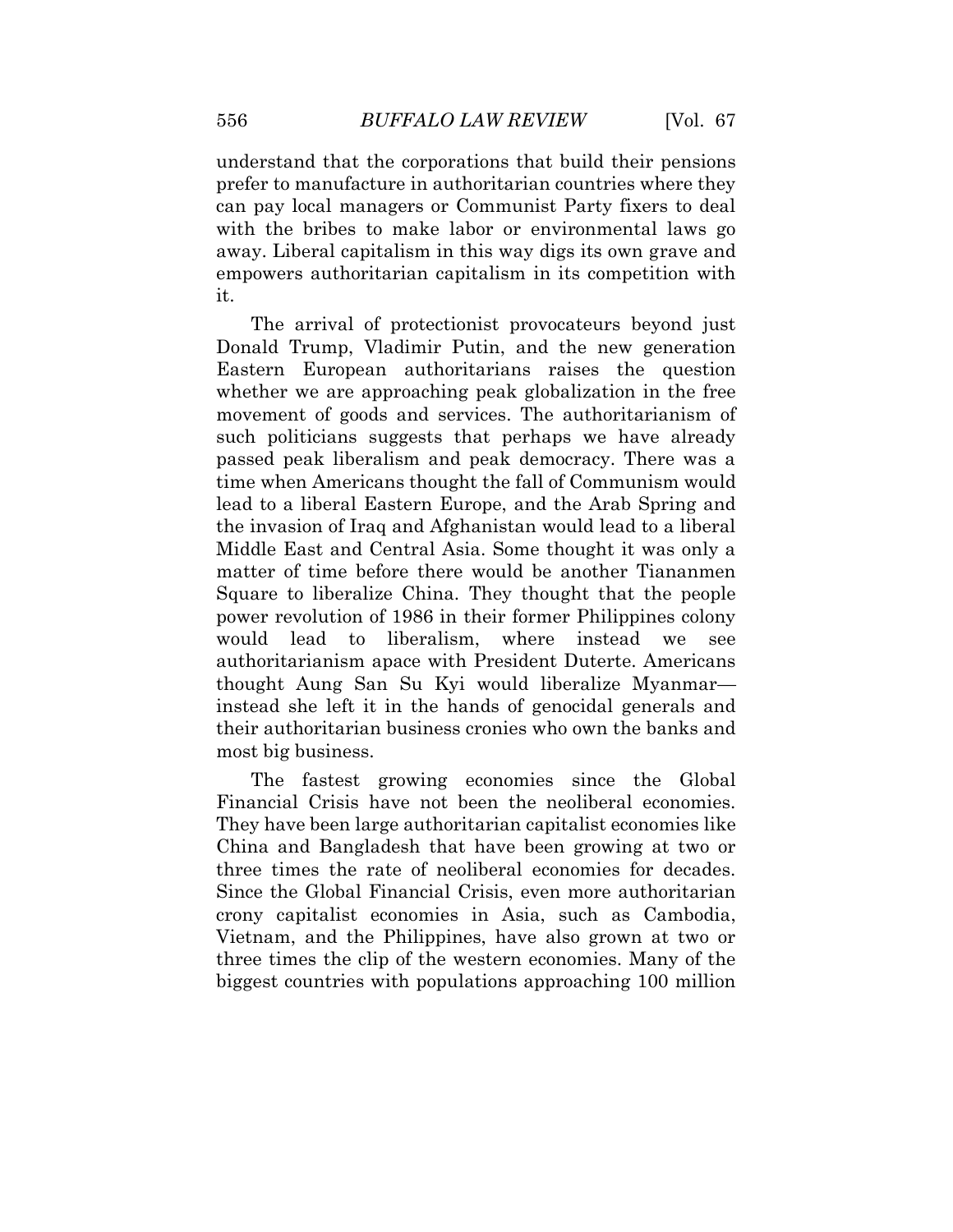understand that the corporations that build their pensions prefer to manufacture in authoritarian countries where they can pay local managers or Communist Party fixers to deal with the bribes to make labor or environmental laws go away. Liberal capitalism in this way digs its own grave and empowers authoritarian capitalism in its competition with it.

The arrival of protectionist provocateurs beyond just Donald Trump, Vladimir Putin, and the new generation Eastern European authoritarians raises the question whether we are approaching peak globalization in the free movement of goods and services. The authoritarianism of such politicians suggests that perhaps we have already passed peak liberalism and peak democracy. There was a time when Americans thought the fall of Communism would lead to a liberal Eastern Europe, and the Arab Spring and the invasion of Iraq and Afghanistan would lead to a liberal Middle East and Central Asia. Some thought it was only a matter of time before there would be another Tiananmen Square to liberalize China. They thought that the people power revolution of 1986 in their former Philippines colony would lead to liberalism, where instead we see authoritarianism apace with President Duterte. Americans thought Aung San Su Kyi would liberalize Myanmar instead she left it in the hands of genocidal generals and their authoritarian business cronies who own the banks and most big business.

The fastest growing economies since the Global Financial Crisis have not been the neoliberal economies. They have been large authoritarian capitalist economies like China and Bangladesh that have been growing at two or three times the rate of neoliberal economies for decades. Since the Global Financial Crisis, even more authoritarian crony capitalist economies in Asia, such as Cambodia, Vietnam, and the Philippines, have also grown at two or three times the clip of the western economies. Many of the biggest countries with populations approaching 100 million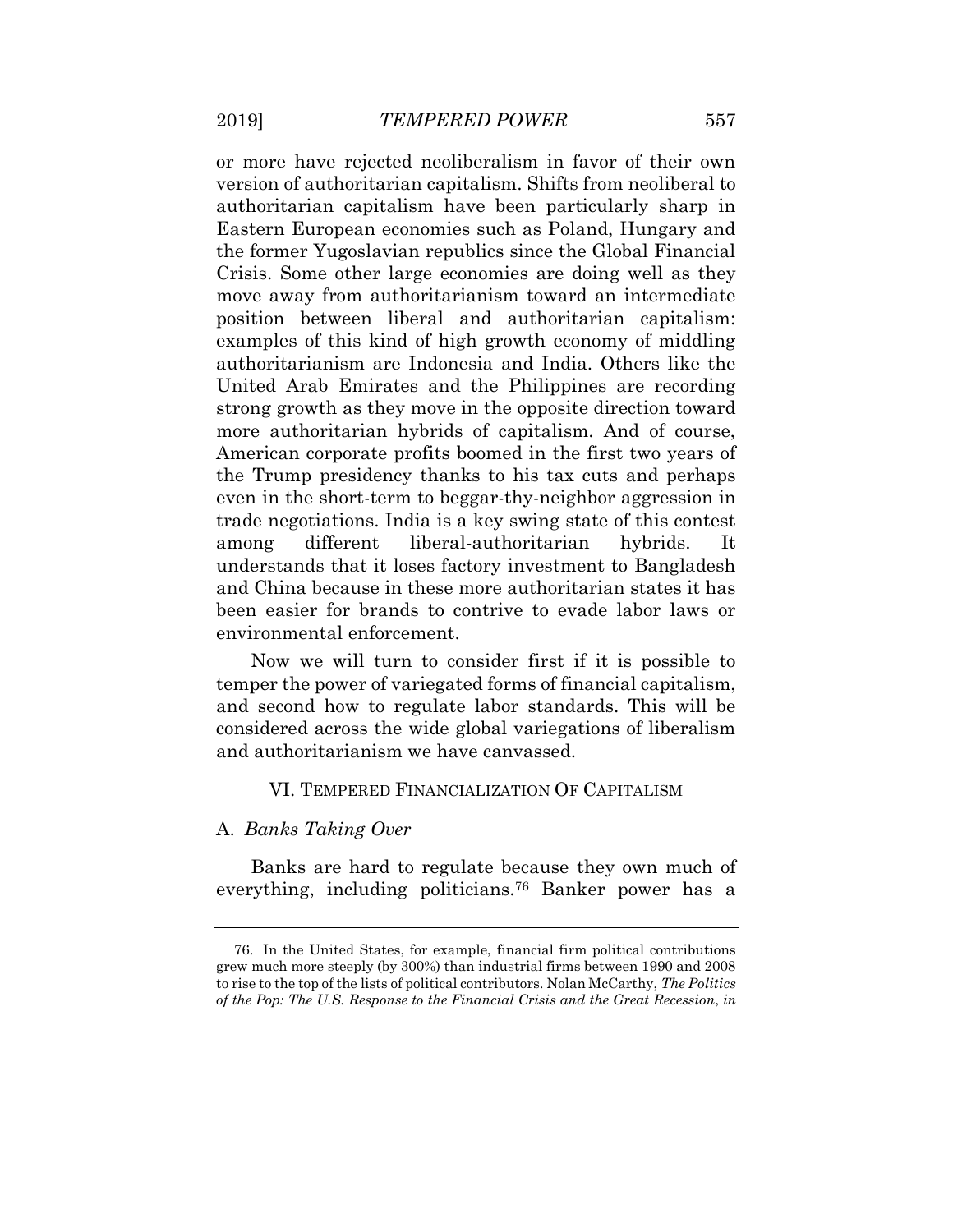or more have rejected neoliberalism in favor of their own version of authoritarian capitalism. Shifts from neoliberal to authoritarian capitalism have been particularly sharp in Eastern European economies such as Poland, Hungary and the former Yugoslavian republics since the Global Financial Crisis. Some other large economies are doing well as they move away from authoritarianism toward an intermediate position between liberal and authoritarian capitalism: examples of this kind of high growth economy of middling authoritarianism are Indonesia and India. Others like the United Arab Emirates and the Philippines are recording strong growth as they move in the opposite direction toward more authoritarian hybrids of capitalism. And of course, American corporate profits boomed in the first two years of the Trump presidency thanks to his tax cuts and perhaps even in the short-term to beggar-thy-neighbor aggression in trade negotiations. India is a key swing state of this contest among different liberal-authoritarian hybrids. It understands that it loses factory investment to Bangladesh and China because in these more authoritarian states it has been easier for brands to contrive to evade labor laws or environmental enforcement.

Now we will turn to consider first if it is possible to temper the power of variegated forms of financial capitalism, and second how to regulate labor standards. This will be considered across the wide global variegations of liberalism and authoritarianism we have canvassed.

#### VI. TEMPERED FINANCIALIZATION OF CAPITALISM

#### A. *Banks Taking Over*

Banks are hard to regulate because they own much of everything, including politicians.<sup>76</sup> Banker power has a

<sup>76.</sup> In the United States, for example, financial firm political contributions grew much more steeply (by 300%) than industrial firms between 1990 and 2008 to rise to the top of the lists of political contributors. Nolan McCarthy, *The Politics of the Pop: The U.S. Response to the Financial Crisis and the Great Recession*, *in*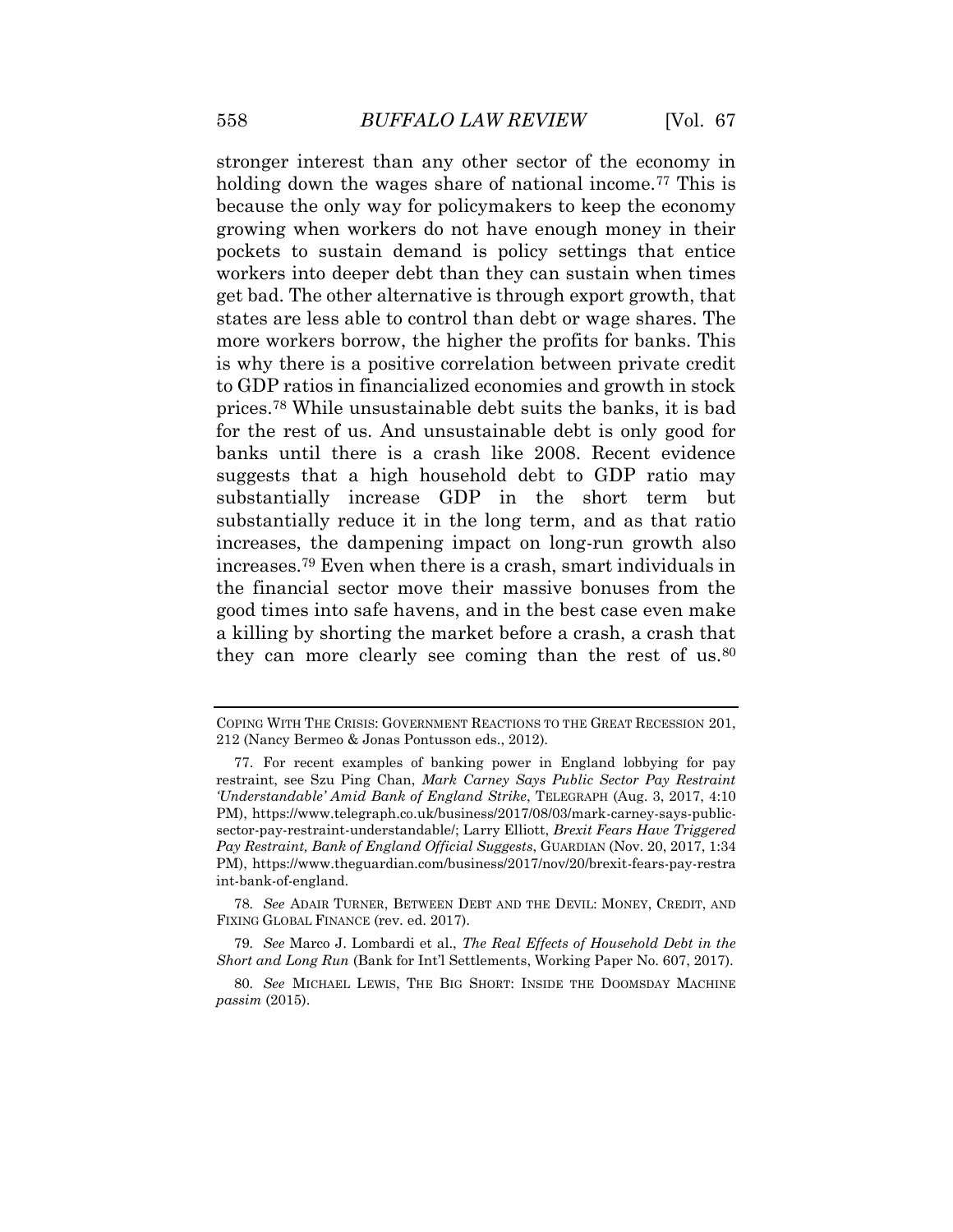stronger interest than any other sector of the economy in holding down the wages share of national income.<sup>77</sup> This is because the only way for policymakers to keep the economy growing when workers do not have enough money in their pockets to sustain demand is policy settings that entice workers into deeper debt than they can sustain when times get bad. The other alternative is through export growth, that states are less able to control than debt or wage shares. The more workers borrow, the higher the profits for banks. This is why there is a positive correlation between private credit to GDP ratios in financialized economies and growth in stock prices.<sup>78</sup> While unsustainable debt suits the banks, it is bad for the rest of us. And unsustainable debt is only good for banks until there is a crash like 2008. Recent evidence suggests that a high household debt to GDP ratio may substantially increase GDP in the short term but substantially reduce it in the long term, and as that ratio increases, the dampening impact on long-run growth also increases.<sup>79</sup> Even when there is a crash, smart individuals in the financial sector move their massive bonuses from the good times into safe havens, and in the best case even make a killing by shorting the market before a crash, a crash that they can more clearly see coming than the rest of us.<sup>80</sup>

78*. See* ADAIR TURNER, BETWEEN DEBT AND THE DEVIL: MONEY, CREDIT, AND FIXING GLOBAL FINANCE (rev. ed. 2017).

79*. See* Marco J. Lombardi et al., *The Real Effects of Household Debt in the Short and Long Run* (Bank for Int'l Settlements, Working Paper No. 607, 2017).

80*. See* MICHAEL LEWIS, THE BIG SHORT: INSIDE THE DOOMSDAY MACHINE *passim* (2015).

COPING WITH THE CRISIS: GOVERNMENT REACTIONS TO THE GREAT RECESSION 201, 212 (Nancy Bermeo & Jonas Pontusson eds., 2012).

<sup>77.</sup> For recent examples of banking power in England lobbying for pay restraint, see Szu Ping Chan, *Mark Carney Says Public Sector Pay Restraint 'Understandable' Amid Bank of England Strike*, TELEGRAPH (Aug. 3, 2017, 4:10 PM), https://www.telegraph.co.uk/business/2017/08/03/mark-carney-says-publicsector-pay-restraint-understandable/; Larry Elliott, *Brexit Fears Have Triggered Pay Restraint, Bank of England Official Suggests*, GUARDIAN (Nov. 20, 2017, 1:34 PM), https://www.theguardian.com/business/2017/nov/20/brexit-fears-pay-restra int-bank-of-england.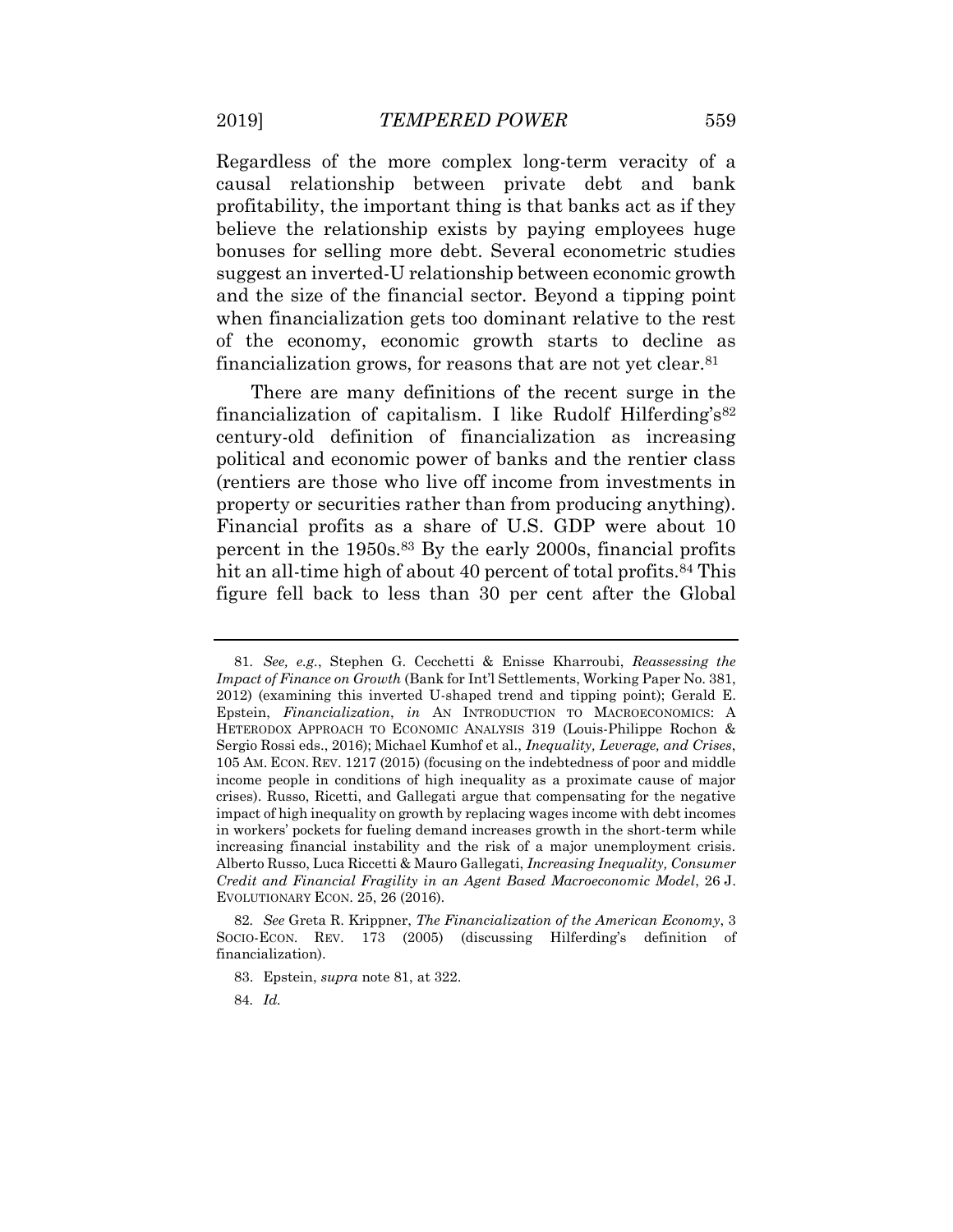Regardless of the more complex long-term veracity of a causal relationship between private debt and bank profitability, the important thing is that banks act as if they believe the relationship exists by paying employees huge bonuses for selling more debt. Several econometric studies suggest an inverted-U relationship between economic growth and the size of the financial sector. Beyond a tipping point when financialization gets too dominant relative to the rest of the economy, economic growth starts to decline as financialization grows, for reasons that are not yet clear.<sup>81</sup>

There are many definitions of the recent surge in the financialization of capitalism. I like Rudolf Hilferding's<sup>82</sup> century-old definition of financialization as increasing political and economic power of banks and the rentier class (rentiers are those who live off income from investments in property or securities rather than from producing anything). Financial profits as a share of U.S. GDP were about 10 percent in the 1950s.<sup>83</sup> By the early 2000s, financial profits hit an all-time high of about 40 percent of total profits.<sup>84</sup> This figure fell back to less than 30 per cent after the Global

<sup>81</sup>*. See, e.g.*, Stephen G. Cecchetti & Enisse Kharroubi, *Reassessing the Impact of Finance on Growth* (Bank for Int'l Settlements, Working Paper No. 381, 2012) (examining this inverted U-shaped trend and tipping point); Gerald E. Epstein, *Financialization*, *in* AN INTRODUCTION TO MACROECONOMICS: A HETERODOX APPROACH TO ECONOMIC ANALYSIS 319 (Louis-Philippe Rochon & Sergio Rossi eds., 2016); Michael Kumhof et al., *Inequality, Leverage, and Crises*, 105 AM. ECON. REV. 1217 (2015) (focusing on the indebtedness of poor and middle income people in conditions of high inequality as a proximate cause of major crises). Russo, Ricetti, and Gallegati argue that compensating for the negative impact of high inequality on growth by replacing wages income with debt incomes in workers' pockets for fueling demand increases growth in the short-term while increasing financial instability and the risk of a major unemployment crisis. Alberto Russo, Luca Riccetti & Mauro Gallegati, *Increasing Inequality, Consumer Credit and Financial Fragility in an Agent Based Macroeconomic Model*, 26 J. EVOLUTIONARY ECON. 25, 26 (2016).

<sup>82</sup>*. See* Greta R. Krippner, *The Financialization of the American Economy*, 3 SOCIO-ECON. REV. 173 (2005) (discussing Hilferding's definition of financialization).

<sup>83.</sup> Epstein, *supra* note 81, at 322.

<sup>84</sup>*. Id.*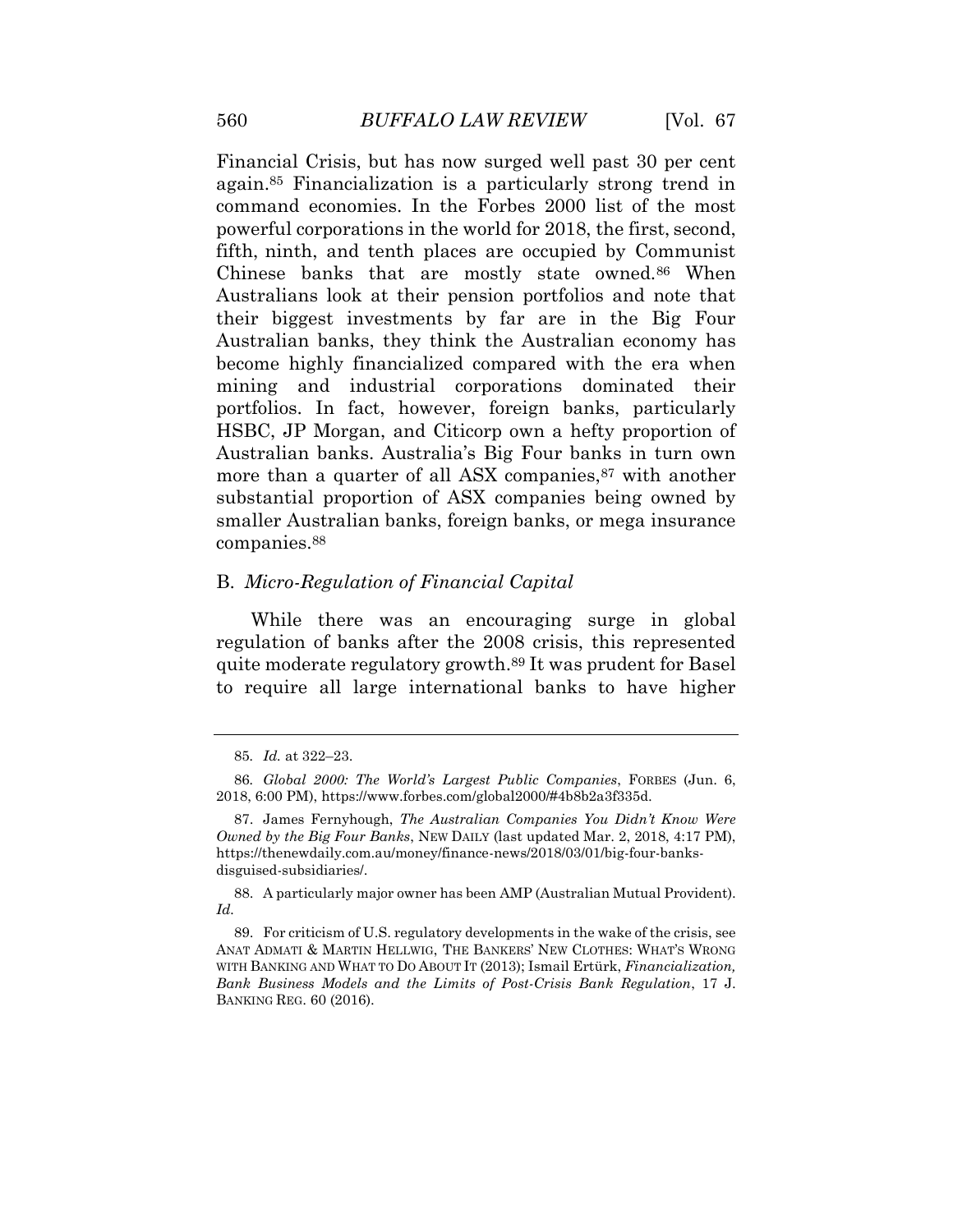Financial Crisis, but has now surged well past 30 per cent again.<sup>85</sup> Financialization is a particularly strong trend in command economies. In the Forbes 2000 list of the most powerful corporations in the world for 2018, the first, second, fifth, ninth, and tenth places are occupied by Communist Chinese banks that are mostly state owned.<sup>86</sup> When Australians look at their pension portfolios and note that their biggest investments by far are in the Big Four Australian banks, they think the Australian economy has become highly financialized compared with the era when mining and industrial corporations dominated their portfolios. In fact, however, foreign banks, particularly HSBC, JP Morgan, and Citicorp own a hefty proportion of Australian banks. Australia's Big Four banks in turn own more than a quarter of all ASX companies,<sup>87</sup> with another substantial proportion of ASX companies being owned by smaller Australian banks, foreign banks, or mega insurance companies.<sup>88</sup>

# B. *Micro-Regulation of Financial Capital*

While there was an encouraging surge in global regulation of banks after the 2008 crisis, this represented quite moderate regulatory growth.<sup>89</sup> It was prudent for Basel to require all large international banks to have higher

<sup>85</sup>*. Id.* at 322–23.

<sup>86</sup>*. Global 2000: The World's Largest Public Companies*, FORBES (Jun. 6, 2018, 6:00 PM), https://www.forbes.com/global2000/#4b8b2a3f335d.

<sup>87.</sup> James Fernyhough, *The Australian Companies You Didn't Know Were Owned by the Big Four Banks*, NEW DAILY (last updated Mar. 2, 2018, 4:17 PM), https://thenewdaily.com.au/money/finance-news/2018/03/01/big-four-banksdisguised-subsidiaries/.

<sup>88.</sup> A particularly major owner has been AMP (Australian Mutual Provident). *Id.*

<sup>89.</sup> For criticism of U.S. regulatory developments in the wake of the crisis, see ANAT ADMATI & MARTIN HELLWIG, THE BANKERS' NEW CLOTHES: WHAT'S WRONG WITH BANKING AND WHAT TO DO ABOUT IT (2013); Ismail Ertürk, *Financialization, Bank Business Models and the Limits of Post-Crisis Bank Regulation*, 17 J. BANKING REG. 60 (2016).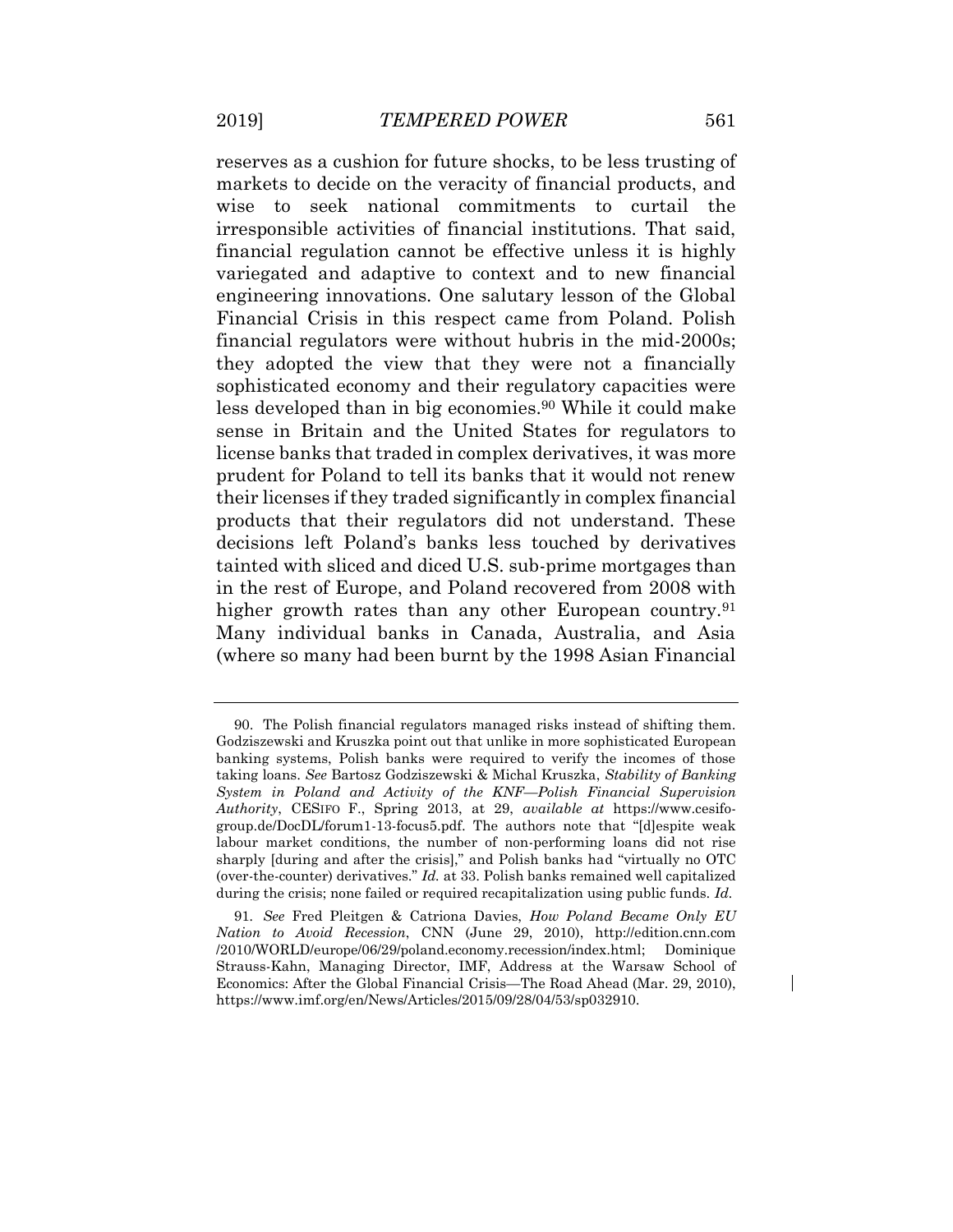reserves as a cushion for future shocks, to be less trusting of markets to decide on the veracity of financial products, and wise to seek national commitments to curtail the irresponsible activities of financial institutions. That said, financial regulation cannot be effective unless it is highly variegated and adaptive to context and to new financial engineering innovations. One salutary lesson of the Global Financial Crisis in this respect came from Poland. Polish financial regulators were without hubris in the mid-2000s; they adopted the view that they were not a financially sophisticated economy and their regulatory capacities were less developed than in big economies.<sup>90</sup> While it could make sense in Britain and the United States for regulators to license banks that traded in complex derivatives, it was more prudent for Poland to tell its banks that it would not renew their licenses if they traded significantly in complex financial products that their regulators did not understand. These decisions left Poland's banks less touched by derivatives tainted with sliced and diced U.S. sub-prime mortgages than in the rest of Europe, and Poland recovered from 2008 with higher growth rates than any other European country.<sup>91</sup> Many individual banks in Canada, Australia, and Asia (where so many had been burnt by the 1998 Asian Financial

<sup>90.</sup> The Polish financial regulators managed risks instead of shifting them. Godziszewski and Kruszka point out that unlike in more sophisticated European banking systems, Polish banks were required to verify the incomes of those taking loans. *See* Bartosz Godziszewski & Michal Kruszka, *Stability of Banking System in Poland and Activity of the KNF—Polish Financial Supervision Authority*, CESIFO F., Spring 2013, at 29, *available at* https://www.cesifogroup.de/DocDL/forum1-13-focus5.pdf. The authors note that "[d]espite weak labour market conditions, the number of non-performing loans did not rise sharply [during and after the crisis]," and Polish banks had "virtually no OTC (over-the-counter) derivatives." *Id.* at 33. Polish banks remained well capitalized during the crisis; none failed or required recapitalization using public funds. *Id.*

<sup>91</sup>*. See* Fred Pleitgen & Catriona Davies, *How Poland Became Only EU Nation to Avoid Recession*, CNN (June 29, 2010), http://edition.cnn.com /2010/WORLD/europe/06/29/poland.economy.recession/index.html; Dominique Strauss-Kahn, Managing Director, IMF, Address at the Warsaw School of Economics: After the Global Financial Crisis—The Road Ahead (Mar. 29, 2010), https://www.imf.org/en/News/Articles/2015/09/28/04/53/sp032910.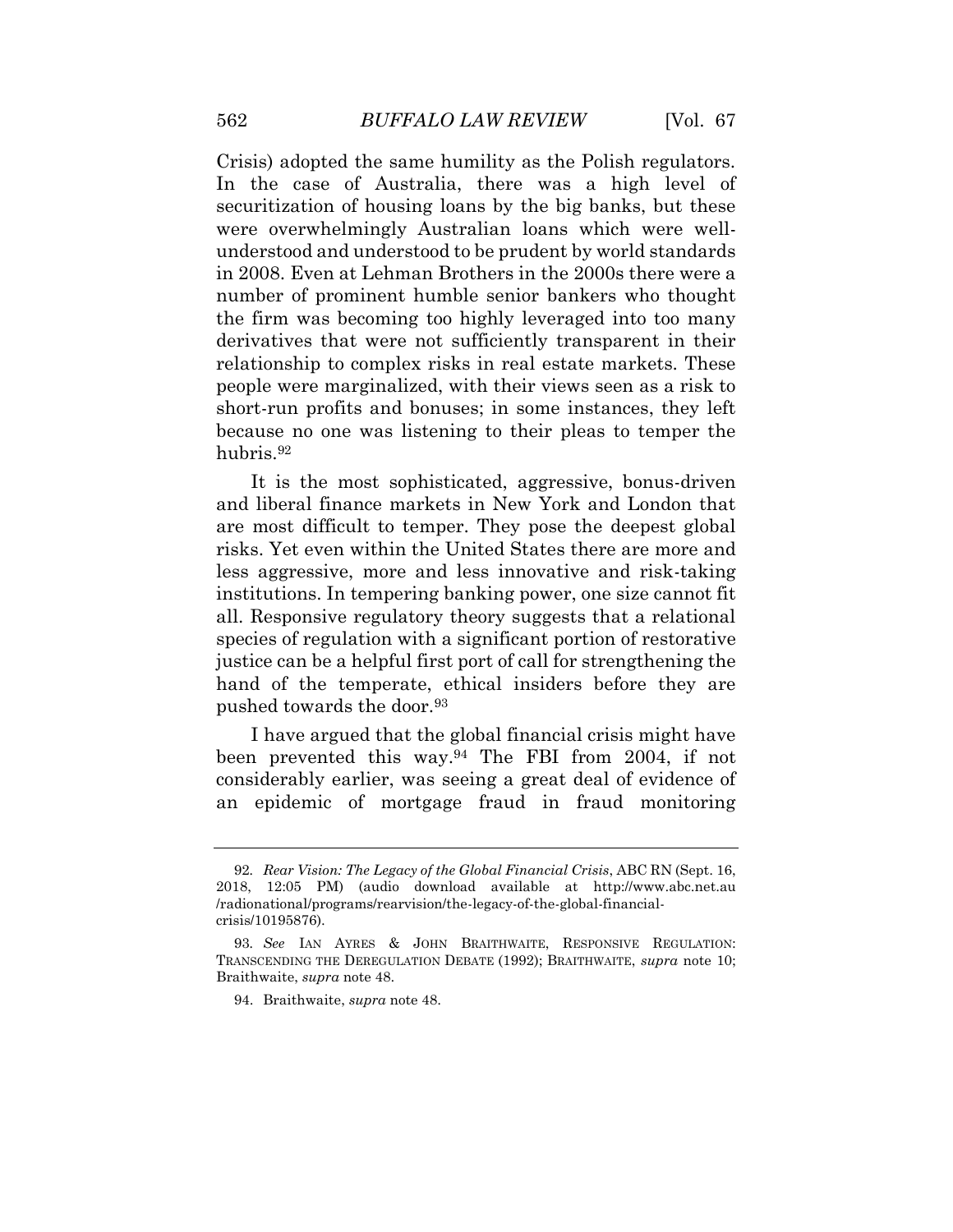Crisis) adopted the same humility as the Polish regulators. In the case of Australia, there was a high level of securitization of housing loans by the big banks, but these were overwhelmingly Australian loans which were wellunderstood and understood to be prudent by world standards in 2008. Even at Lehman Brothers in the 2000s there were a number of prominent humble senior bankers who thought the firm was becoming too highly leveraged into too many derivatives that were not sufficiently transparent in their relationship to complex risks in real estate markets. These people were marginalized, with their views seen as a risk to short-run profits and bonuses; in some instances, they left because no one was listening to their pleas to temper the hubris.<sup>92</sup>

It is the most sophisticated, aggressive, bonus-driven and liberal finance markets in New York and London that are most difficult to temper. They pose the deepest global risks. Yet even within the United States there are more and less aggressive, more and less innovative and risk-taking institutions. In tempering banking power, one size cannot fit all. Responsive regulatory theory suggests that a relational species of regulation with a significant portion of restorative justice can be a helpful first port of call for strengthening the hand of the temperate, ethical insiders before they are pushed towards the door.<sup>93</sup>

I have argued that the global financial crisis might have been prevented this way.<sup>94</sup> The FBI from 2004, if not considerably earlier, was seeing a great deal of evidence of an epidemic of mortgage fraud in fraud monitoring

<sup>92</sup>*. Rear Vision: The Legacy of the Global Financial Crisis*, ABC RN (Sept. 16, 2018, 12:05 PM) (audio download available at http://www.abc.net.au /radionational/programs/rearvision/the-legacy-of-the-global-financialcrisis/10195876).

<sup>93</sup>*. See* IAN AYRES & JOHN BRAITHWAITE, RESPONSIVE REGULATION: TRANSCENDING THE DEREGULATION DEBATE (1992); BRAITHWAITE, *supra* note 10; Braithwaite, *supra* note 48.

<sup>94.</sup> Braithwaite, *supra* note 48.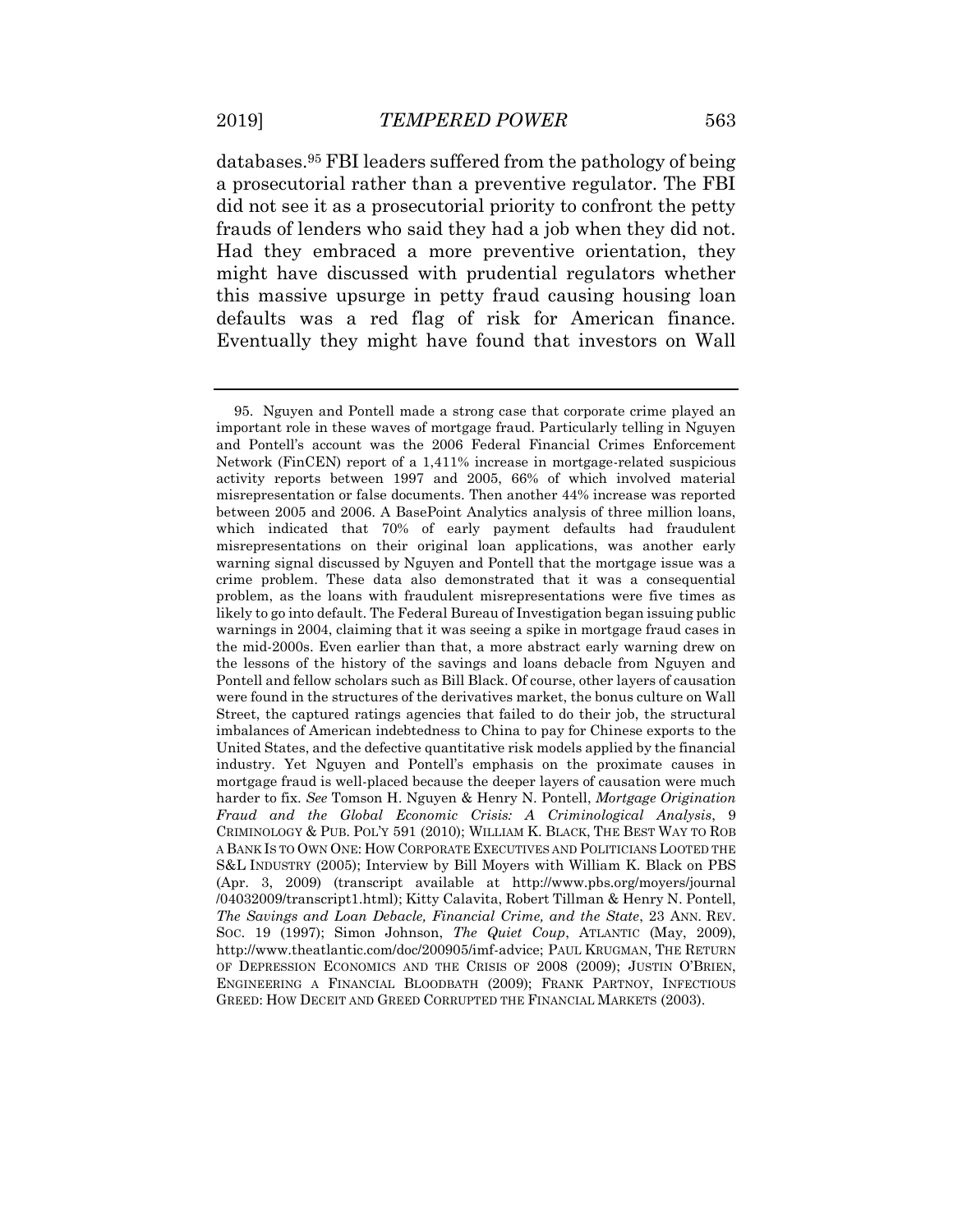databases.<sup>95</sup> FBI leaders suffered from the pathology of being a prosecutorial rather than a preventive regulator. The FBI did not see it as a prosecutorial priority to confront the petty frauds of lenders who said they had a job when they did not. Had they embraced a more preventive orientation, they might have discussed with prudential regulators whether this massive upsurge in petty fraud causing housing loan defaults was a red flag of risk for American finance. Eventually they might have found that investors on Wall

<sup>95.</sup> Nguyen and Pontell made a strong case that corporate crime played an important role in these waves of mortgage fraud. Particularly telling in Nguyen and Pontell's account was the 2006 Federal Financial Crimes Enforcement Network (FinCEN) report of a 1,411% increase in mortgage-related suspicious activity reports between 1997 and 2005, 66% of which involved material misrepresentation or false documents. Then another 44% increase was reported between 2005 and 2006. A BasePoint Analytics analysis of three million loans, which indicated that 70% of early payment defaults had fraudulent misrepresentations on their original loan applications, was another early warning signal discussed by Nguyen and Pontell that the mortgage issue was a crime problem. These data also demonstrated that it was a consequential problem, as the loans with fraudulent misrepresentations were five times as likely to go into default. The Federal Bureau of Investigation began issuing public warnings in 2004, claiming that it was seeing a spike in mortgage fraud cases in the mid-2000s. Even earlier than that, a more abstract early warning drew on the lessons of the history of the savings and loans debacle from Nguyen and Pontell and fellow scholars such as Bill Black. Of course, other layers of causation were found in the structures of the derivatives market, the bonus culture on Wall Street, the captured ratings agencies that failed to do their job, the structural imbalances of American indebtedness to China to pay for Chinese exports to the United States, and the defective quantitative risk models applied by the financial industry. Yet Nguyen and Pontell's emphasis on the proximate causes in mortgage fraud is well-placed because the deeper layers of causation were much harder to fix. *See* Tomson H. Nguyen & Henry N. Pontell, *Mortgage Origination Fraud and the Global Economic Crisis: A Criminological Analysis*, 9 CRIMINOLOGY & PUB. POL'Y 591 (2010); WILLIAM K. BLACK, THE BEST WAY TO ROB A BANK IS TO OWN ONE: HOW CORPORATE EXECUTIVES AND POLITICIANS LOOTED THE S&L INDUSTRY (2005); Interview by Bill Moyers with William K. Black on PBS (Apr. 3, 2009) (transcript available at http://www.pbs.org/moyers/journal /04032009/transcript1.html); Kitty Calavita, Robert Tillman & Henry N. Pontell, *The Savings and Loan Debacle, Financial Crime, and the State*, 23 ANN. REV. SOC. 19 (1997); Simon Johnson, *The Quiet Coup*, ATLANTIC (May, 2009), http://www.theatlantic.com/doc/200905/imf-advice; PAUL KRUGMAN, THE RETURN OF DEPRESSION ECONOMICS AND THE CRISIS OF 2008 (2009); JUSTIN O'BRIEN, ENGINEERING A FINANCIAL BLOODBATH (2009); FRANK PARTNOY, INFECTIOUS GREED: HOW DECEIT AND GREED CORRUPTED THE FINANCIAL MARKETS (2003).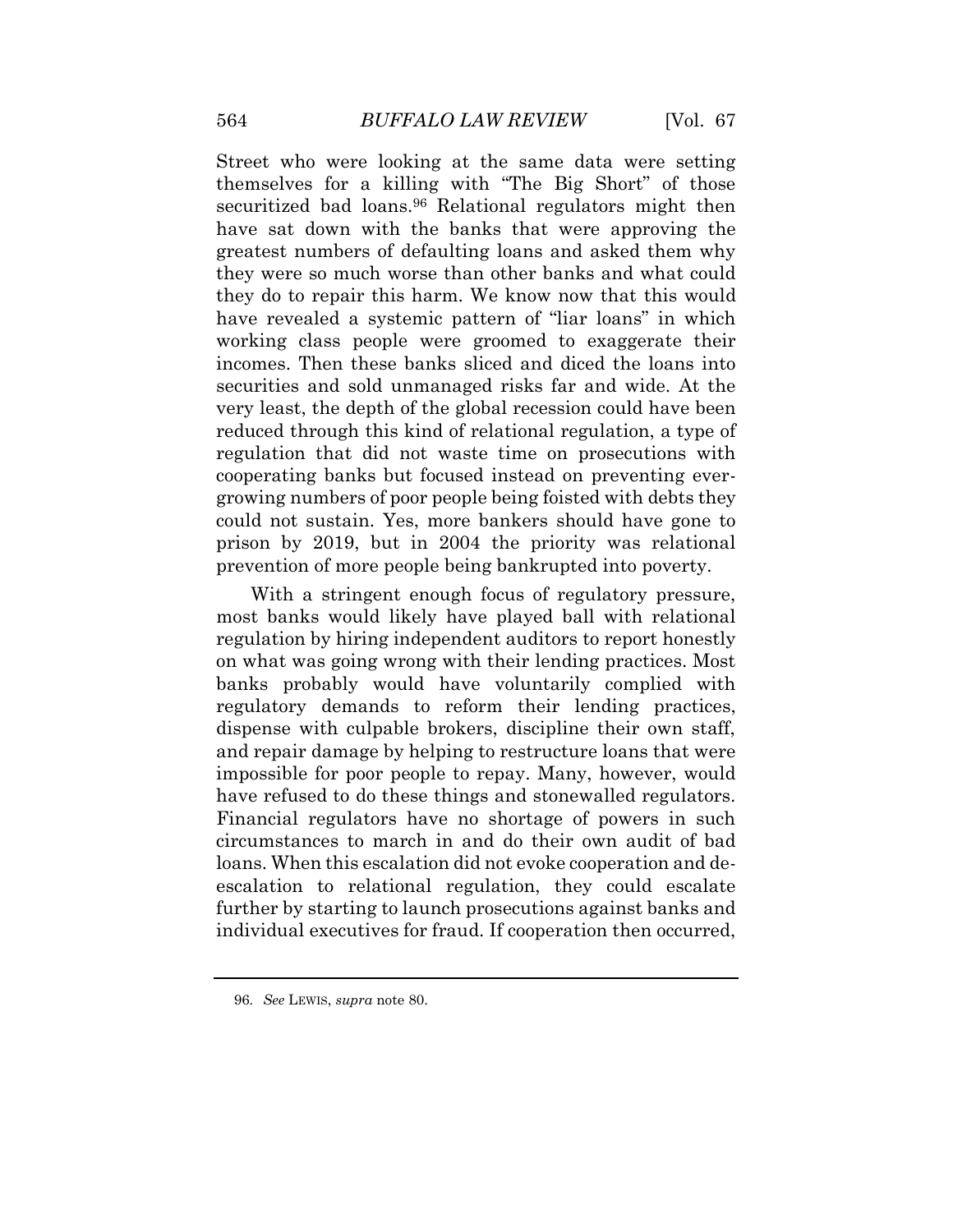Street who were looking at the same data were setting themselves for a killing with "The Big Short" of those securitized bad loans.<sup>96</sup> Relational regulators might then have sat down with the banks that were approving the greatest numbers of defaulting loans and asked them why they were so much worse than other banks and what could they do to repair this harm. We know now that this would have revealed a systemic pattern of "liar loans" in which working class people were groomed to exaggerate their incomes. Then these banks sliced and diced the loans into securities and sold unmanaged risks far and wide. At the very least, the depth of the global recession could have been reduced through this kind of relational regulation, a type of regulation that did not waste time on prosecutions with cooperating banks but focused instead on preventing evergrowing numbers of poor people being foisted with debts they could not sustain. Yes, more bankers should have gone to prison by 2019, but in 2004 the priority was relational prevention of more people being bankrupted into poverty.

With a stringent enough focus of regulatory pressure, most banks would likely have played ball with relational regulation by hiring independent auditors to report honestly on what was going wrong with their lending practices. Most banks probably would have voluntarily complied with regulatory demands to reform their lending practices, dispense with culpable brokers, discipline their own staff, and repair damage by helping to restructure loans that were impossible for poor people to repay. Many, however, would have refused to do these things and stonewalled regulators. Financial regulators have no shortage of powers in such circumstances to march in and do their own audit of bad loans. When this escalation did not evoke cooperation and deescalation to relational regulation, they could escalate further by starting to launch prosecutions against banks and individual executives for fraud. If cooperation then occurred,

<sup>96</sup>*. See* LEWIS, *supra* note 80.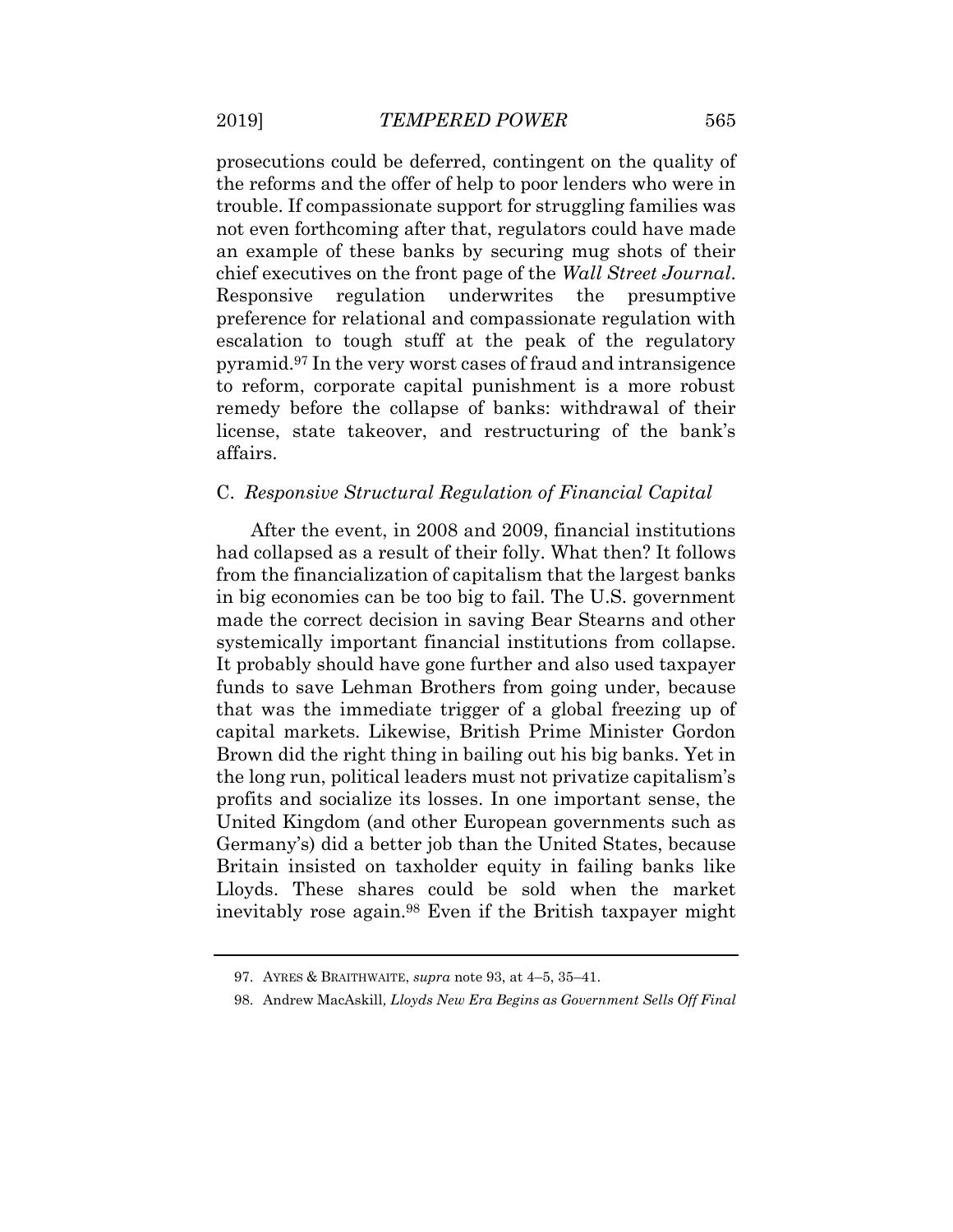prosecutions could be deferred, contingent on the quality of the reforms and the offer of help to poor lenders who were in trouble. If compassionate support for struggling families was not even forthcoming after that, regulators could have made an example of these banks by securing mug shots of their chief executives on the front page of the *Wall Street Journal*. Responsive regulation underwrites the presumptive preference for relational and compassionate regulation with escalation to tough stuff at the peak of the regulatory pyramid.<sup>97</sup> In the very worst cases of fraud and intransigence to reform, corporate capital punishment is a more robust remedy before the collapse of banks: withdrawal of their license, state takeover, and restructuring of the bank's affairs.

#### C. *Responsive Structural Regulation of Financial Capital*

After the event, in 2008 and 2009, financial institutions had collapsed as a result of their folly. What then? It follows from the financialization of capitalism that the largest banks in big economies can be too big to fail. The U.S. government made the correct decision in saving Bear Stearns and other systemically important financial institutions from collapse. It probably should have gone further and also used taxpayer funds to save Lehman Brothers from going under, because that was the immediate trigger of a global freezing up of capital markets. Likewise, British Prime Minister Gordon Brown did the right thing in bailing out his big banks. Yet in the long run, political leaders must not privatize capitalism's profits and socialize its losses. In one important sense, the United Kingdom (and other European governments such as Germany's) did a better job than the United States, because Britain insisted on taxholder equity in failing banks like Lloyds. These shares could be sold when the market inevitably rose again.<sup>98</sup> Even if the British taxpayer might

<sup>97.</sup> AYRES & BRAITHWAITE, *supra* note 93, at 4–5, 35–41.

<sup>98.</sup> Andrew MacAskill*, Lloyds New Era Begins as Government Sells Off Final*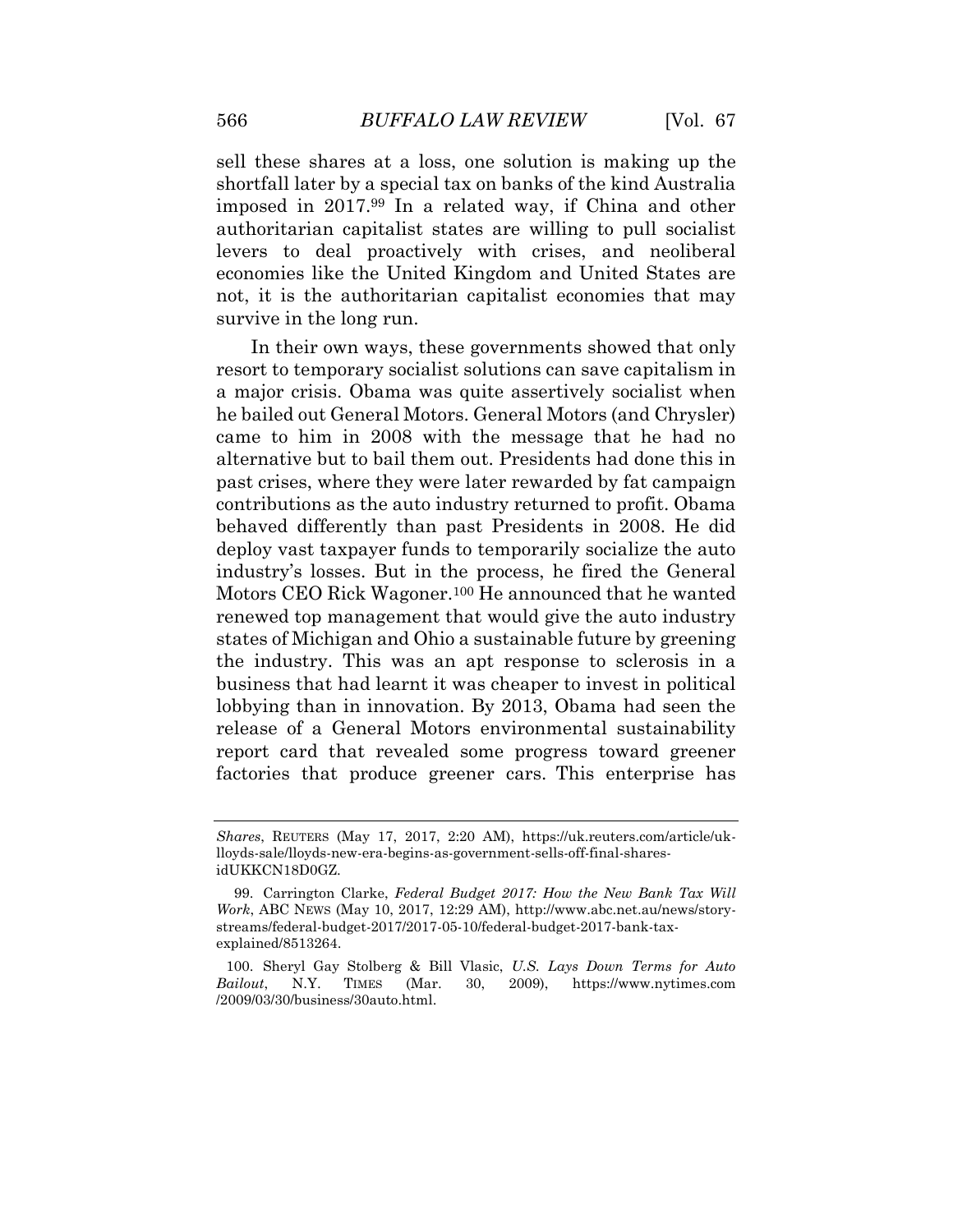sell these shares at a loss, one solution is making up the shortfall later by a special tax on banks of the kind Australia imposed in 2017.<sup>99</sup> In a related way, if China and other authoritarian capitalist states are willing to pull socialist levers to deal proactively with crises, and neoliberal economies like the United Kingdom and United States are not, it is the authoritarian capitalist economies that may survive in the long run.

In their own ways, these governments showed that only resort to temporary socialist solutions can save capitalism in a major crisis. Obama was quite assertively socialist when he bailed out General Motors. General Motors (and Chrysler) came to him in 2008 with the message that he had no alternative but to bail them out. Presidents had done this in past crises, where they were later rewarded by fat campaign contributions as the auto industry returned to profit. Obama behaved differently than past Presidents in 2008. He did deploy vast taxpayer funds to temporarily socialize the auto industry's losses. But in the process, he fired the General Motors CEO Rick Wagoner.<sup>100</sup> He announced that he wanted renewed top management that would give the auto industry states of Michigan and Ohio a sustainable future by greening the industry. This was an apt response to sclerosis in a business that had learnt it was cheaper to invest in political lobbying than in innovation. By 2013, Obama had seen the release of a General Motors environmental sustainability report card that revealed some progress toward greener factories that produce greener cars. This enterprise has

*Shares*, REUTERS (May 17, 2017, 2:20 AM), https://uk.reuters.com/article/uklloyds-sale/lloyds-new-era-begins-as-government-sells-off-final-sharesidUKKCN18D0GZ.

<sup>99.</sup> Carrington Clarke, *Federal Budget 2017: How the New Bank Tax Will Work*, ABC NEWS (May 10, 2017, 12:29 AM), http://www.abc.net.au/news/storystreams/federal-budget-2017/2017-05-10/federal-budget-2017-bank-taxexplained/8513264.

<sup>100.</sup> Sheryl Gay Stolberg & Bill Vlasic, *U.S. Lays Down Terms for Auto Bailout*, N.Y. TIMES (Mar. 30, 2009), https://www.nytimes.com /2009/03/30/business/30auto.html.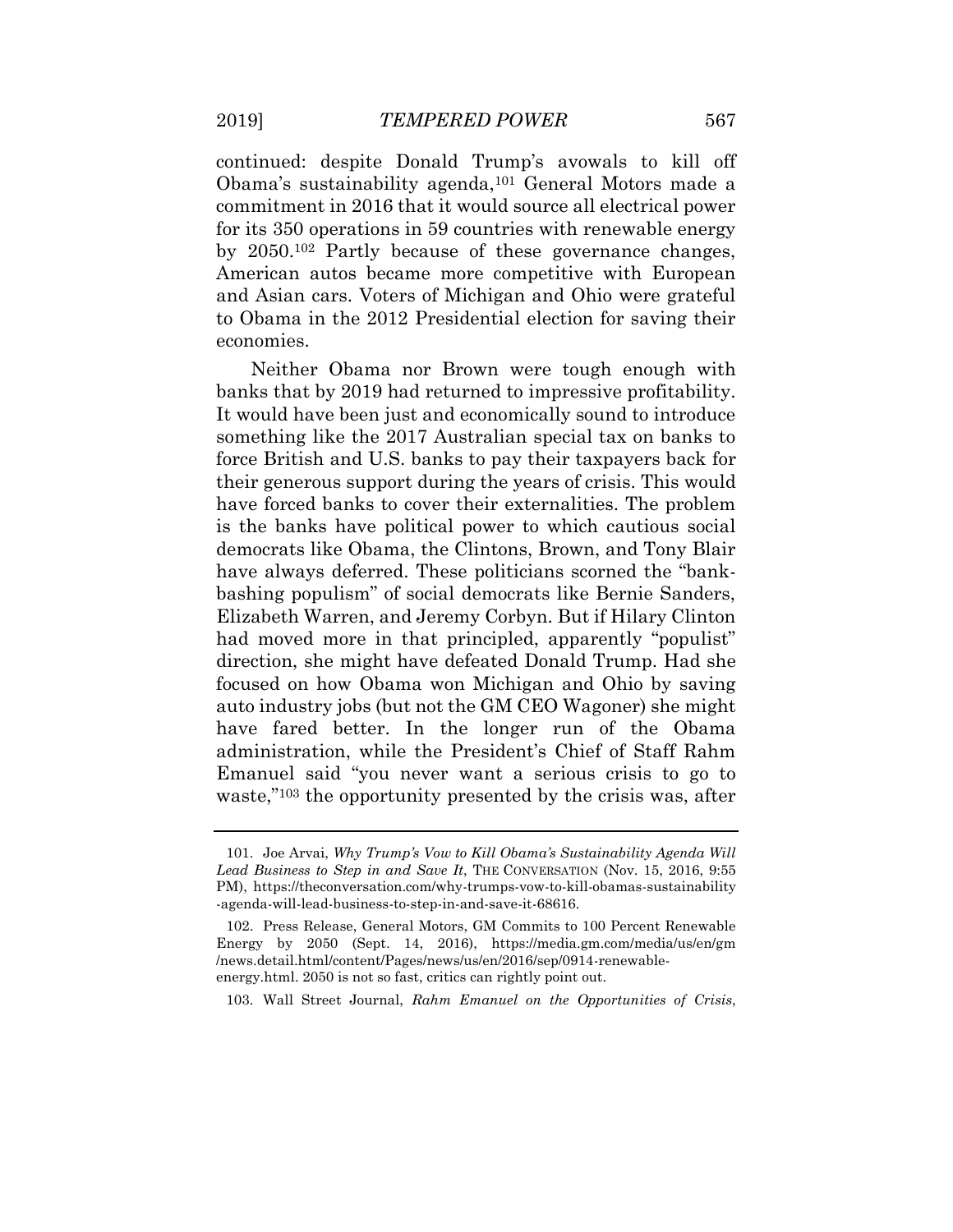continued: despite Donald Trump's avowals to kill off Obama's sustainability agenda,<sup>101</sup> General Motors made a commitment in 2016 that it would source all electrical power for its 350 operations in 59 countries with renewable energy by 2050. <sup>102</sup> Partly because of these governance changes, American autos became more competitive with European and Asian cars. Voters of Michigan and Ohio were grateful to Obama in the 2012 Presidential election for saving their economies.

Neither Obama nor Brown were tough enough with banks that by 2019 had returned to impressive profitability. It would have been just and economically sound to introduce something like the 2017 Australian special tax on banks to force British and U.S. banks to pay their taxpayers back for their generous support during the years of crisis. This would have forced banks to cover their externalities. The problem is the banks have political power to which cautious social democrats like Obama, the Clintons, Brown, and Tony Blair have always deferred. These politicians scorned the "bankbashing populism" of social democrats like Bernie Sanders, Elizabeth Warren, and Jeremy Corbyn. But if Hilary Clinton had moved more in that principled, apparently "populist" direction, she might have defeated Donald Trump. Had she focused on how Obama won Michigan and Ohio by saving auto industry jobs (but not the GM CEO Wagoner) she might have fared better. In the longer run of the Obama administration, while the President's Chief of Staff Rahm Emanuel said "you never want a serious crisis to go to waste,"<sup>103</sup> the opportunity presented by the crisis was, after

<sup>101.</sup> Joe Arvai, *Why Trump's Vow to Kill Obama's Sustainability Agenda Will Lead Business to Step in and Save It*, THE CONVERSATION (Nov. 15, 2016, 9:55 PM), https://theconversation.com/why-trumps-vow-to-kill-obamas-sustainability -agenda-will-lead-business-to-step-in-and-save-it-68616.

<sup>102.</sup> Press Release, General Motors, GM Commits to 100 Percent Renewable Energy by 2050 (Sept. 14, 2016), https://media.gm.com/media/us/en/gm /news.detail.html/content/Pages/news/us/en/2016/sep/0914-renewableenergy.html. 2050 is not so fast, critics can rightly point out.

<sup>103.</sup> Wall Street Journal, *Rahm Emanuel on the Opportunities of Crisis*,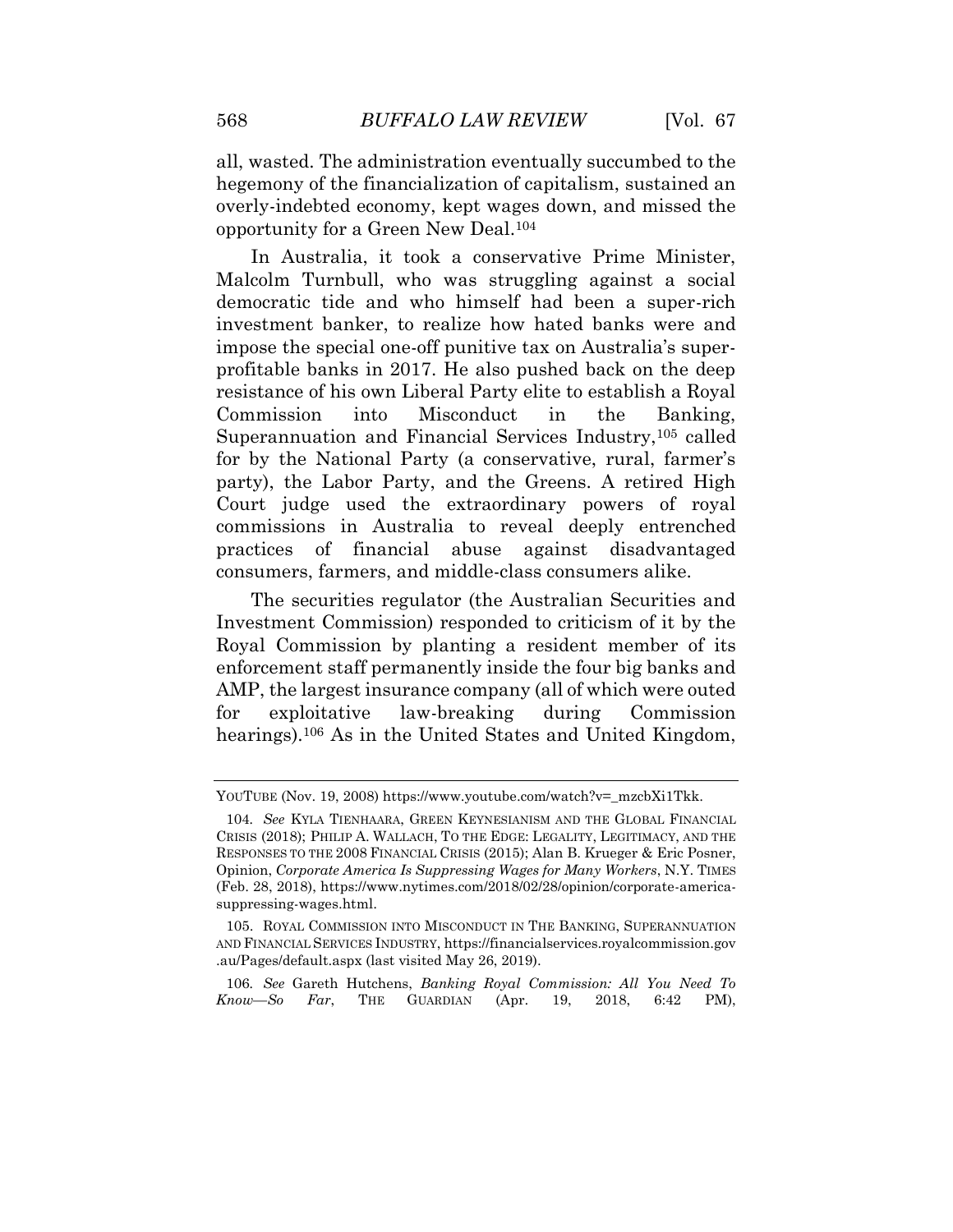all, wasted. The administration eventually succumbed to the hegemony of the financialization of capitalism, sustained an overly-indebted economy, kept wages down, and missed the opportunity for a Green New Deal.<sup>104</sup>

In Australia, it took a conservative Prime Minister, Malcolm Turnbull, who was struggling against a social democratic tide and who himself had been a super-rich investment banker, to realize how hated banks were and impose the special one-off punitive tax on Australia's superprofitable banks in 2017. He also pushed back on the deep resistance of his own Liberal Party elite to establish a Royal Commission into Misconduct in the Banking, Superannuation and Financial Services Industry,<sup>105</sup> called for by the National Party (a conservative, rural, farmer's party), the Labor Party, and the Greens. A retired High Court judge used the extraordinary powers of royal commissions in Australia to reveal deeply entrenched practices of financial abuse against disadvantaged consumers, farmers, and middle-class consumers alike.

The securities regulator (the Australian Securities and Investment Commission) responded to criticism of it by the Royal Commission by planting a resident member of its enforcement staff permanently inside the four big banks and AMP, the largest insurance company (all of which were outed for exploitative law-breaking during Commission hearings).<sup>106</sup> As in the United States and United Kingdom,

106*. See* Gareth Hutchens, *Banking Royal Commission: All You Need To Know—So Far*, THE GUARDIAN (Apr. 19, 2018, 6:42 PM),

YOUTUBE (Nov. 19, 2008) https://www.youtube.com/watch?v=\_mzcbXi1Tkk.

<sup>104</sup>*. See* KYLA TIENHAARA, GREEN KEYNESIANISM AND THE GLOBAL FINANCIAL CRISIS (2018); PHILIP A. WALLACH, TO THE EDGE: LEGALITY, LEGITIMACY, AND THE RESPONSES TO THE 2008 FINANCIAL CRISIS (2015); Alan B. Krueger & Eric Posner, Opinion, *Corporate America Is Suppressing Wages for Many Workers*, N.Y. TIMES (Feb. 28, 2018), https://www.nytimes.com/2018/02/28/opinion/corporate-americasuppressing-wages.html.

<sup>105.</sup> ROYAL COMMISSION INTO MISCONDUCT IN THE BANKING, SUPERANNUATION AND FINANCIAL SERVICES INDUSTRY, https://financialservices.royalcommission.gov .au/Pages/default.aspx (last visited May 26, 2019).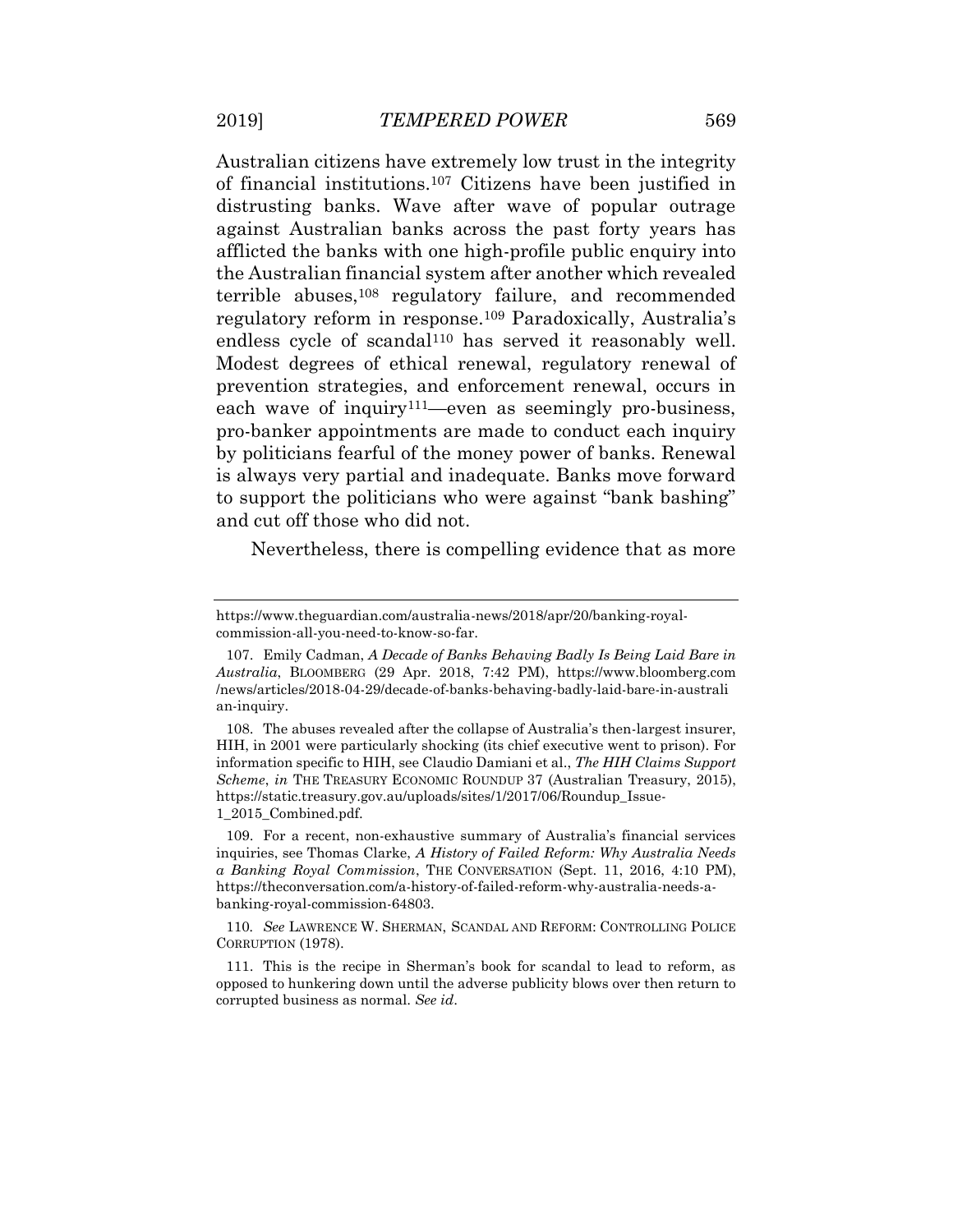Australian citizens have extremely low trust in the integrity of financial institutions.<sup>107</sup> Citizens have been justified in distrusting banks. Wave after wave of popular outrage against Australian banks across the past forty years has afflicted the banks with one high-profile public enquiry into the Australian financial system after another which revealed terrible abuses,<sup>108</sup> regulatory failure, and recommended regulatory reform in response.<sup>109</sup> Paradoxically, Australia's endless cycle of scandal<sup>110</sup> has served it reasonably well. Modest degrees of ethical renewal, regulatory renewal of prevention strategies, and enforcement renewal, occurs in each wave of inquiry<sup>111</sup>—even as seemingly pro-business, pro-banker appointments are made to conduct each inquiry by politicians fearful of the money power of banks. Renewal is always very partial and inadequate. Banks move forward to support the politicians who were against "bank bashing" and cut off those who did not.

Nevertheless, there is compelling evidence that as more

https://www.theguardian.com/australia-news/2018/apr/20/banking-royalcommission-all-you-need-to-know-so-far.

<sup>107.</sup> Emily Cadman, *A Decade of Banks Behaving Badly Is Being Laid Bare in Australia*, BLOOMBERG (29 Apr. 2018, 7:42 PM), https://www.bloomberg.com /news/articles/2018-04-29/decade-of-banks-behaving-badly-laid-bare-in-australi an-inquiry.

<sup>108.</sup> The abuses revealed after the collapse of Australia's then-largest insurer, HIH, in 2001 were particularly shocking (its chief executive went to prison). For information specific to HIH, see Claudio Damiani et al., *The HIH Claims Support Scheme*, *in* THE TREASURY ECONOMIC ROUNDUP 37 (Australian Treasury, 2015), https://static.treasury.gov.au/uploads/sites/1/2017/06/Roundup\_Issue-1\_2015\_Combined.pdf.

<sup>109.</sup> For a recent, non-exhaustive summary of Australia's financial services inquiries, see Thomas Clarke, *A History of Failed Reform: Why Australia Needs a Banking Royal Commission*, THE CONVERSATION (Sept. 11, 2016, 4:10 PM), https://theconversation.com/a-history-of-failed-reform-why-australia-needs-abanking-royal-commission-64803.

<sup>110</sup>*. See* LAWRENCE W. SHERMAN, SCANDAL AND REFORM: CONTROLLING POLICE CORRUPTION (1978).

<sup>111.</sup> This is the recipe in Sherman's book for scandal to lead to reform, as opposed to hunkering down until the adverse publicity blows over then return to corrupted business as normal. *See id*.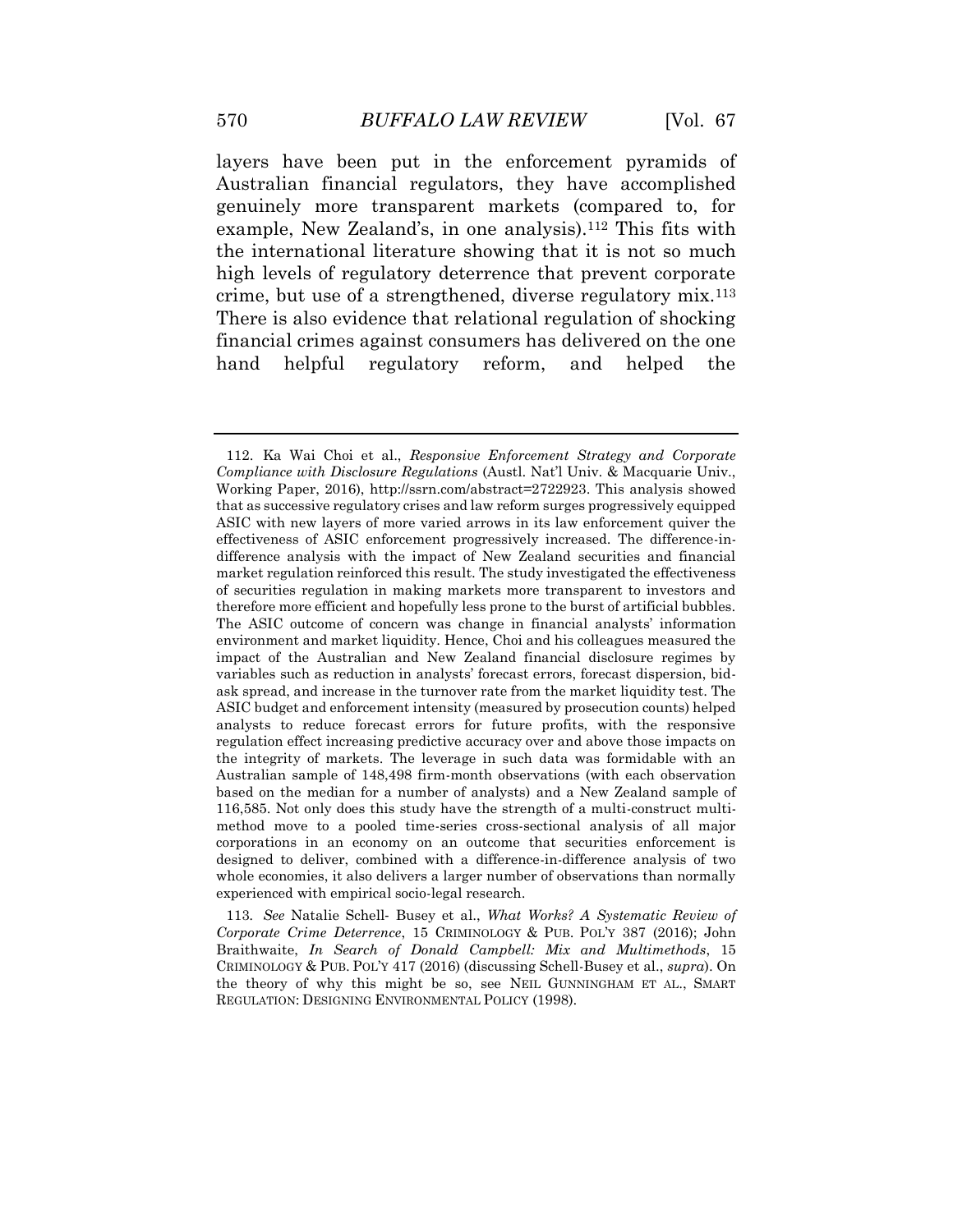layers have been put in the enforcement pyramids of Australian financial regulators, they have accomplished genuinely more transparent markets (compared to, for example, New Zealand's, in one analysis).<sup>112</sup> This fits with the international literature showing that it is not so much high levels of regulatory deterrence that prevent corporate crime, but use of a strengthened, diverse regulatory mix.<sup>113</sup> There is also evidence that relational regulation of shocking financial crimes against consumers has delivered on the one hand helpful regulatory reform, and helped the

<sup>112.</sup> Ka Wai Choi et al., *Responsive Enforcement Strategy and Corporate Compliance with Disclosure Regulations* (Austl. Nat'l Univ. & Macquarie Univ., Working Paper, 2016), http://ssrn.com/abstract=2722923. This analysis showed that as successive regulatory crises and law reform surges progressively equipped ASIC with new layers of more varied arrows in its law enforcement quiver the effectiveness of ASIC enforcement progressively increased. The difference-indifference analysis with the impact of New Zealand securities and financial market regulation reinforced this result. The study investigated the effectiveness of securities regulation in making markets more transparent to investors and therefore more efficient and hopefully less prone to the burst of artificial bubbles. The ASIC outcome of concern was change in financial analysts' information environment and market liquidity. Hence, Choi and his colleagues measured the impact of the Australian and New Zealand financial disclosure regimes by variables such as reduction in analysts' forecast errors, forecast dispersion, bidask spread, and increase in the turnover rate from the market liquidity test. The ASIC budget and enforcement intensity (measured by prosecution counts) helped analysts to reduce forecast errors for future profits, with the responsive regulation effect increasing predictive accuracy over and above those impacts on the integrity of markets. The leverage in such data was formidable with an Australian sample of 148,498 firm-month observations (with each observation based on the median for a number of analysts) and a New Zealand sample of 116,585. Not only does this study have the strength of a multi-construct multimethod move to a pooled time-series cross-sectional analysis of all major corporations in an economy on an outcome that securities enforcement is designed to deliver, combined with a difference-in-difference analysis of two whole economies, it also delivers a larger number of observations than normally experienced with empirical socio-legal research.

<sup>113</sup>*. See* Natalie Schell‐ Busey et al., *What Works? A Systematic Review of Corporate Crime Deterrence*, 15 CRIMINOLOGY & PUB. POL'Y 387 (2016); John Braithwaite, *In Search of Donald Campbell: Mix and Multimethods*, 15 CRIMINOLOGY & PUB. POL'Y 417 (2016) (discussing Schell-Busey et al., *supra*). On the theory of why this might be so, see NEIL GUNNINGHAM ET AL., SMART REGULATION: DESIGNING ENVIRONMENTAL POLICY (1998).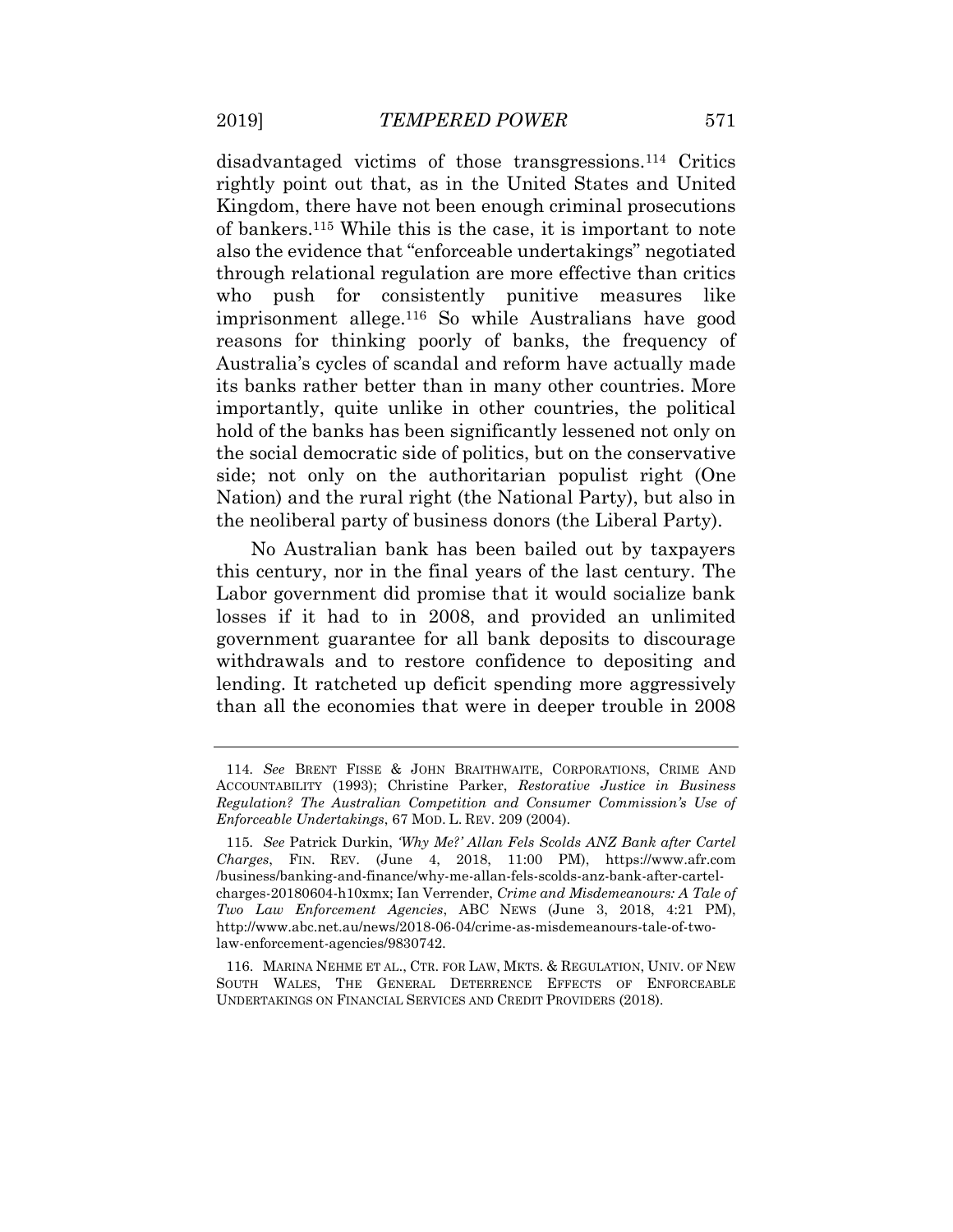disadvantaged victims of those transgressions.<sup>114</sup> Critics rightly point out that, as in the United States and United Kingdom, there have not been enough criminal prosecutions of bankers.<sup>115</sup> While this is the case, it is important to note also the evidence that "enforceable undertakings" negotiated through relational regulation are more effective than critics who push for consistently punitive measures like imprisonment allege.<sup>116</sup> So while Australians have good reasons for thinking poorly of banks, the frequency of Australia's cycles of scandal and reform have actually made its banks rather better than in many other countries. More importantly, quite unlike in other countries, the political hold of the banks has been significantly lessened not only on the social democratic side of politics, but on the conservative side; not only on the authoritarian populist right (One Nation) and the rural right (the National Party), but also in the neoliberal party of business donors (the Liberal Party).

No Australian bank has been bailed out by taxpayers this century, nor in the final years of the last century. The Labor government did promise that it would socialize bank losses if it had to in 2008, and provided an unlimited government guarantee for all bank deposits to discourage withdrawals and to restore confidence to depositing and lending. It ratcheted up deficit spending more aggressively than all the economies that were in deeper trouble in 2008

<sup>114</sup>*. See* BRENT FISSE & JOHN BRAITHWAITE, CORPORATIONS, CRIME AND ACCOUNTABILITY (1993); Christine Parker, *Restorative Justice in Business Regulation? The Australian Competition and Consumer Commission's Use of Enforceable Undertakings*, 67 MOD. L. REV. 209 (2004).

<sup>115</sup>*. See* Patrick Durkin, *'Why Me?' Allan Fels Scolds ANZ Bank after Cartel Charges*, FIN. REV. (June 4, 2018, 11:00 PM), https://www.afr.com /business/banking-and-finance/why-me-allan-fels-scolds-anz-bank-after-cartelcharges-20180604-h10xmx; Ian Verrender, *Crime and Misdemeanours: A Tale of Two Law Enforcement Agencies*, ABC NEWS (June 3, 2018, 4:21 PM), http://www.abc.net.au/news/2018-06-04/crime-as-misdemeanours-tale-of-twolaw-enforcement-agencies/9830742.

<sup>116.</sup> MARINA NEHME ET AL., CTR. FOR LAW, MKTS. & REGULATION, UNIV. OF NEW SOUTH WALES, THE GENERAL DETERRENCE EFFECTS OF ENFORCEABLE UNDERTAKINGS ON FINANCIAL SERVICES AND CREDIT PROVIDERS (2018).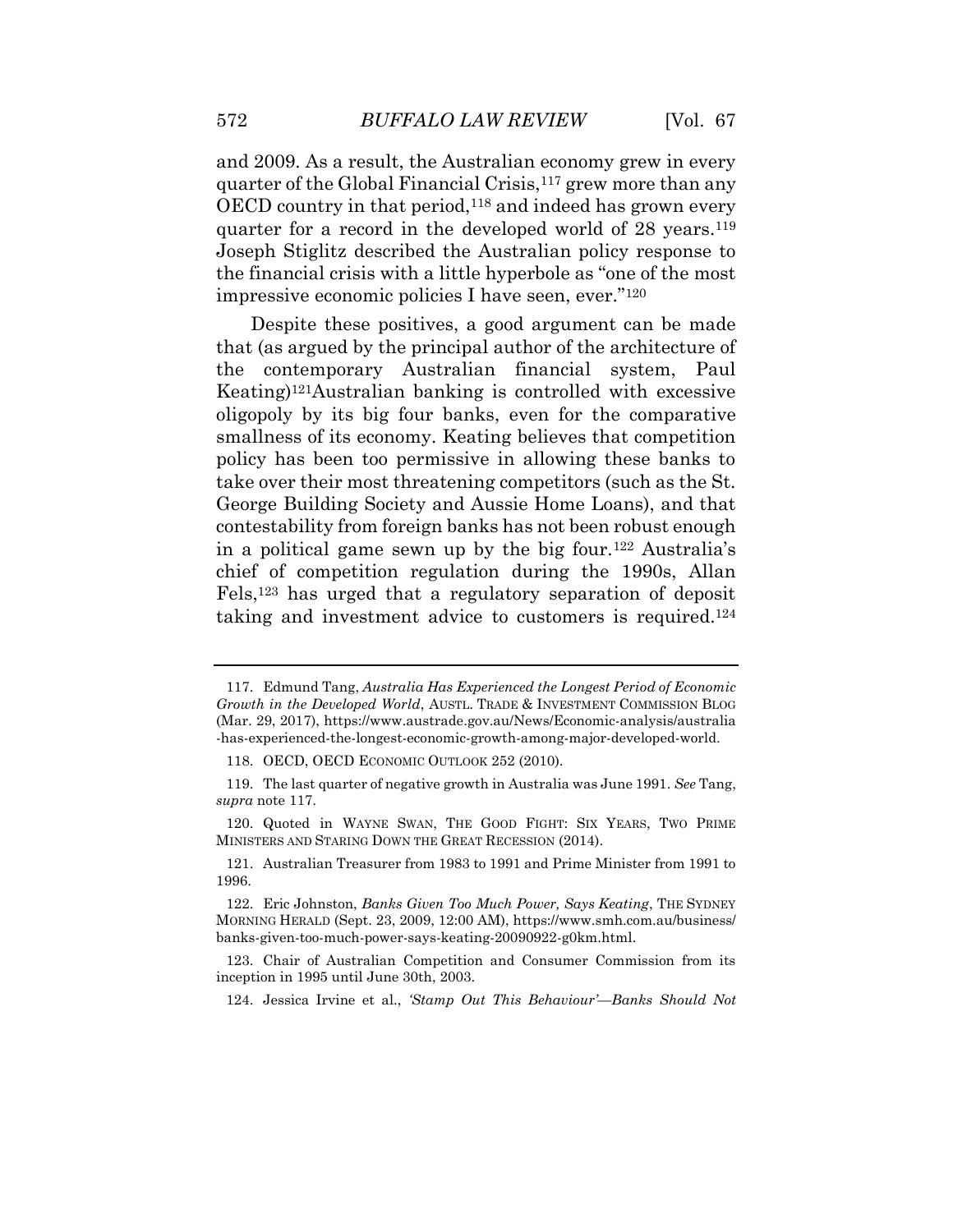and 2009. As a result, the Australian economy grew in every quarter of the Global Financial Crisis,<sup>117</sup> grew more than any OECD country in that period,<sup>118</sup> and indeed has grown every quarter for a record in the developed world of 28 years.<sup>119</sup> Joseph Stiglitz described the Australian policy response to the financial crisis with a little hyperbole as "one of the most impressive economic policies I have seen, ever."<sup>120</sup>

Despite these positives, a good argument can be made that (as argued by the principal author of the architecture of the contemporary Australian financial system, Paul Keating)121Australian banking is controlled with excessive oligopoly by its big four banks, even for the comparative smallness of its economy. Keating believes that competition policy has been too permissive in allowing these banks to take over their most threatening competitors (such as the St. George Building Society and Aussie Home Loans), and that contestability from foreign banks has not been robust enough in a political game sewn up by the big four.<sup>122</sup> Australia's chief of competition regulation during the 1990s, Allan Fels,<sup>123</sup> has urged that a regulatory separation of deposit taking and investment advice to customers is required.<sup>124</sup>

<sup>117.</sup> Edmund Tang, *Australia Has Experienced the Longest Period of Economic Growth in the Developed World*, AUSTL. TRADE & INVESTMENT COMMISSION BLOG (Mar. 29, 2017), https://www.austrade.gov.au/News/Economic-analysis/australia -has-experienced-the-longest-economic-growth-among-major-developed-world.

<sup>118.</sup> OECD, OECD ECONOMIC OUTLOOK 252 (2010).

<sup>119.</sup> The last quarter of negative growth in Australia was June 1991. *See* Tang, *supra* note 117.

<sup>120.</sup> Quoted in WAYNE SWAN, THE GOOD FIGHT: SIX YEARS, TWO PRIME MINISTERS AND STARING DOWN THE GREAT RECESSION (2014).

<sup>121.</sup> Australian Treasurer from 1983 to 1991 and Prime Minister from 1991 to 1996.

<sup>122.</sup> Eric Johnston, *Banks Given Too Much Power, Says Keating*, THE SYDNEY MORNING HERALD (Sept. 23, 2009, 12:00 AM), https://www.smh.com.au/business/ banks-given-too-much-power-says-keating-20090922-g0km.html.

<sup>123.</sup> Chair of Australian Competition and Consumer Commission from its inception in 1995 until June 30th, 2003.

<sup>124.</sup> Jessica Irvine et al., *'Stamp Out This Behaviour'—Banks Should Not*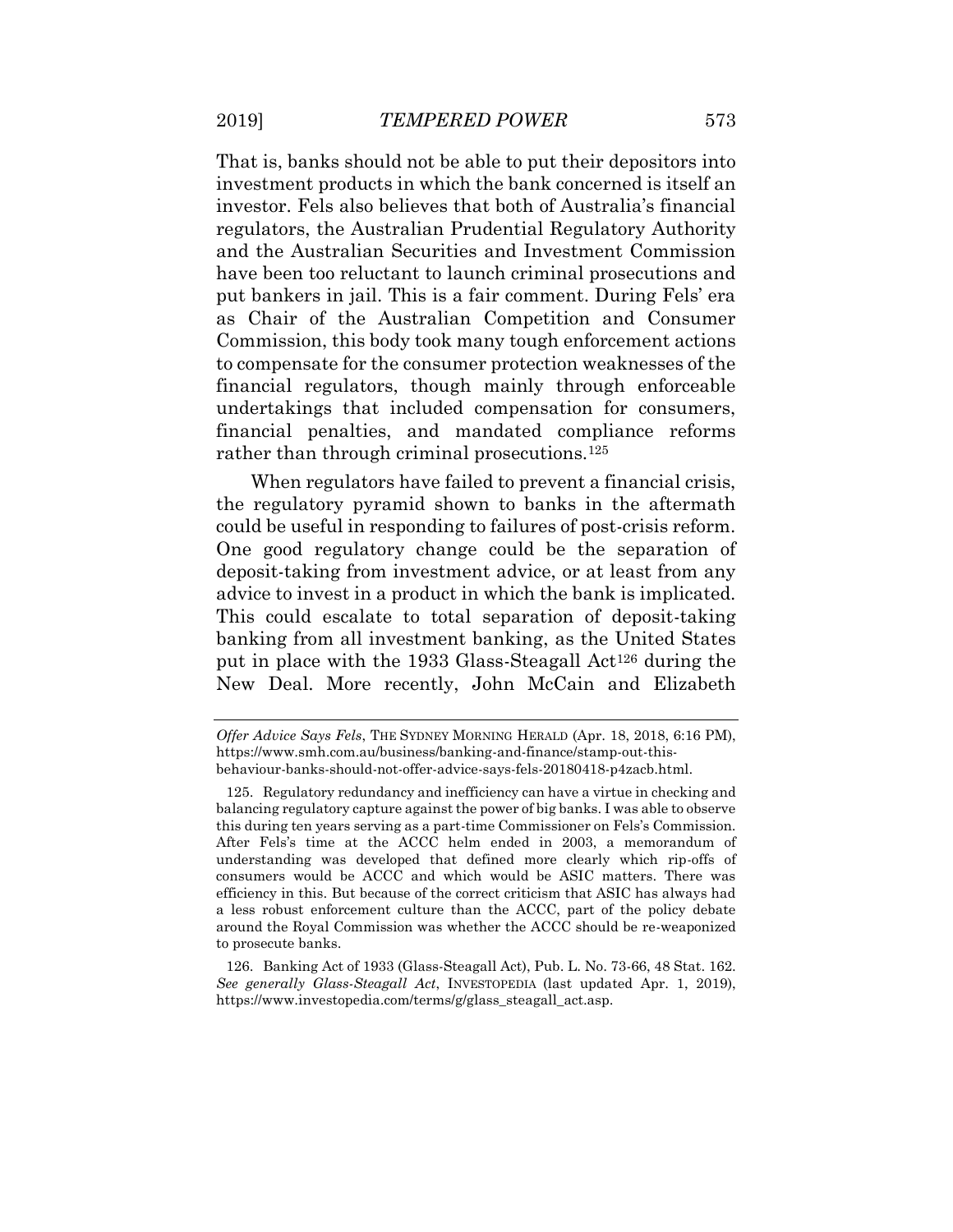That is, banks should not be able to put their depositors into investment products in which the bank concerned is itself an investor. Fels also believes that both of Australia's financial regulators, the Australian Prudential Regulatory Authority and the Australian Securities and Investment Commission have been too reluctant to launch criminal prosecutions and put bankers in jail. This is a fair comment. During Fels' era as Chair of the Australian Competition and Consumer Commission, this body took many tough enforcement actions to compensate for the consumer protection weaknesses of the financial regulators, though mainly through enforceable undertakings that included compensation for consumers, financial penalties, and mandated compliance reforms rather than through criminal prosecutions.<sup>125</sup>

When regulators have failed to prevent a financial crisis, the regulatory pyramid shown to banks in the aftermath could be useful in responding to failures of post-crisis reform. One good regulatory change could be the separation of deposit-taking from investment advice, or at least from any advice to invest in a product in which the bank is implicated. This could escalate to total separation of deposit-taking banking from all investment banking, as the United States put in place with the 1933 Glass-Steagall Act<sup>126</sup> during the New Deal. More recently, John McCain and Elizabeth

*Offer Advice Says Fels*, THE SYDNEY MORNING HERALD (Apr. 18, 2018, 6:16 PM), https://www.smh.com.au/business/banking-and-finance/stamp-out-thisbehaviour-banks-should-not-offer-advice-says-fels-20180418-p4zacb.html.

<sup>125.</sup> Regulatory redundancy and inefficiency can have a virtue in checking and balancing regulatory capture against the power of big banks. I was able to observe this during ten years serving as a part-time Commissioner on Fels's Commission. After Fels's time at the ACCC helm ended in 2003, a memorandum of understanding was developed that defined more clearly which rip-offs of consumers would be ACCC and which would be ASIC matters. There was efficiency in this. But because of the correct criticism that ASIC has always had a less robust enforcement culture than the ACCC, part of the policy debate around the Royal Commission was whether the ACCC should be re-weaponized to prosecute banks.

<sup>126.</sup> Banking Act of 1933 (Glass-Steagall Act), Pub. L. No. 73-66, 48 Stat. 162. *See generally Glass-Steagall Act*, INVESTOPEDIA (last updated Apr. 1, 2019), https://www.investopedia.com/terms/g/glass\_steagall\_act.asp.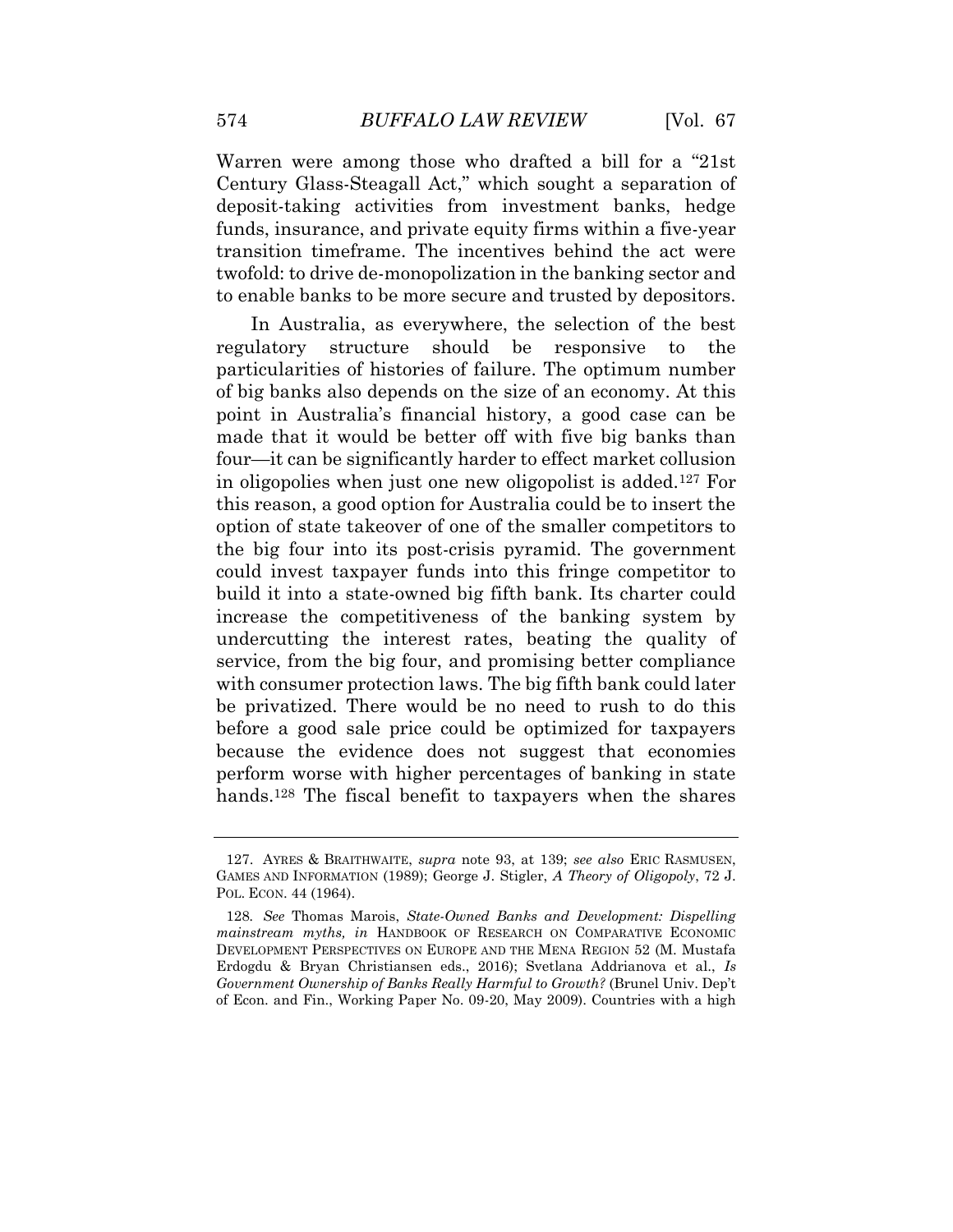Warren were among those who drafted a bill for a "21st Century Glass-Steagall Act," which sought a separation of deposit-taking activities from investment banks, hedge funds, insurance, and private equity firms within a five-year transition timeframe. The incentives behind the act were twofold: to drive de-monopolization in the banking sector and to enable banks to be more secure and trusted by depositors.

In Australia, as everywhere, the selection of the best regulatory structure should be responsive to the particularities of histories of failure. The optimum number of big banks also depends on the size of an economy. At this point in Australia's financial history, a good case can be made that it would be better off with five big banks than four—it can be significantly harder to effect market collusion in oligopolies when just one new oligopolist is added.<sup>127</sup> For this reason, a good option for Australia could be to insert the option of state takeover of one of the smaller competitors to the big four into its post-crisis pyramid. The government could invest taxpayer funds into this fringe competitor to build it into a state-owned big fifth bank. Its charter could increase the competitiveness of the banking system by undercutting the interest rates, beating the quality of service, from the big four, and promising better compliance with consumer protection laws. The big fifth bank could later be privatized. There would be no need to rush to do this before a good sale price could be optimized for taxpayers because the evidence does not suggest that economies perform worse with higher percentages of banking in state hands.<sup>128</sup> The fiscal benefit to taxpayers when the shares

<sup>127.</sup> AYRES & BRAITHWAITE, *supra* note 93, at 139; *see also* ERIC RASMUSEN, GAMES AND INFORMATION (1989); George J. Stigler, *A Theory of Oligopoly*, 72 J. POL. ECON. 44 (1964).

<sup>128</sup>*. See* Thomas Marois, *State-Owned Banks and Development: Dispelling mainstream myths, in* HANDBOOK OF RESEARCH ON COMPARATIVE ECONOMIC DEVELOPMENT PERSPECTIVES ON EUROPE AND THE MENA REGION 52 (M. Mustafa Erdogdu & Bryan Christiansen eds., 2016); Svetlana Addrianova et al., *Is Government Ownership of Banks Really Harmful to Growth?* (Brunel Univ. Dep't of Econ. and Fin., Working Paper No. 09-20, May 2009). Countries with a high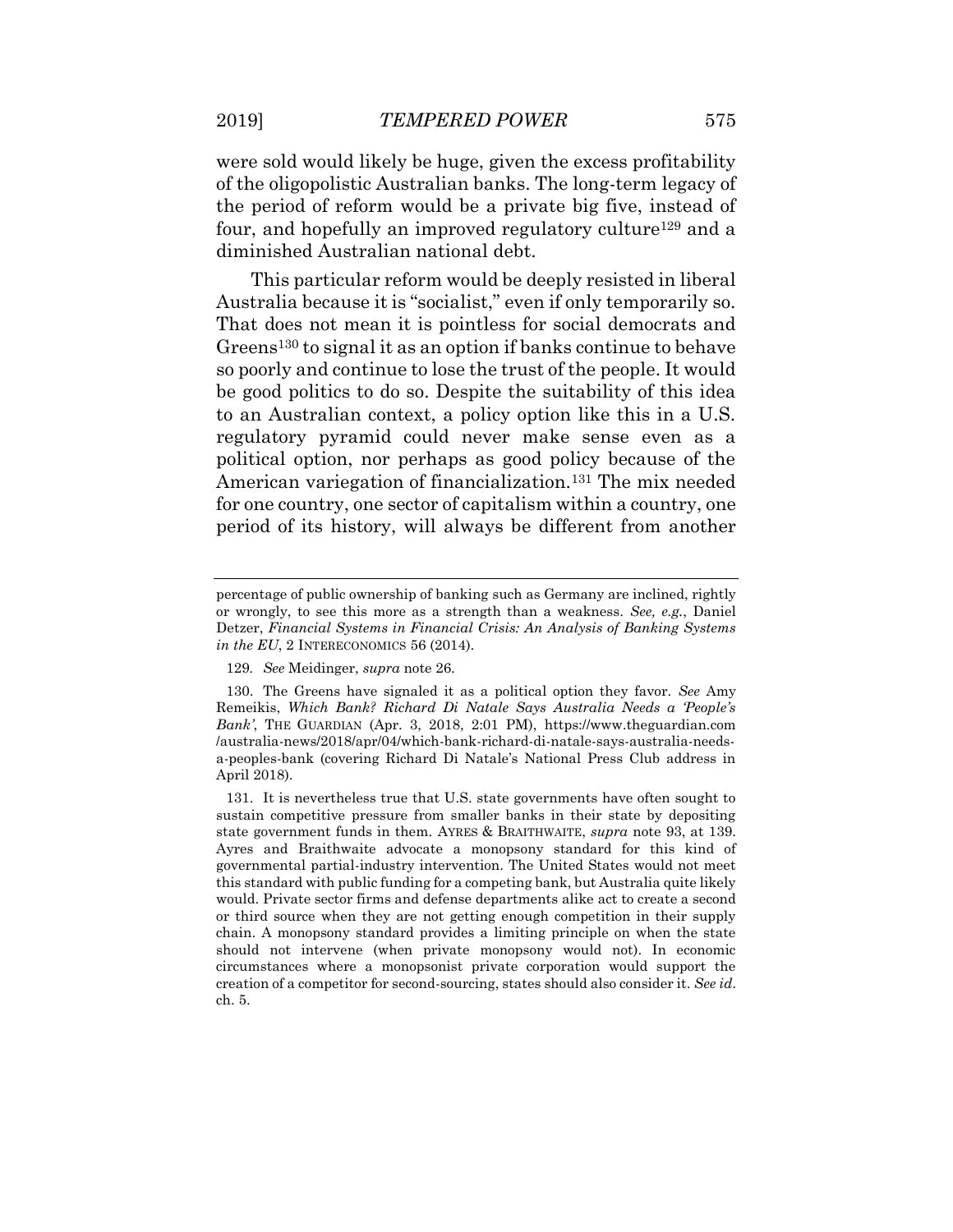were sold would likely be huge, given the excess profitability of the oligopolistic Australian banks. The long-term legacy of the period of reform would be a private big five, instead of four, and hopefully an improved regulatory culture<sup>129</sup> and a diminished Australian national debt.

This particular reform would be deeply resisted in liberal Australia because it is "socialist," even if only temporarily so. That does not mean it is pointless for social democrats and Greens<sup>130</sup> to signal it as an option if banks continue to behave so poorly and continue to lose the trust of the people. It would be good politics to do so. Despite the suitability of this idea to an Australian context, a policy option like this in a U.S. regulatory pyramid could never make sense even as a political option, nor perhaps as good policy because of the American variegation of financialization.<sup>131</sup> The mix needed for one country, one sector of capitalism within a country, one period of its history, will always be different from another

percentage of public ownership of banking such as Germany are inclined, rightly or wrongly, to see this more as a strength than a weakness. *See, e.g.*, Daniel Detzer, *Financial Systems in Financial Crisis: An Analysis of Banking Systems in the EU*, 2 INTERECONOMICS 56 (2014).

<sup>129</sup>*. See* Meidinger, *supra* note 26.

<sup>130.</sup> The Greens have signaled it as a political option they favor. *See* Amy Remeikis, *Which Bank? Richard Di Natale Says Australia Needs a 'People's Bank'*, THE GUARDIAN (Apr. 3, 2018, 2:01 PM), https://www.theguardian.com /australia-news/2018/apr/04/which-bank-richard-di-natale-says-australia-needsa-peoples-bank (covering Richard Di Natale's National Press Club address in April 2018).

<sup>131.</sup> It is nevertheless true that U.S. state governments have often sought to sustain competitive pressure from smaller banks in their state by depositing state government funds in them. AYRES & BRAITHWAITE, *supra* note 93, at 139. Ayres and Braithwaite advocate a monopsony standard for this kind of governmental partial-industry intervention. The United States would not meet this standard with public funding for a competing bank, but Australia quite likely would. Private sector firms and defense departments alike act to create a second or third source when they are not getting enough competition in their supply chain. A monopsony standard provides a limiting principle on when the state should not intervene (when private monopsony would not). In economic circumstances where a monopsonist private corporation would support the creation of a competitor for second-sourcing, states should also consider it. *See id*. ch. 5.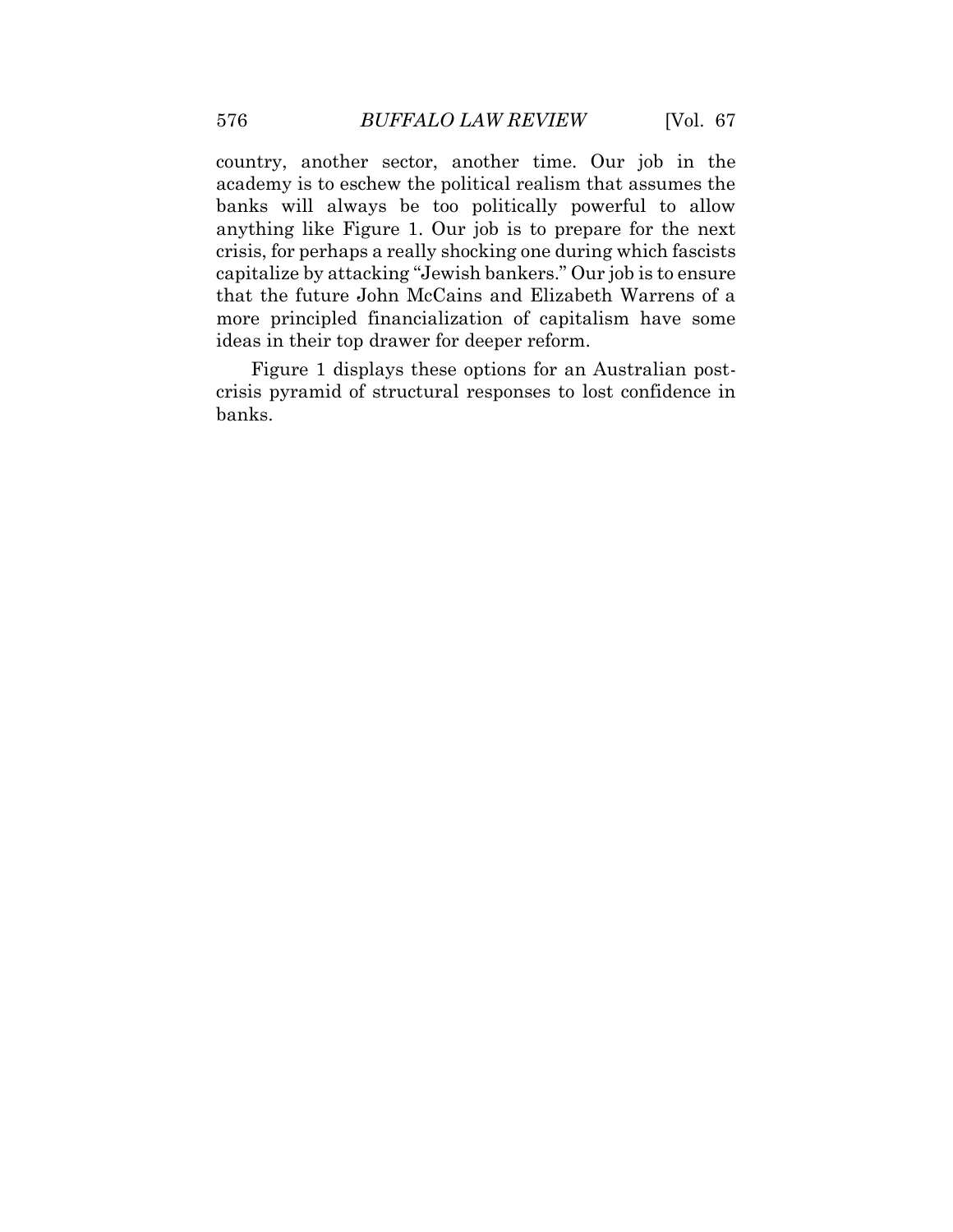country, another sector, another time. Our job in the academy is to eschew the political realism that assumes the banks will always be too politically powerful to allow anything like Figure 1. Our job is to prepare for the next crisis, for perhaps a really shocking one during which fascists capitalize by attacking "Jewish bankers." Our job is to ensure that the future John McCains and Elizabeth Warrens of a more principled financialization of capitalism have some ideas in their top drawer for deeper reform.

Figure 1 displays these options for an Australian postcrisis pyramid of structural responses to lost confidence in banks.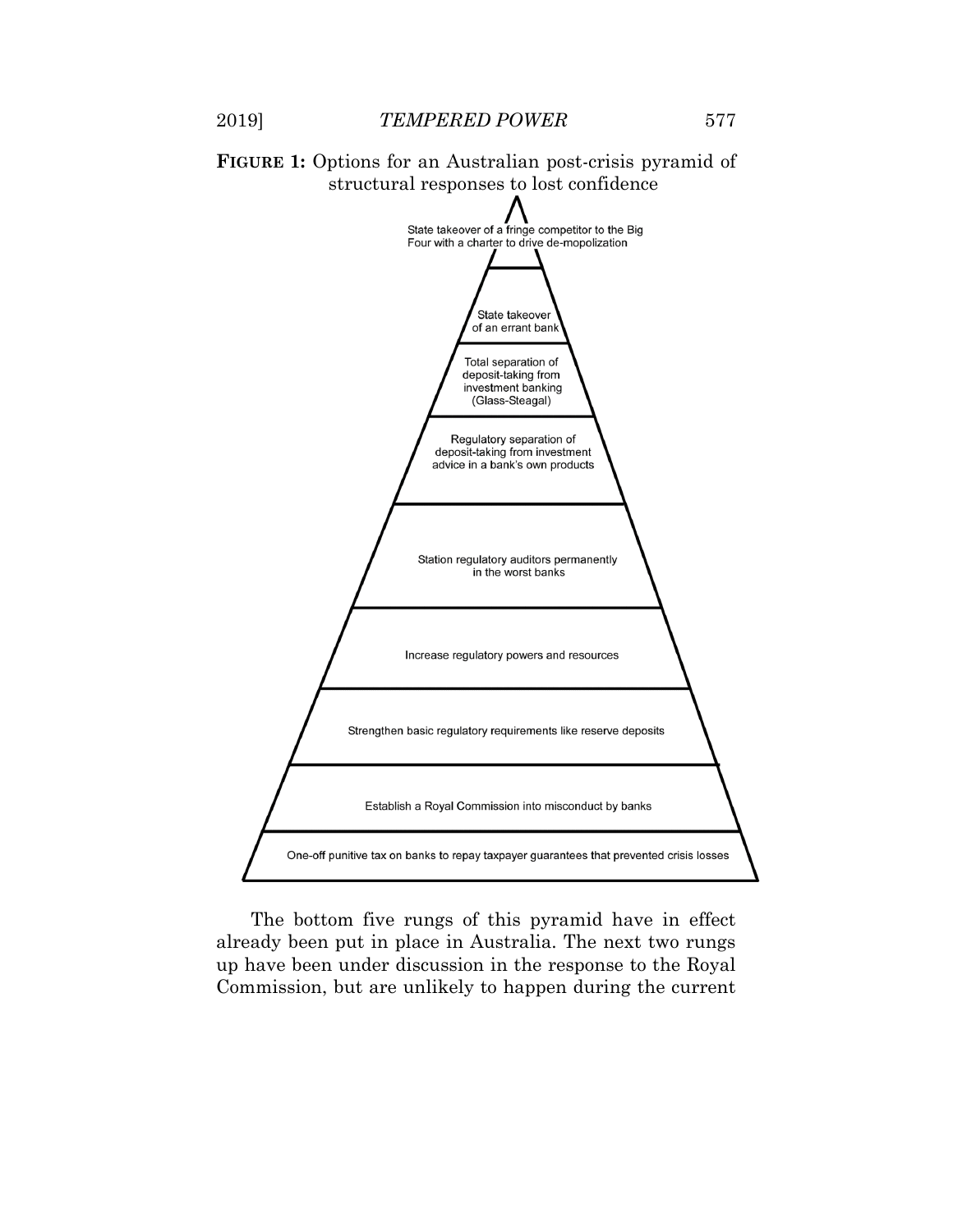



The bottom five rungs of this pyramid have in effect already been put in place in Australia. The next two rungs up have been under discussion in the response to the Royal Commission, but are unlikely to happen during the current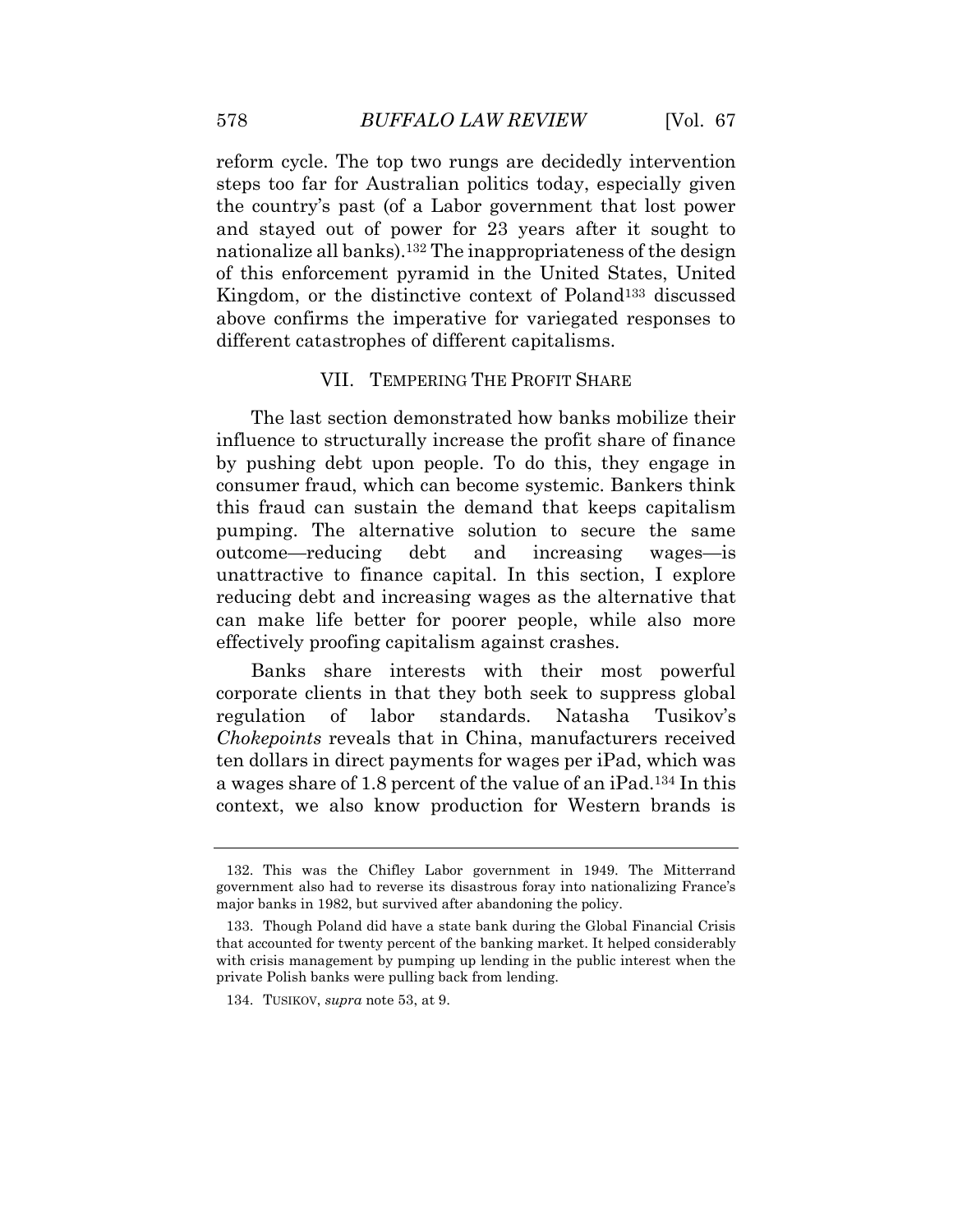reform cycle. The top two rungs are decidedly intervention steps too far for Australian politics today, especially given the country's past (of a Labor government that lost power and stayed out of power for 23 years after it sought to nationalize all banks).<sup>132</sup> The inappropriateness of the design of this enforcement pyramid in the United States, United Kingdom, or the distinctive context of Poland<sup>133</sup> discussed above confirms the imperative for variegated responses to different catastrophes of different capitalisms.

#### VII. TEMPERING THE PROFIT SHARE

The last section demonstrated how banks mobilize their influence to structurally increase the profit share of finance by pushing debt upon people. To do this, they engage in consumer fraud, which can become systemic. Bankers think this fraud can sustain the demand that keeps capitalism pumping. The alternative solution to secure the same outcome—reducing debt and increasing wages—is unattractive to finance capital. In this section, I explore reducing debt and increasing wages as the alternative that can make life better for poorer people, while also more effectively proofing capitalism against crashes.

Banks share interests with their most powerful corporate clients in that they both seek to suppress global regulation of labor standards. Natasha Tusikov's *Chokepoints* reveals that in China, manufacturers received ten dollars in direct payments for wages per iPad, which was a wages share of 1.8 percent of the value of an iPad.<sup>134</sup> In this context, we also know production for Western brands is

<sup>132.</sup> This was the Chifley Labor government in 1949. The Mitterrand government also had to reverse its disastrous foray into nationalizing France's major banks in 1982, but survived after abandoning the policy.

<sup>133.</sup> Though Poland did have a state bank during the Global Financial Crisis that accounted for twenty percent of the banking market. It helped considerably with crisis management by pumping up lending in the public interest when the private Polish banks were pulling back from lending.

<sup>134.</sup> TUSIKOV, *supra* note 53, at 9.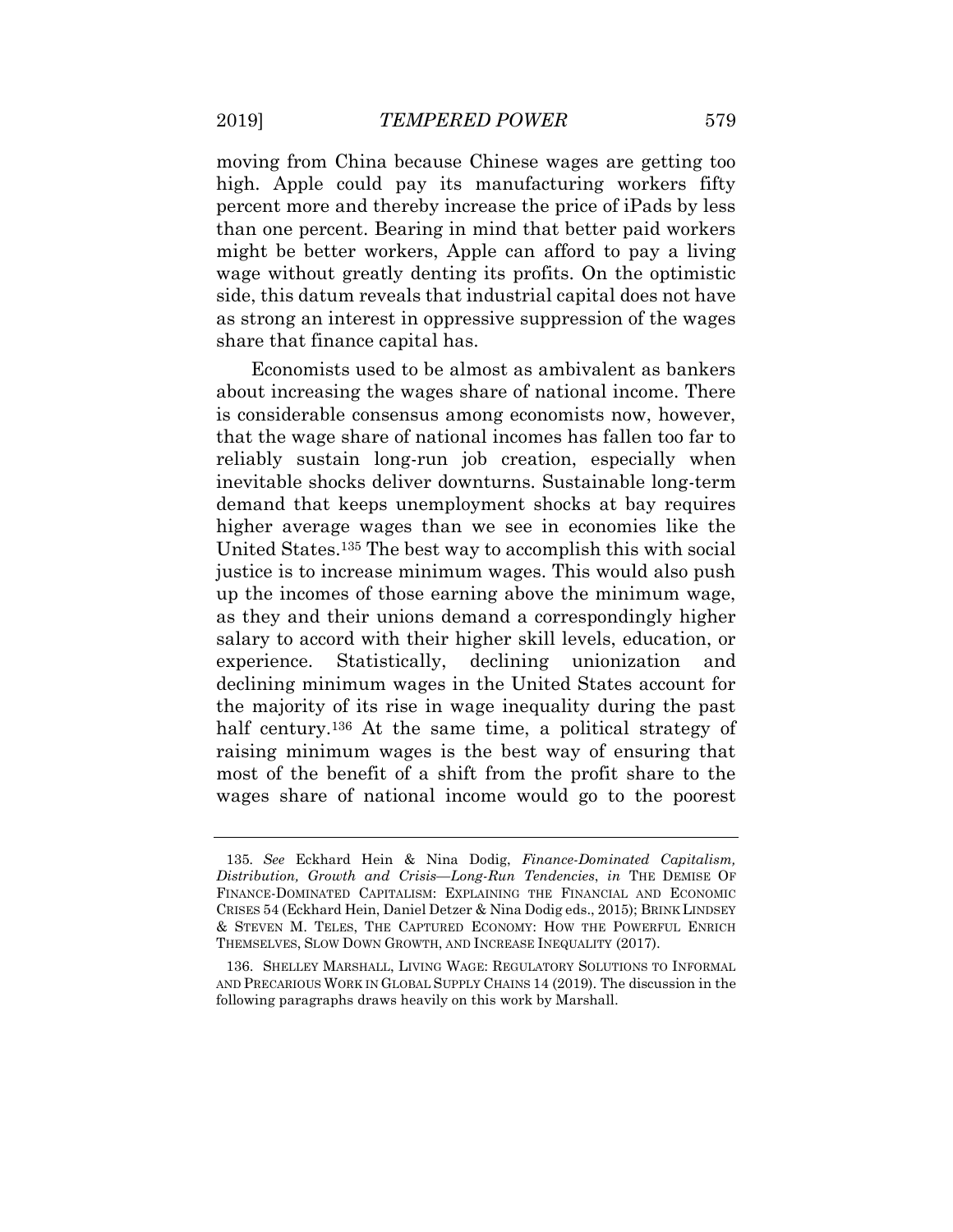moving from China because Chinese wages are getting too high. Apple could pay its manufacturing workers fifty percent more and thereby increase the price of iPads by less than one percent. Bearing in mind that better paid workers might be better workers, Apple can afford to pay a living wage without greatly denting its profits. On the optimistic side, this datum reveals that industrial capital does not have as strong an interest in oppressive suppression of the wages share that finance capital has.

Economists used to be almost as ambivalent as bankers about increasing the wages share of national income. There is considerable consensus among economists now, however, that the wage share of national incomes has fallen too far to reliably sustain long-run job creation, especially when inevitable shocks deliver downturns. Sustainable long-term demand that keeps unemployment shocks at bay requires higher average wages than we see in economies like the United States.<sup>135</sup> The best way to accomplish this with social justice is to increase minimum wages. This would also push up the incomes of those earning above the minimum wage, as they and their unions demand a correspondingly higher salary to accord with their higher skill levels, education, or experience. Statistically, declining unionization and declining minimum wages in the United States account for the majority of its rise in wage inequality during the past half century.<sup>136</sup> At the same time, a political strategy of raising minimum wages is the best way of ensuring that most of the benefit of a shift from the profit share to the wages share of national income would go to the poorest

<sup>135</sup>*. See* Eckhard Hein & Nina Dodig, *Finance-Dominated Capitalism, Distribution, Growth and Crisis—Long-Run Tendencies*, *in* THE DEMISE OF FINANCE-DOMINATED CAPITALISM: EXPLAINING THE FINANCIAL AND ECONOMIC CRISES 54 (Eckhard Hein, Daniel Detzer & Nina Dodig eds., 2015); BRINK LINDSEY & STEVEN M. TELES, THE CAPTURED ECONOMY: HOW THE POWERFUL ENRICH THEMSELVES, SLOW DOWN GROWTH, AND INCREASE INEQUALITY (2017).

<sup>136.</sup> SHELLEY MARSHALL, LIVING WAGE: REGULATORY SOLUTIONS TO INFORMAL AND PRECARIOUS WORK IN GLOBAL SUPPLY CHAINS 14 (2019). The discussion in the following paragraphs draws heavily on this work by Marshall.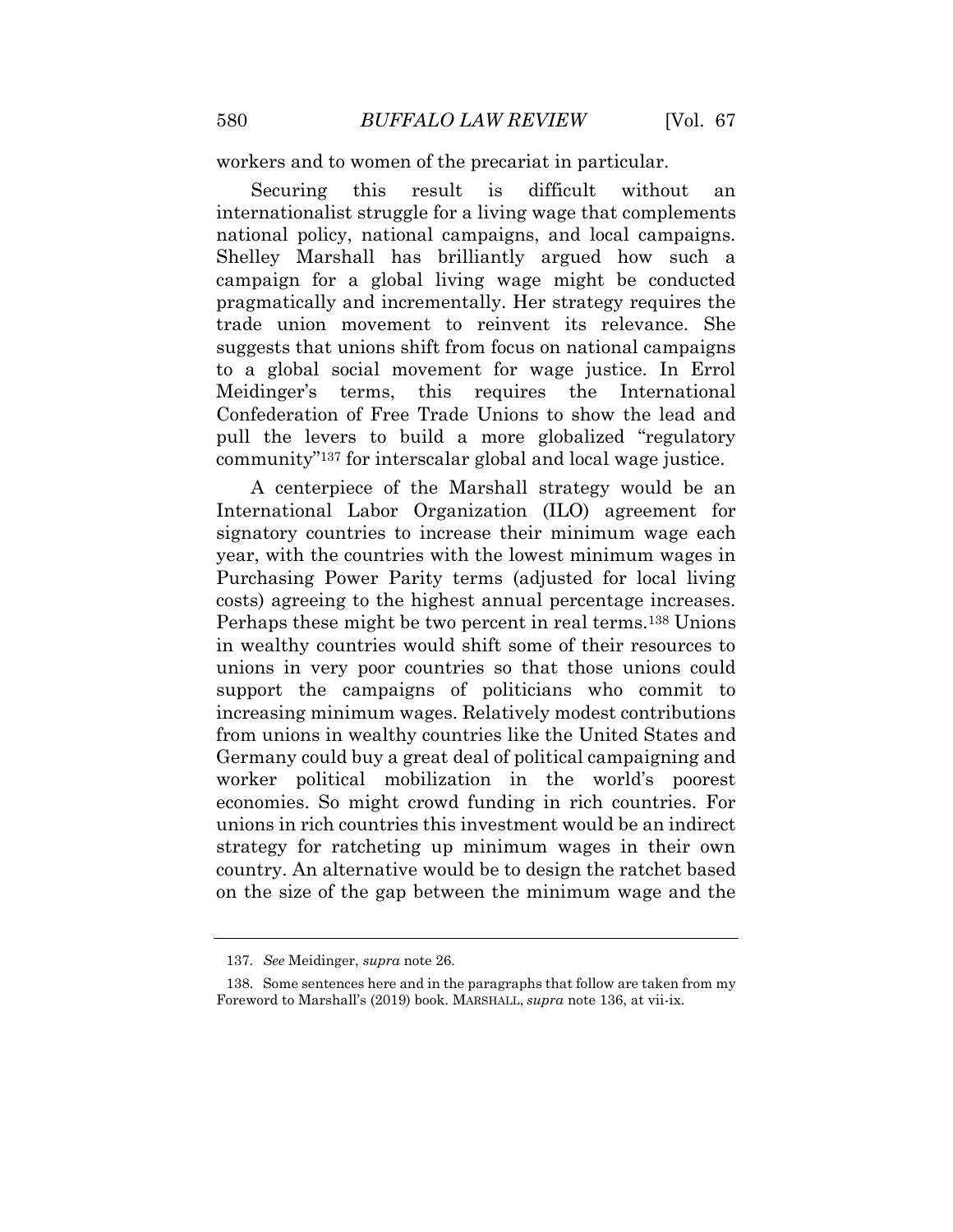workers and to women of the precariat in particular.

Securing this result is difficult without an internationalist struggle for a living wage that complements national policy, national campaigns, and local campaigns. Shelley Marshall has brilliantly argued how such a campaign for a global living wage might be conducted pragmatically and incrementally. Her strategy requires the trade union movement to reinvent its relevance. She suggests that unions shift from focus on national campaigns to a global social movement for wage justice. In Errol Meidinger's terms, this requires the International Confederation of Free Trade Unions to show the lead and pull the levers to build a more globalized "regulatory community"<sup>137</sup> for interscalar global and local wage justice.

A centerpiece of the Marshall strategy would be an International Labor Organization (ILO) agreement for signatory countries to increase their minimum wage each year, with the countries with the lowest minimum wages in Purchasing Power Parity terms (adjusted for local living costs) agreeing to the highest annual percentage increases. Perhaps these might be two percent in real terms.<sup>138</sup> Unions in wealthy countries would shift some of their resources to unions in very poor countries so that those unions could support the campaigns of politicians who commit to increasing minimum wages. Relatively modest contributions from unions in wealthy countries like the United States and Germany could buy a great deal of political campaigning and worker political mobilization in the world's poorest economies. So might crowd funding in rich countries. For unions in rich countries this investment would be an indirect strategy for ratcheting up minimum wages in their own country. An alternative would be to design the ratchet based on the size of the gap between the minimum wage and the

<sup>137</sup>*. See* Meidinger, *supra* note 26.

<sup>138.</sup> Some sentences here and in the paragraphs that follow are taken from my Foreword to Marshall's (2019) book. MARSHALL, *supra* note 136, at vii-ix.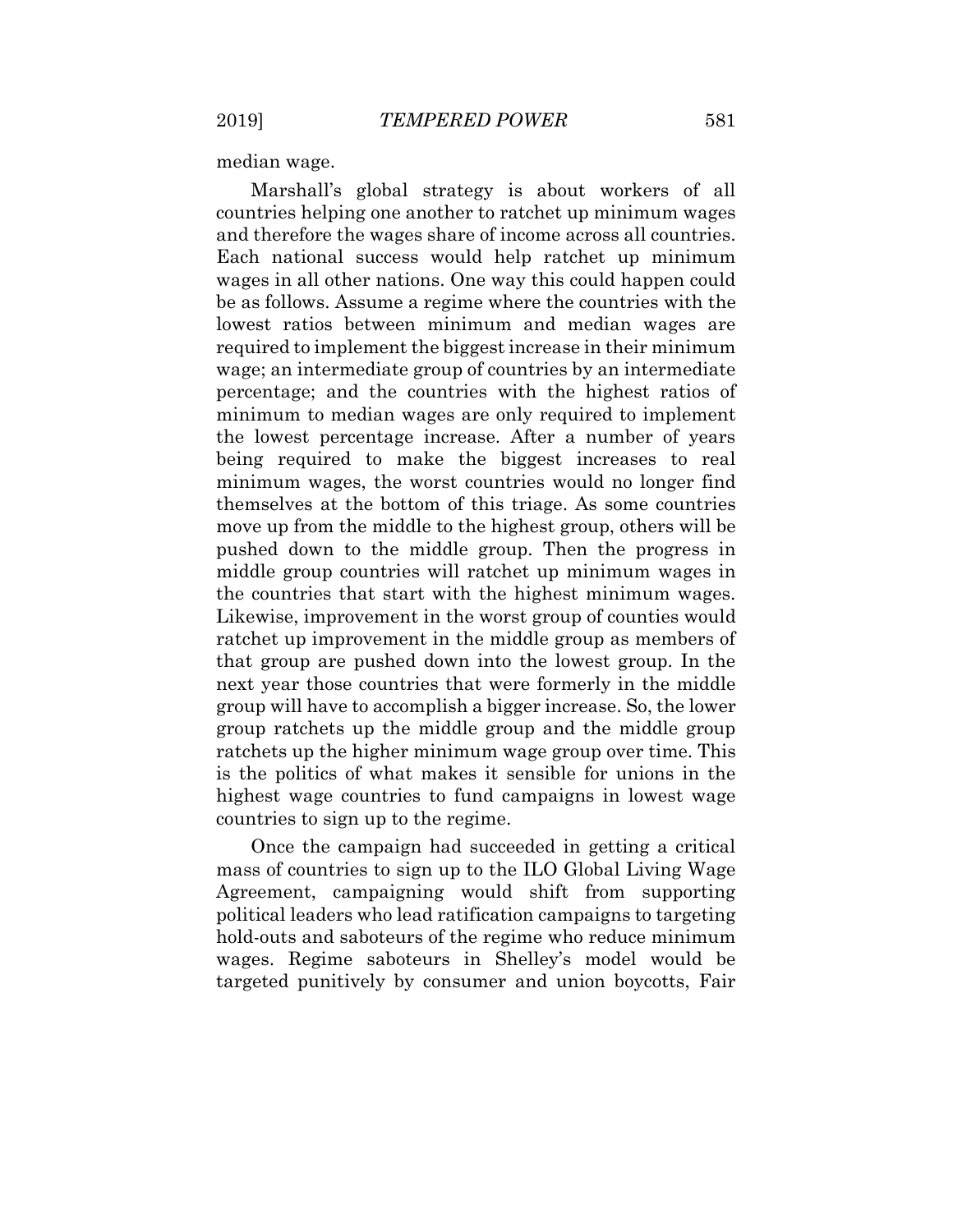median wage.

Marshall's global strategy is about workers of all countries helping one another to ratchet up minimum wages and therefore the wages share of income across all countries. Each national success would help ratchet up minimum wages in all other nations. One way this could happen could be as follows. Assume a regime where the countries with the lowest ratios between minimum and median wages are required to implement the biggest increase in their minimum wage; an intermediate group of countries by an intermediate percentage; and the countries with the highest ratios of minimum to median wages are only required to implement the lowest percentage increase. After a number of years being required to make the biggest increases to real minimum wages, the worst countries would no longer find themselves at the bottom of this triage. As some countries move up from the middle to the highest group, others will be pushed down to the middle group. Then the progress in middle group countries will ratchet up minimum wages in the countries that start with the highest minimum wages. Likewise, improvement in the worst group of counties would ratchet up improvement in the middle group as members of that group are pushed down into the lowest group. In the next year those countries that were formerly in the middle group will have to accomplish a bigger increase. So, the lower group ratchets up the middle group and the middle group ratchets up the higher minimum wage group over time. This is the politics of what makes it sensible for unions in the highest wage countries to fund campaigns in lowest wage countries to sign up to the regime.

Once the campaign had succeeded in getting a critical mass of countries to sign up to the ILO Global Living Wage Agreement, campaigning would shift from supporting political leaders who lead ratification campaigns to targeting hold-outs and saboteurs of the regime who reduce minimum wages. Regime saboteurs in Shelley's model would be targeted punitively by consumer and union boycotts, Fair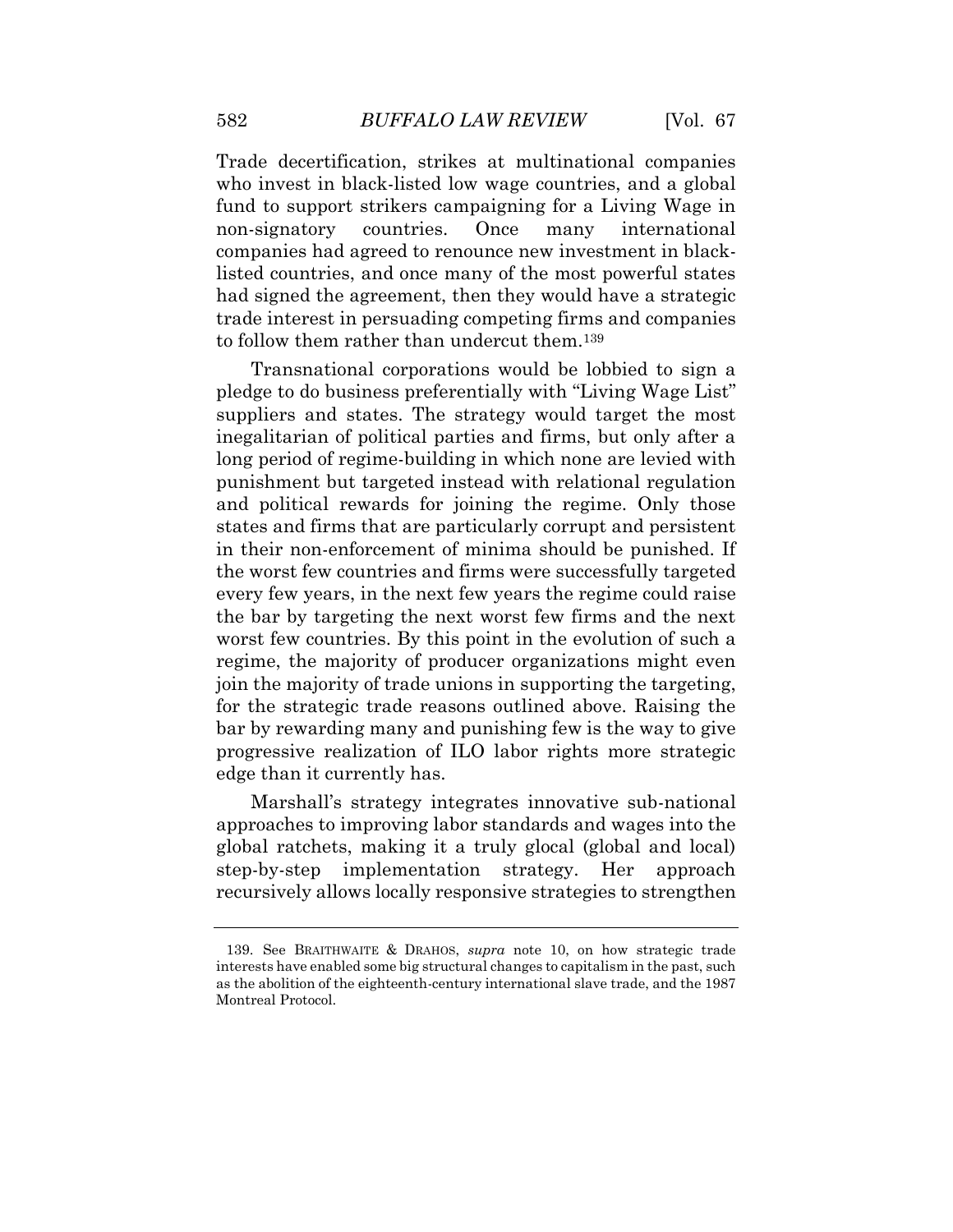Trade decertification, strikes at multinational companies who invest in black-listed low wage countries, and a global fund to support strikers campaigning for a Living Wage in non-signatory countries. Once many international companies had agreed to renounce new investment in blacklisted countries, and once many of the most powerful states had signed the agreement, then they would have a strategic trade interest in persuading competing firms and companies to follow them rather than undercut them.<sup>139</sup>

Transnational corporations would be lobbied to sign a pledge to do business preferentially with "Living Wage List" suppliers and states. The strategy would target the most inegalitarian of political parties and firms, but only after a long period of regime-building in which none are levied with punishment but targeted instead with relational regulation and political rewards for joining the regime. Only those states and firms that are particularly corrupt and persistent in their non-enforcement of minima should be punished. If the worst few countries and firms were successfully targeted every few years, in the next few years the regime could raise the bar by targeting the next worst few firms and the next worst few countries. By this point in the evolution of such a regime, the majority of producer organizations might even join the majority of trade unions in supporting the targeting, for the strategic trade reasons outlined above. Raising the bar by rewarding many and punishing few is the way to give progressive realization of ILO labor rights more strategic edge than it currently has.

Marshall's strategy integrates innovative sub-national approaches to improving labor standards and wages into the global ratchets, making it a truly glocal (global and local) step-by-step implementation strategy. Her approach recursively allows locally responsive strategies to strengthen

<sup>139.</sup> See BRAITHWAITE & DRAHOS, *supra* note 10, on how strategic trade interests have enabled some big structural changes to capitalism in the past, such as the abolition of the eighteenth-century international slave trade, and the 1987 Montreal Protocol.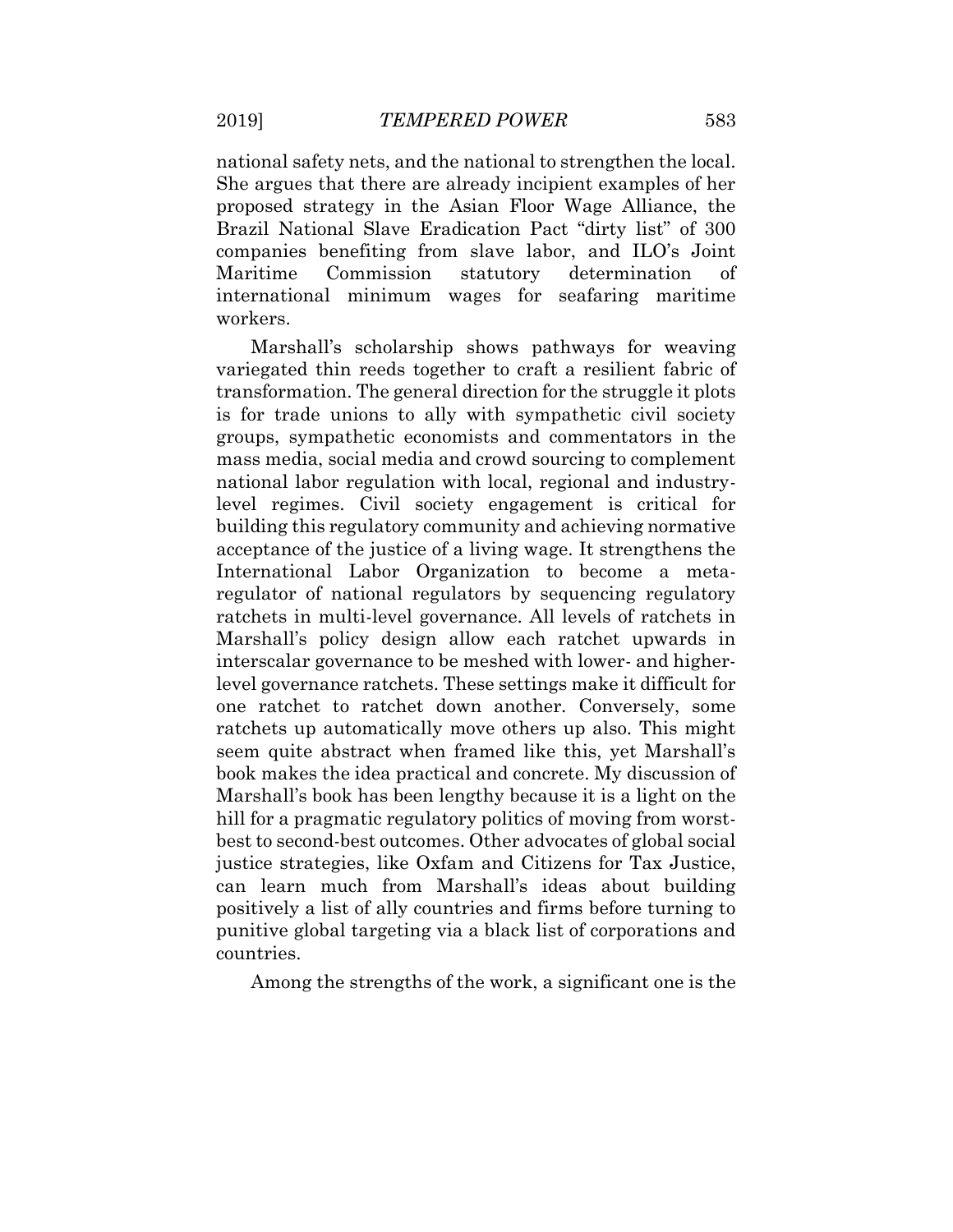national safety nets, and the national to strengthen the local. She argues that there are already incipient examples of her proposed strategy in the Asian Floor Wage Alliance, the Brazil National Slave Eradication Pact "dirty list" of 300 companies benefiting from slave labor, and ILO's Joint Maritime Commission statutory determination of international minimum wages for seafaring maritime workers.

Marshall's scholarship shows pathways for weaving variegated thin reeds together to craft a resilient fabric of transformation. The general direction for the struggle it plots is for trade unions to ally with sympathetic civil society groups, sympathetic economists and commentators in the mass media, social media and crowd sourcing to complement national labor regulation with local, regional and industrylevel regimes. Civil society engagement is critical for building this regulatory community and achieving normative acceptance of the justice of a living wage. It strengthens the International Labor Organization to become a metaregulator of national regulators by sequencing regulatory ratchets in multi-level governance. All levels of ratchets in Marshall's policy design allow each ratchet upwards in interscalar governance to be meshed with lower- and higherlevel governance ratchets. These settings make it difficult for one ratchet to ratchet down another. Conversely, some ratchets up automatically move others up also. This might seem quite abstract when framed like this, yet Marshall's book makes the idea practical and concrete. My discussion of Marshall's book has been lengthy because it is a light on the hill for a pragmatic regulatory politics of moving from worstbest to second-best outcomes. Other advocates of global social justice strategies, like Oxfam and Citizens for Tax Justice, can learn much from Marshall's ideas about building positively a list of ally countries and firms before turning to punitive global targeting via a black list of corporations and countries.

Among the strengths of the work, a significant one is the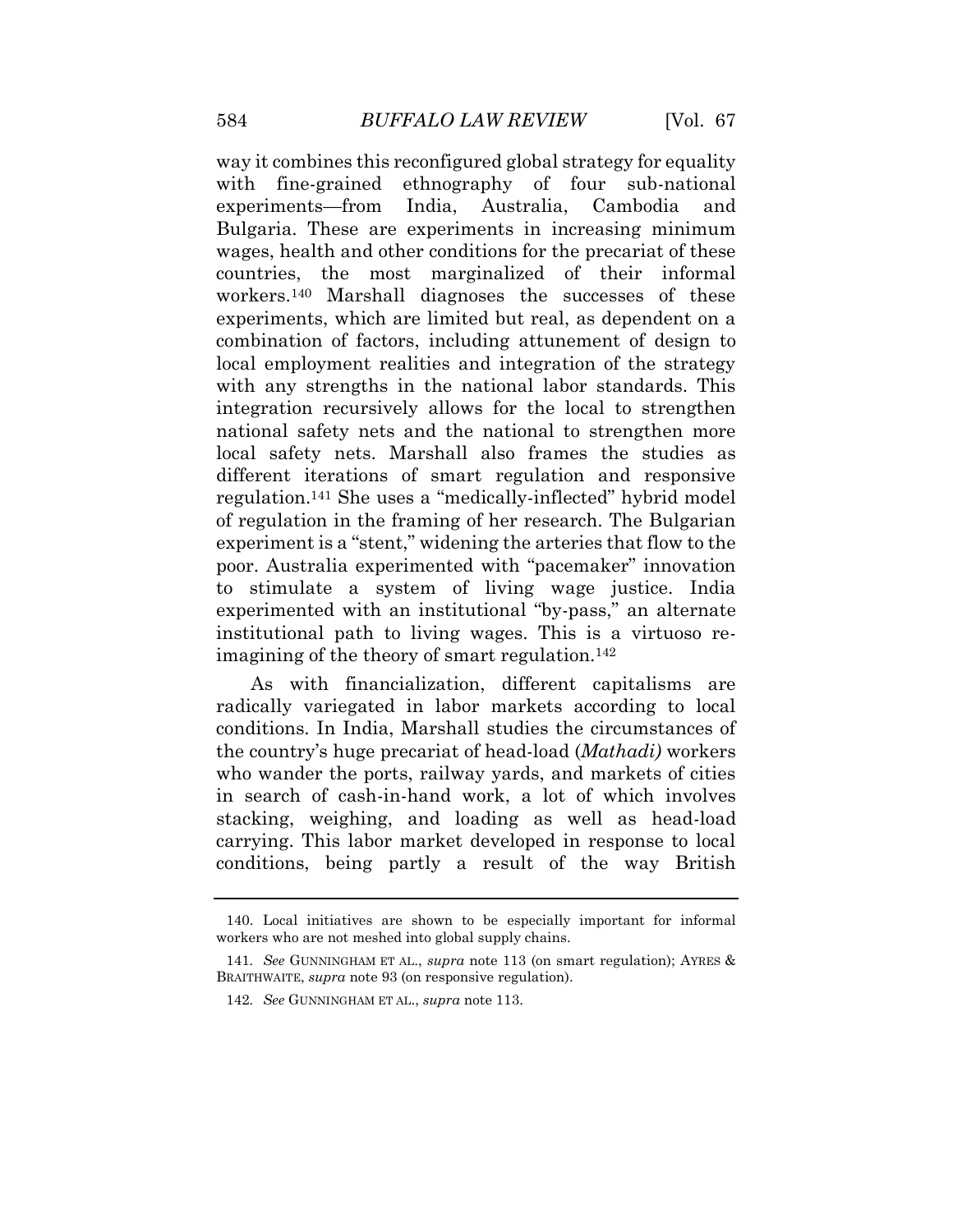way it combines this reconfigured global strategy for equality with fine-grained ethnography of four sub-national experiments—from India, Australia, Cambodia and Bulgaria. These are experiments in increasing minimum wages, health and other conditions for the precariat of these countries, the most marginalized of their informal workers.<sup>140</sup> Marshall diagnoses the successes of these experiments, which are limited but real, as dependent on a combination of factors, including attunement of design to local employment realities and integration of the strategy with any strengths in the national labor standards. This integration recursively allows for the local to strengthen national safety nets and the national to strengthen more local safety nets. Marshall also frames the studies as different iterations of smart regulation and responsive regulation.<sup>141</sup> She uses a "medically-inflected" hybrid model of regulation in the framing of her research. The Bulgarian experiment is a "stent," widening the arteries that flow to the poor. Australia experimented with "pacemaker" innovation to stimulate a system of living wage justice. India experimented with an institutional "by-pass," an alternate institutional path to living wages. This is a virtuoso reimagining of the theory of smart regulation.<sup>142</sup>

As with financialization, different capitalisms are radically variegated in labor markets according to local conditions. In India, Marshall studies the circumstances of the country's huge precariat of head-load (*Mathadi)* workers who wander the ports, railway yards, and markets of cities in search of cash-in-hand work, a lot of which involves stacking, weighing, and loading as well as head-load carrying. This labor market developed in response to local conditions, being partly a result of the way British

<sup>140.</sup> Local initiatives are shown to be especially important for informal workers who are not meshed into global supply chains.

<sup>141</sup>*. See* GUNNINGHAM ET AL., *supra* note 113 (on smart regulation); AYRES & BRAITHWAITE, *supra* note 93 (on responsive regulation).

<sup>142</sup>*. See* GUNNINGHAM ET AL., *supra* note 113.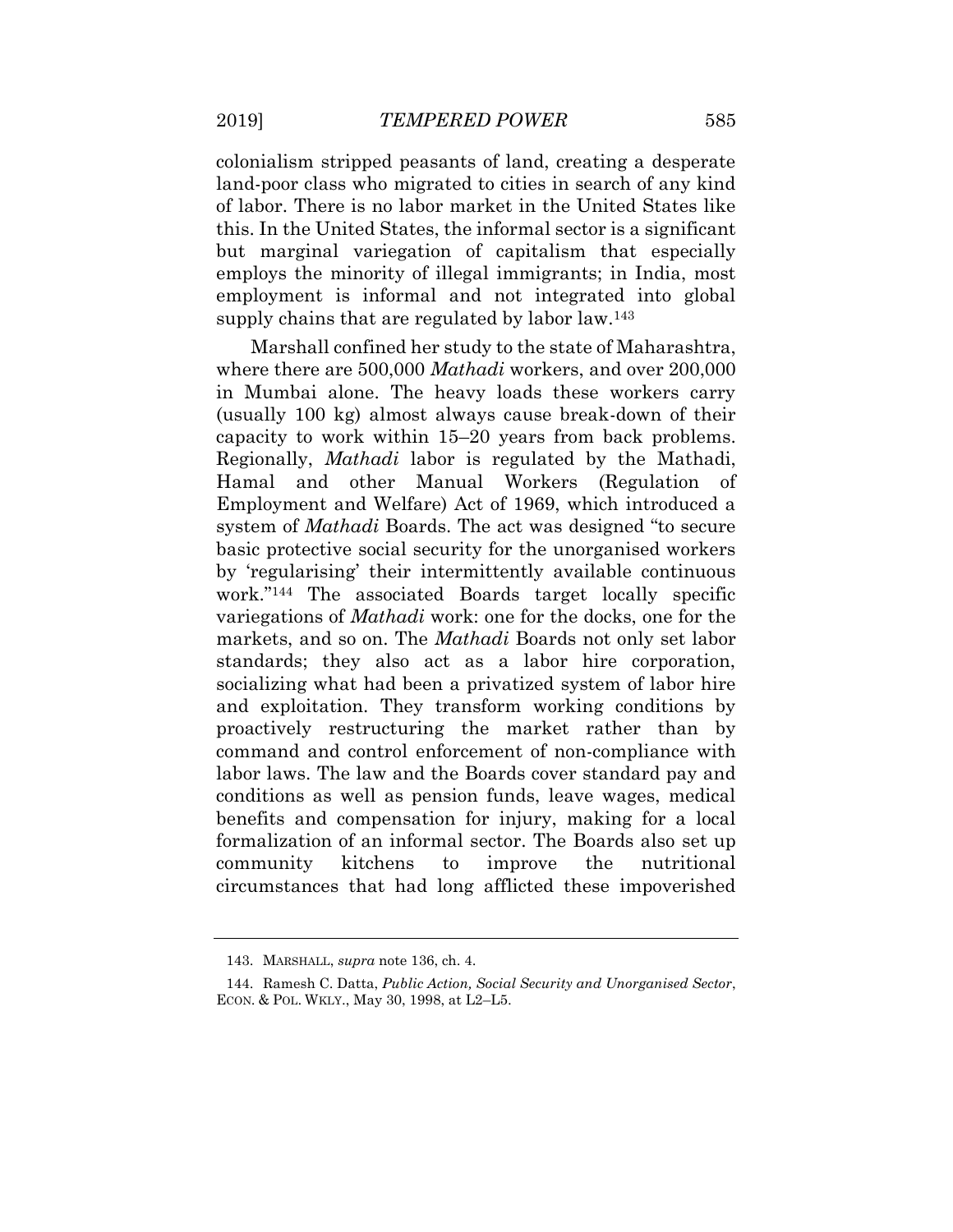colonialism stripped peasants of land, creating a desperate land-poor class who migrated to cities in search of any kind of labor. There is no labor market in the United States like this. In the United States, the informal sector is a significant but marginal variegation of capitalism that especially employs the minority of illegal immigrants; in India, most employment is informal and not integrated into global supply chains that are regulated by labor law.<sup>143</sup>

Marshall confined her study to the state of Maharashtra, where there are 500,000 *Mathadi* workers, and over 200,000 in Mumbai alone. The heavy loads these workers carry (usually 100 kg) almost always cause break-down of their capacity to work within 15–20 years from back problems. Regionally, *Mathadi* labor is regulated by the Mathadi, Hamal and other Manual Workers (Regulation of Employment and Welfare) Act of 1969, which introduced a system of *Mathadi* Boards. The act was designed "to secure basic protective social security for the unorganised workers by 'regularising' their intermittently available continuous work."<sup>144</sup> The associated Boards target locally specific variegations of *Mathadi* work: one for the docks, one for the markets, and so on. The *Mathadi* Boards not only set labor standards; they also act as a labor hire corporation, socializing what had been a privatized system of labor hire and exploitation. They transform working conditions by proactively restructuring the market rather than by command and control enforcement of non-compliance with labor laws. The law and the Boards cover standard pay and conditions as well as pension funds, leave wages, medical benefits and compensation for injury, making for a local formalization of an informal sector. The Boards also set up community kitchens to improve the nutritional circumstances that had long afflicted these impoverished

<sup>143.</sup> MARSHALL, *supra* note 136, ch. 4.

<sup>144.</sup> Ramesh C. Datta, *Public Action, Social Security and Unorganised Sector*, ECON. & POL. WKLY., May 30, 1998, at L2–L5.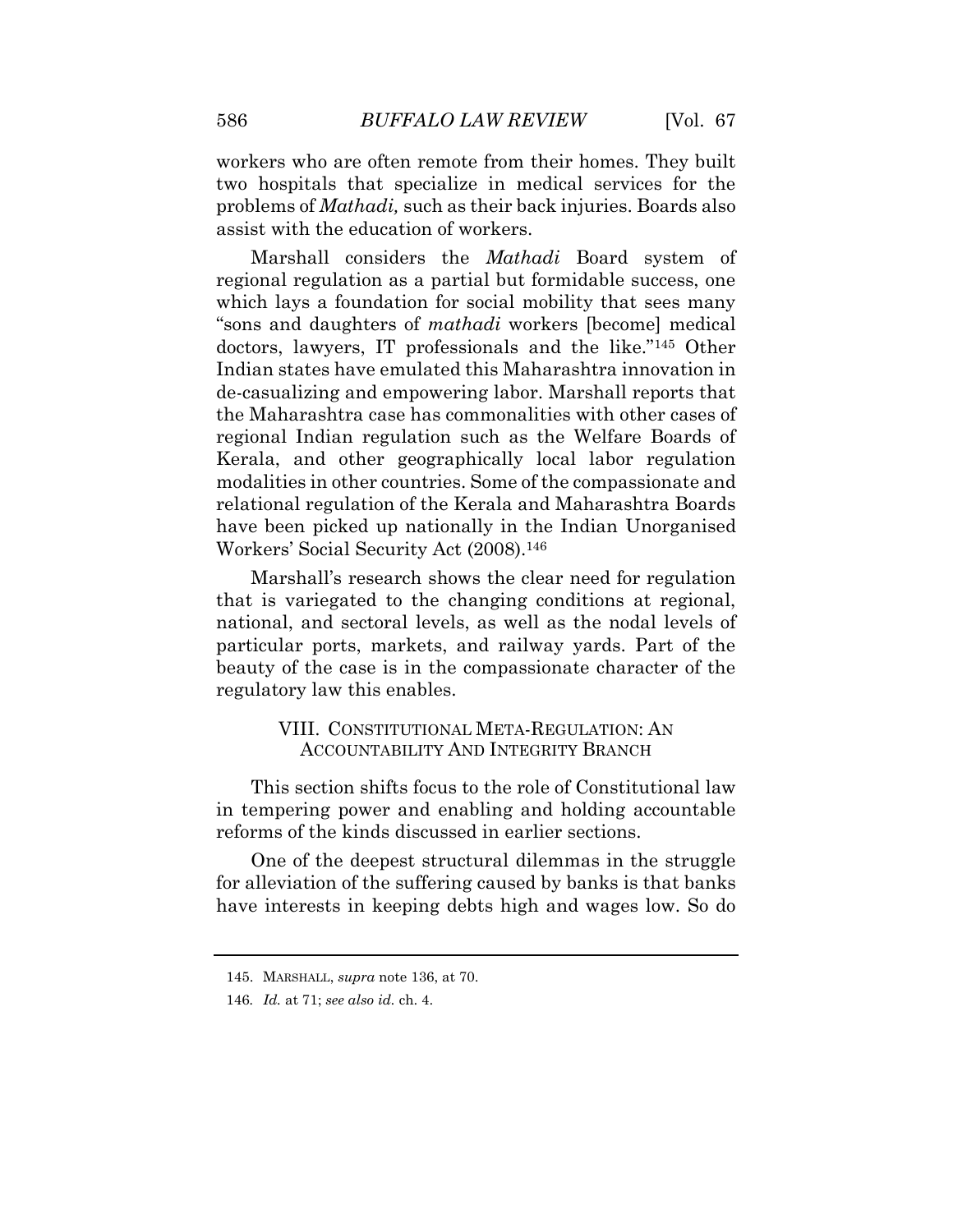workers who are often remote from their homes. They built two hospitals that specialize in medical services for the problems of *Mathadi,* such as their back injuries. Boards also assist with the education of workers.

Marshall considers the *Mathadi* Board system of regional regulation as a partial but formidable success, one which lays a foundation for social mobility that sees many "sons and daughters of *mathadi* workers [become] medical doctors, lawyers, IT professionals and the like."<sup>145</sup> Other Indian states have emulated this Maharashtra innovation in de-casualizing and empowering labor. Marshall reports that the Maharashtra case has commonalities with other cases of regional Indian regulation such as the Welfare Boards of Kerala, and other geographically local labor regulation modalities in other countries. Some of the compassionate and relational regulation of the Kerala and Maharashtra Boards have been picked up nationally in the Indian Unorganised Workers' Social Security Act (2008).<sup>146</sup>

Marshall's research shows the clear need for regulation that is variegated to the changing conditions at regional, national, and sectoral levels, as well as the nodal levels of particular ports, markets, and railway yards. Part of the beauty of the case is in the compassionate character of the regulatory law this enables.

# VIII. CONSTITUTIONAL META-REGULATION: AN ACCOUNTABILITY AND INTEGRITY BRANCH

This section shifts focus to the role of Constitutional law in tempering power and enabling and holding accountable reforms of the kinds discussed in earlier sections.

One of the deepest structural dilemmas in the struggle for alleviation of the suffering caused by banks is that banks have interests in keeping debts high and wages low. So do

<sup>145.</sup> MARSHALL, *supra* note 136, at 70.

<sup>146</sup>*. Id.* at 71; *see also id.* ch. 4.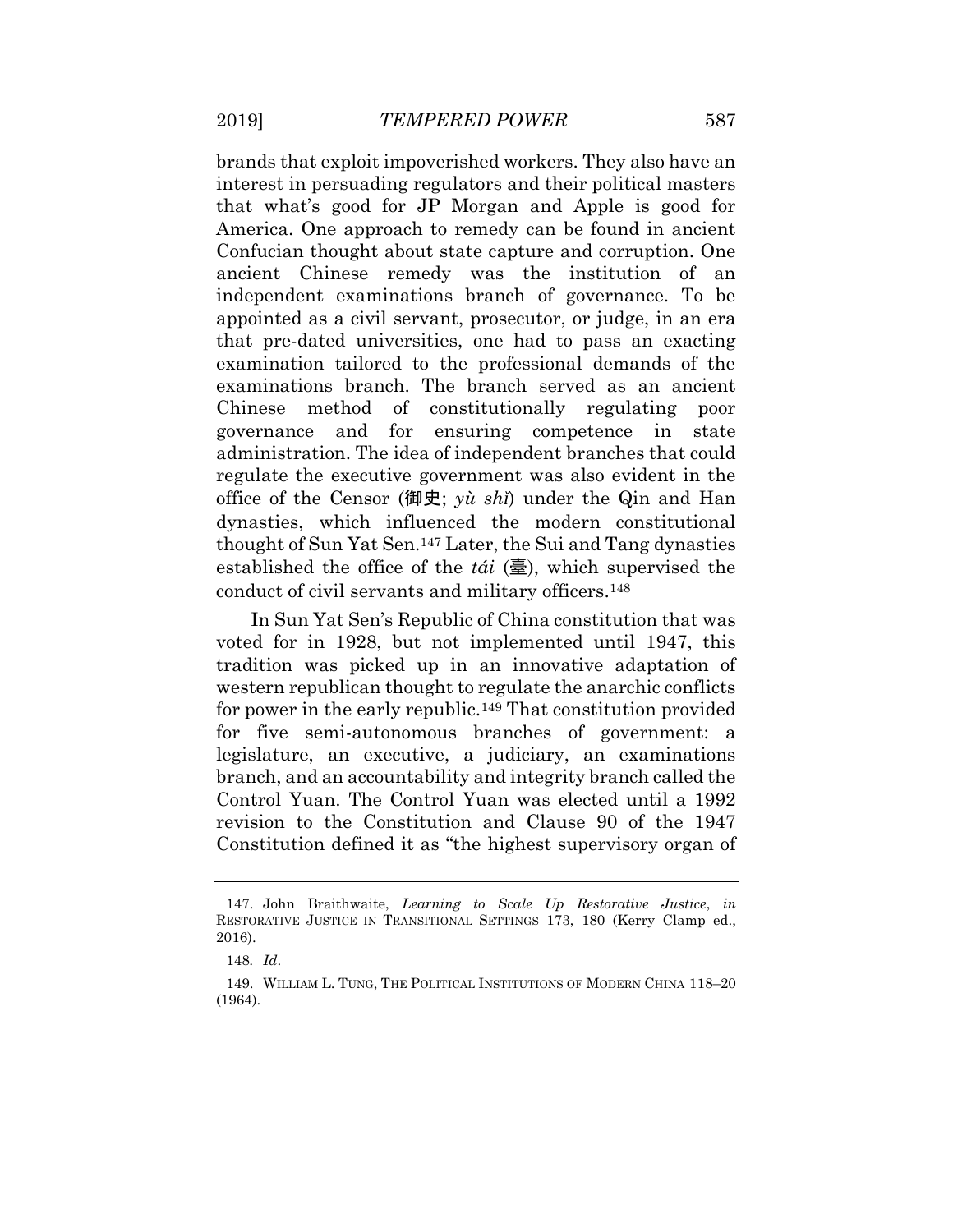brands that exploit impoverished workers. They also have an interest in persuading regulators and their political masters that what's good for JP Morgan and Apple is good for America. One approach to remedy can be found in ancient Confucian thought about state capture and corruption. One ancient Chinese remedy was the institution of an independent examinations branch of governance. To be appointed as a civil servant, prosecutor, or judge, in an era that pre-dated universities, one had to pass an exacting examination tailored to the professional demands of the examinations branch. The branch served as an ancient Chinese method of constitutionally regulating poor governance and for ensuring competence in state administration. The idea of independent branches that could regulate the executive government was also evident in the office of the Censor (御史; *yù shǐ*) under the Qin and Han dynasties, which influenced the modern constitutional thought of Sun Yat Sen.<sup>147</sup> Later, the Sui and Tang dynasties established the office of the *tái* (臺), which supervised the conduct of civil servants and military officers.<sup>148</sup>

In Sun Yat Sen's Republic of China constitution that was voted for in 1928, but not implemented until 1947, this tradition was picked up in an innovative adaptation of western republican thought to regulate the anarchic conflicts for power in the early republic.<sup>149</sup> That constitution provided for five semi-autonomous branches of government: a legislature, an executive, a judiciary, an examinations branch, and an accountability and integrity branch called the Control Yuan. The Control Yuan was elected until a 1992 revision to the Constitution and Clause 90 of the 1947 Constitution defined it as "the highest supervisory organ of

<sup>147.</sup> John Braithwaite, *Learning to Scale Up Restorative Justice*, *in*  RESTORATIVE JUSTICE IN TRANSITIONAL SETTINGS 173, 180 (Kerry Clamp ed., 2016).

<sup>148</sup>*. Id*.

<sup>149.</sup> WILLIAM L. TUNG, THE POLITICAL INSTITUTIONS OF MODERN CHINA 118–20 (1964).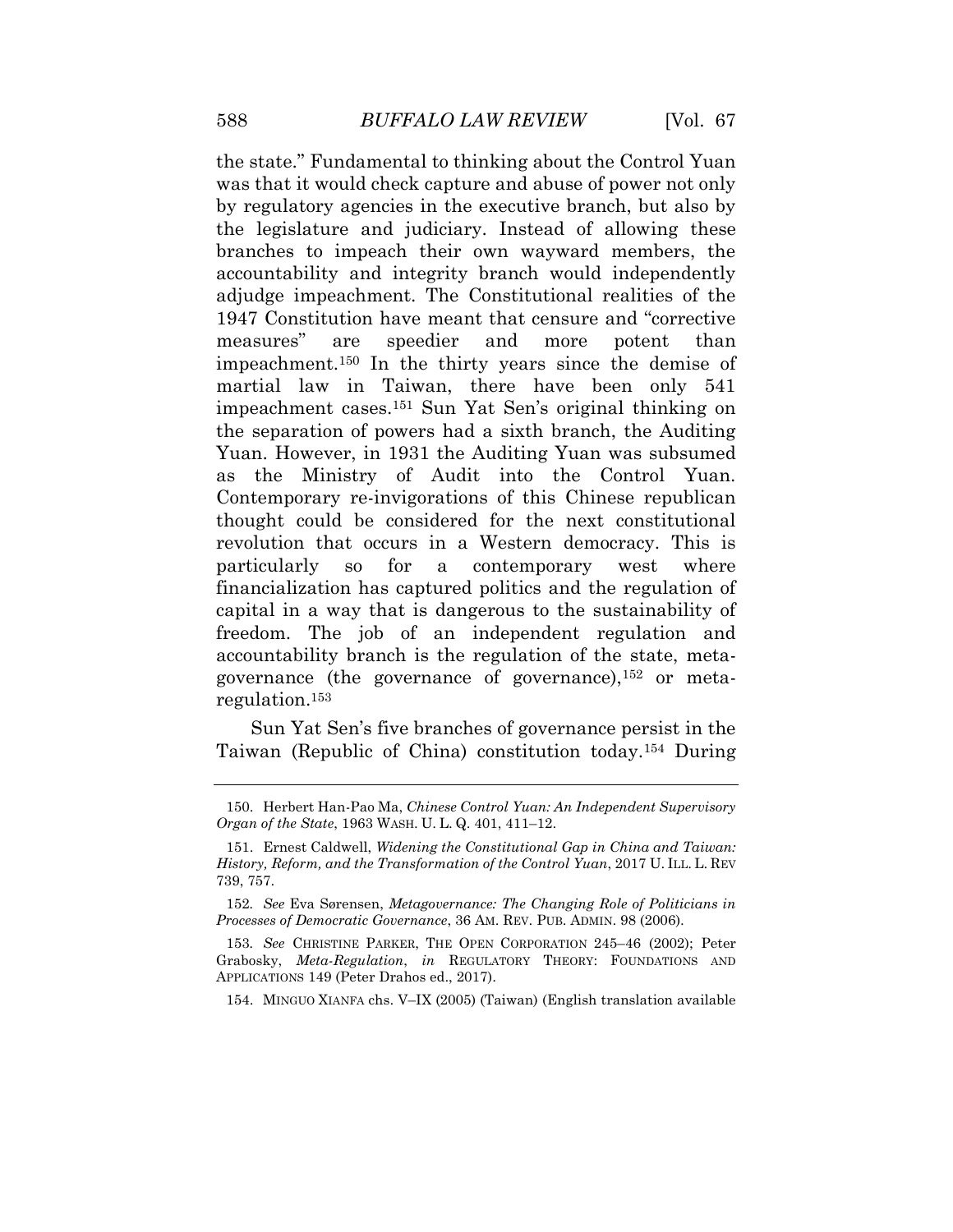the state." Fundamental to thinking about the Control Yuan was that it would check capture and abuse of power not only by regulatory agencies in the executive branch, but also by the legislature and judiciary. Instead of allowing these branches to impeach their own wayward members, the accountability and integrity branch would independently adjudge impeachment. The Constitutional realities of the 1947 Constitution have meant that censure and "corrective measures" are speedier and more potent than impeachment.<sup>150</sup> In the thirty years since the demise of martial law in Taiwan, there have been only 541 impeachment cases.<sup>151</sup> Sun Yat Sen's original thinking on the separation of powers had a sixth branch, the Auditing Yuan. However, in 1931 the Auditing Yuan was subsumed as the Ministry of Audit into the Control Yuan. Contemporary re-invigorations of this Chinese republican thought could be considered for the next constitutional revolution that occurs in a Western democracy. This is particularly so for a contemporary west where financialization has captured politics and the regulation of capital in a way that is dangerous to the sustainability of freedom. The job of an independent regulation and accountability branch is the regulation of the state, metagovernance (the governance of governance),<sup>152</sup> or metaregulation.<sup>153</sup>

Sun Yat Sen's five branches of governance persist in the Taiwan (Republic of China) constitution today.<sup>154</sup> During

<sup>150.</sup> Herbert Han-Pao Ma, *Chinese Control Yuan: An Independent Supervisory Organ of the State*, 1963 WASH. U. L. Q. 401, 411–12.

<sup>151.</sup> Ernest Caldwell, *Widening the Constitutional Gap in China and Taiwan: History, Reform, and the Transformation of the Control Yuan*, 2017 U. ILL. L. REV 739, 757.

<sup>152</sup>*. See* Eva Sørensen, *Metagovernance: The Changing Role of Politicians in Processes of Democratic Governance*, 36 AM. REV. PUB. ADMIN. 98 (2006).

<sup>153</sup>*. See* CHRISTINE PARKER, THE OPEN CORPORATION 245–46 (2002); Peter Grabosky, *Meta-Regulation*, *in* REGULATORY THEORY: FOUNDATIONS AND APPLICATIONS 149 (Peter Drahos ed., 2017).

<sup>154.</sup> MINGUO XIANFA chs. V–IX (2005) (Taiwan) (English translation available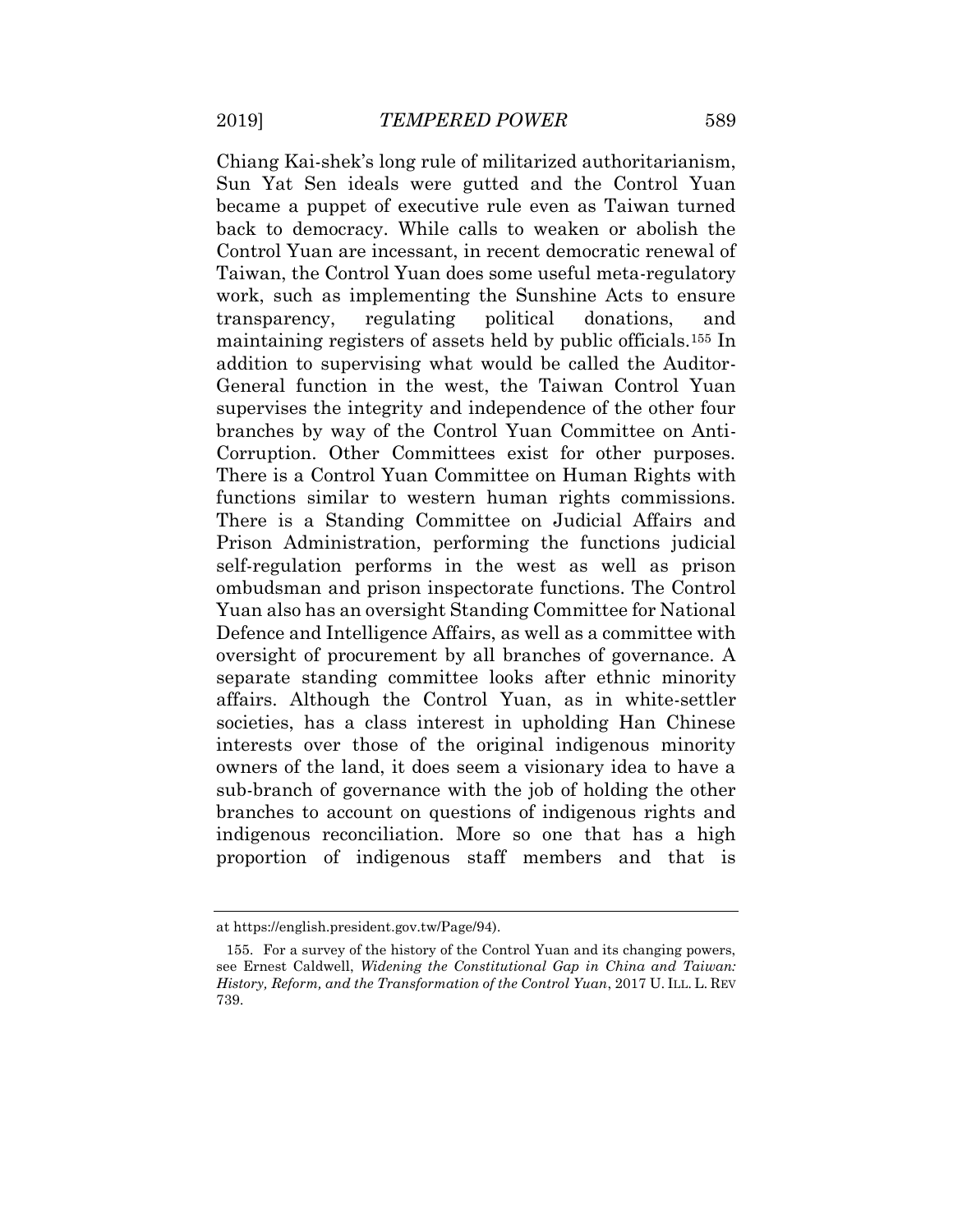Chiang Kai-shek's long rule of militarized authoritarianism, Sun Yat Sen ideals were gutted and the Control Yuan became a puppet of executive rule even as Taiwan turned back to democracy. While calls to weaken or abolish the Control Yuan are incessant, in recent democratic renewal of Taiwan, the Control Yuan does some useful meta-regulatory work, such as implementing the Sunshine Acts to ensure transparency, regulating political donations, and maintaining registers of assets held by public officials.<sup>155</sup> In addition to supervising what would be called the Auditor-General function in the west, the Taiwan Control Yuan supervises the integrity and independence of the other four branches by way of the Control Yuan Committee on Anti-Corruption. Other Committees exist for other purposes. There is a Control Yuan Committee on Human Rights with functions similar to western human rights commissions. There is a Standing Committee on Judicial Affairs and Prison Administration, performing the functions judicial self-regulation performs in the west as well as prison ombudsman and prison inspectorate functions. The Control Yuan also has an oversight Standing Committee for National Defence and Intelligence Affairs, as well as a committee with oversight of procurement by all branches of governance. A separate standing committee looks after ethnic minority affairs. Although the Control Yuan, as in white-settler societies, has a class interest in upholding Han Chinese interests over those of the original indigenous minority owners of the land, it does seem a visionary idea to have a sub-branch of governance with the job of holding the other branches to account on questions of indigenous rights and indigenous reconciliation. More so one that has a high proportion of indigenous staff members and that is

at https://english.president.gov.tw/Page/94).

<sup>155.</sup> For a survey of the history of the Control Yuan and its changing powers, see Ernest Caldwell, *Widening the Constitutional Gap in China and Taiwan: History, Reform, and the Transformation of the Control Yuan*, 2017 U. ILL. L. REV 739.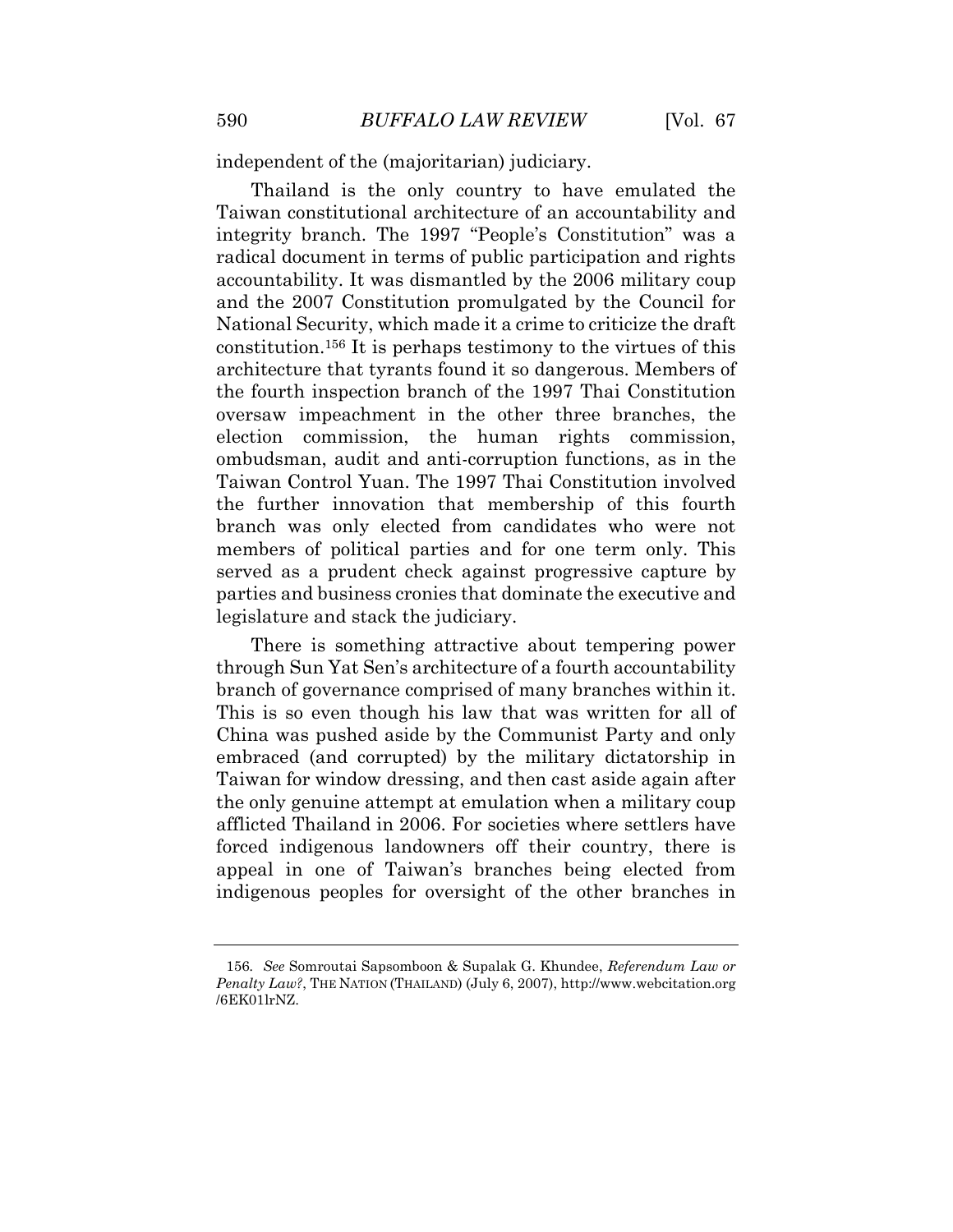independent of the (majoritarian) judiciary.

Thailand is the only country to have emulated the Taiwan constitutional architecture of an accountability and integrity branch. The 1997 "People's Constitution" was a radical document in terms of public participation and rights accountability. It was dismantled by the 2006 military coup and the 2007 Constitution promulgated by the Council for National Security, which made it a crime to criticize the draft constitution.<sup>156</sup> It is perhaps testimony to the virtues of this architecture that tyrants found it so dangerous. Members of the fourth inspection branch of the 1997 Thai Constitution oversaw impeachment in the other three branches, the election commission, the human rights commission, ombudsman, audit and anti-corruption functions, as in the Taiwan Control Yuan. The 1997 Thai Constitution involved the further innovation that membership of this fourth branch was only elected from candidates who were not members of political parties and for one term only. This served as a prudent check against progressive capture by parties and business cronies that dominate the executive and legislature and stack the judiciary.

There is something attractive about tempering power through Sun Yat Sen's architecture of a fourth accountability branch of governance comprised of many branches within it. This is so even though his law that was written for all of China was pushed aside by the Communist Party and only embraced (and corrupted) by the military dictatorship in Taiwan for window dressing, and then cast aside again after the only genuine attempt at emulation when a military coup afflicted Thailand in 2006. For societies where settlers have forced indigenous landowners off their country, there is appeal in one of Taiwan's branches being elected from indigenous peoples for oversight of the other branches in

<sup>156</sup>*. See* Somroutai Sapsomboon & Supalak G. Khundee, *Referendum Law or Penalty Law?*, THE NATION (THAILAND) (July 6, 2007), http://www.webcitation.org /6EK01lrNZ.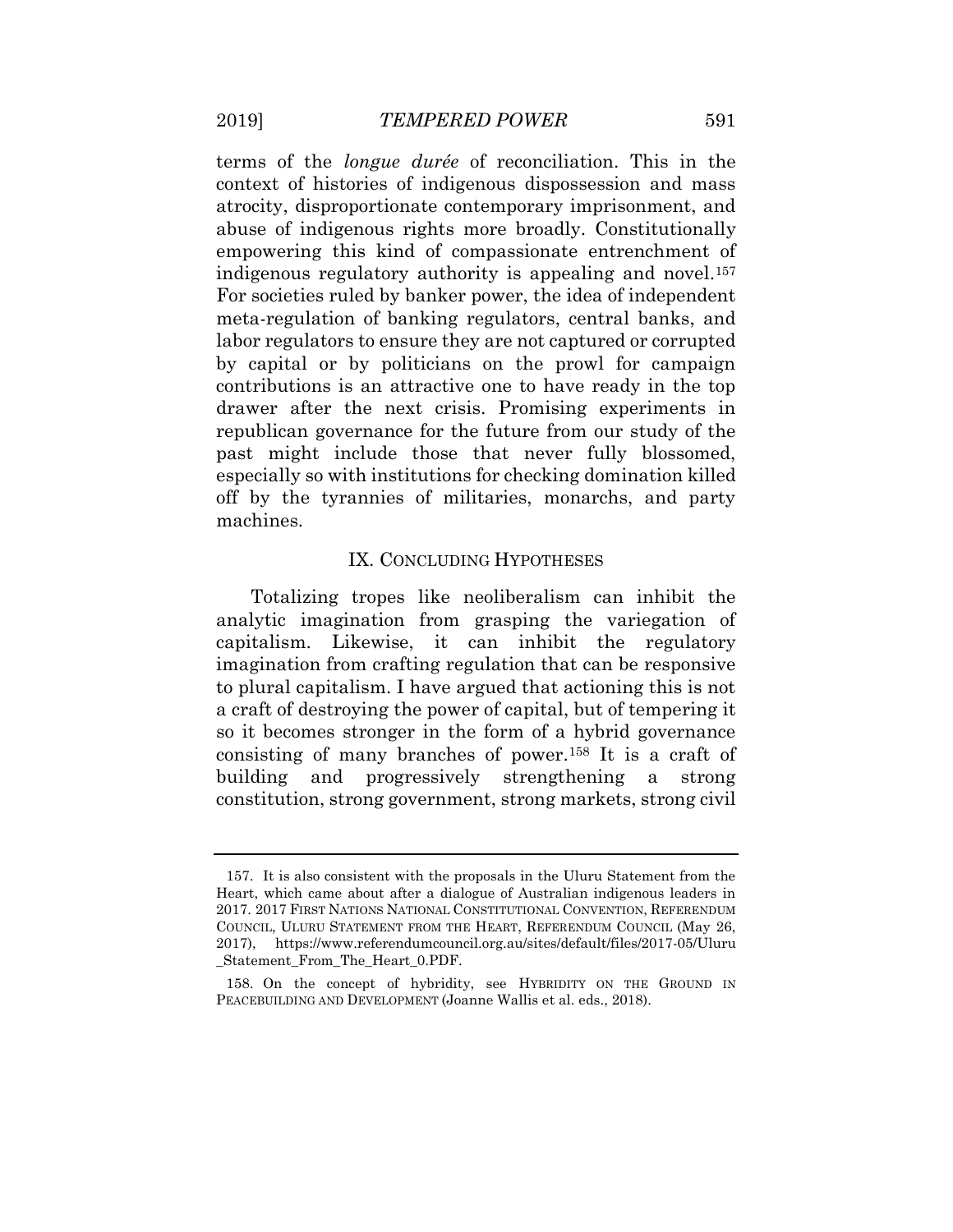terms of the *longue durée* of reconciliation. This in the context of histories of indigenous dispossession and mass atrocity, disproportionate contemporary imprisonment, and abuse of indigenous rights more broadly. Constitutionally empowering this kind of compassionate entrenchment of indigenous regulatory authority is appealing and novel.<sup>157</sup> For societies ruled by banker power, the idea of independent meta-regulation of banking regulators, central banks, and labor regulators to ensure they are not captured or corrupted by capital or by politicians on the prowl for campaign contributions is an attractive one to have ready in the top drawer after the next crisis. Promising experiments in republican governance for the future from our study of the past might include those that never fully blossomed, especially so with institutions for checking domination killed off by the tyrannies of militaries, monarchs, and party machines.

#### IX. CONCLUDING HYPOTHESES

Totalizing tropes like neoliberalism can inhibit the analytic imagination from grasping the variegation of capitalism. Likewise, it can inhibit the regulatory imagination from crafting regulation that can be responsive to plural capitalism. I have argued that actioning this is not a craft of destroying the power of capital, but of tempering it so it becomes stronger in the form of a hybrid governance consisting of many branches of power.<sup>158</sup> It is a craft of building and progressively strengthening a strong constitution, strong government, strong markets, strong civil

<sup>157.</sup> It is also consistent with the proposals in the Uluru Statement from the Heart, which came about after a dialogue of Australian indigenous leaders in 2017. 2017 FIRST NATIONS NATIONAL CONSTITUTIONAL CONVENTION, REFERENDUM COUNCIL, ULURU STATEMENT FROM THE HEART, REFERENDUM COUNCIL (May 26, 2017), https://www.referendumcouncil.org.au/sites/default/files/2017-05/Uluru \_Statement\_From\_The\_Heart\_0.PDF.

<sup>158.</sup> On the concept of hybridity, see HYBRIDITY ON THE GROUND IN PEACEBUILDING AND DEVELOPMENT (Joanne Wallis et al. eds., 2018).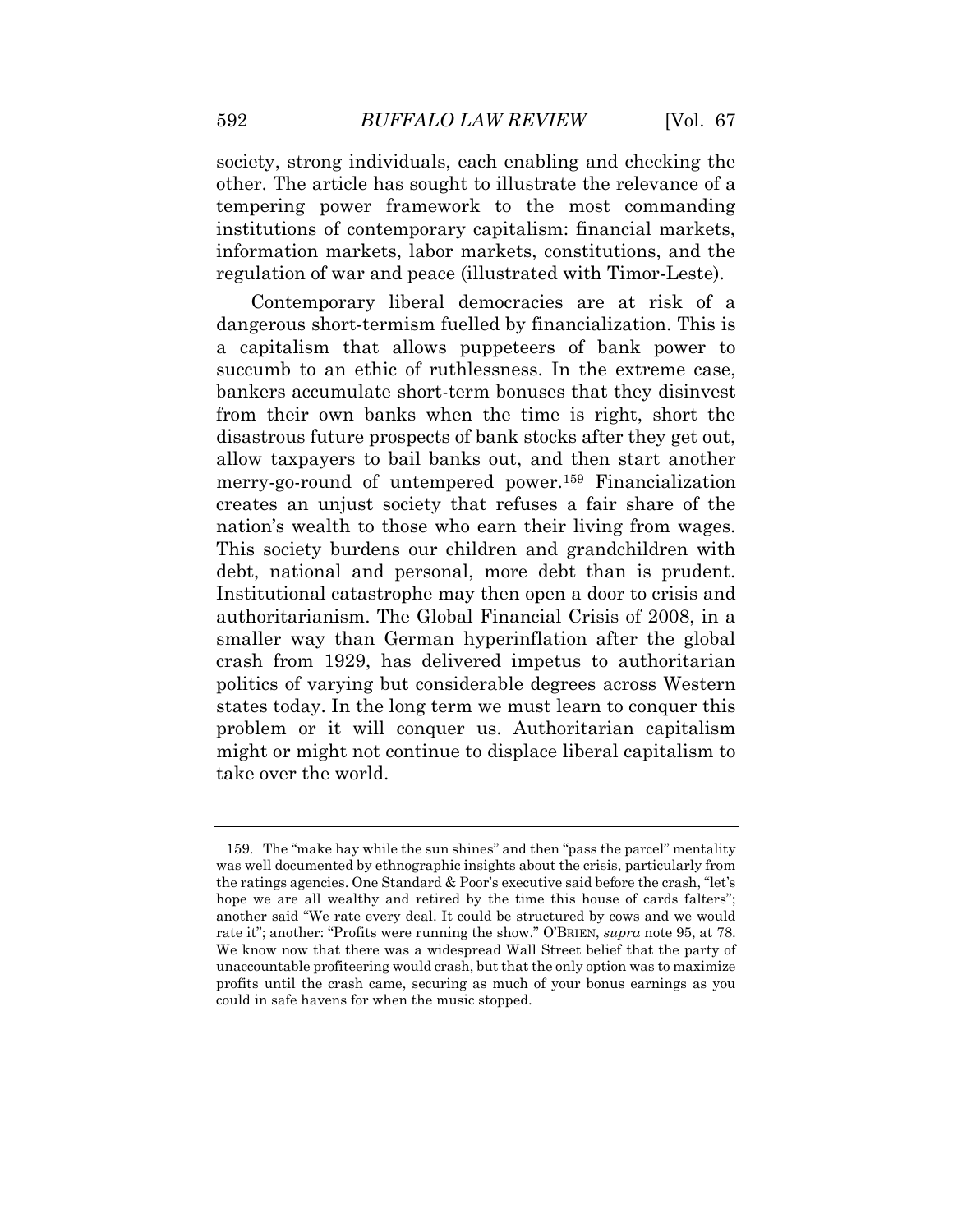society, strong individuals, each enabling and checking the other. The article has sought to illustrate the relevance of a tempering power framework to the most commanding institutions of contemporary capitalism: financial markets, information markets, labor markets, constitutions, and the regulation of war and peace (illustrated with Timor-Leste).

Contemporary liberal democracies are at risk of a dangerous short-termism fuelled by financialization. This is a capitalism that allows puppeteers of bank power to succumb to an ethic of ruthlessness. In the extreme case, bankers accumulate short-term bonuses that they disinvest from their own banks when the time is right, short the disastrous future prospects of bank stocks after they get out, allow taxpayers to bail banks out, and then start another merry-go-round of untempered power.<sup>159</sup> Financialization creates an unjust society that refuses a fair share of the nation's wealth to those who earn their living from wages. This society burdens our children and grandchildren with debt, national and personal, more debt than is prudent. Institutional catastrophe may then open a door to crisis and authoritarianism. The Global Financial Crisis of 2008, in a smaller way than German hyperinflation after the global crash from 1929, has delivered impetus to authoritarian politics of varying but considerable degrees across Western states today. In the long term we must learn to conquer this problem or it will conquer us. Authoritarian capitalism might or might not continue to displace liberal capitalism to take over the world.

<sup>159.</sup> The "make hay while the sun shines" and then "pass the parcel" mentality was well documented by ethnographic insights about the crisis, particularly from the ratings agencies. One Standard & Poor's executive said before the crash, "let's hope we are all wealthy and retired by the time this house of cards falters"; another said "We rate every deal. It could be structured by cows and we would rate it"; another: "Profits were running the show." O'BRIEN, *supra* note 95, at 78. We know now that there was a widespread Wall Street belief that the party of unaccountable profiteering would crash, but that the only option was to maximize profits until the crash came, securing as much of your bonus earnings as you could in safe havens for when the music stopped.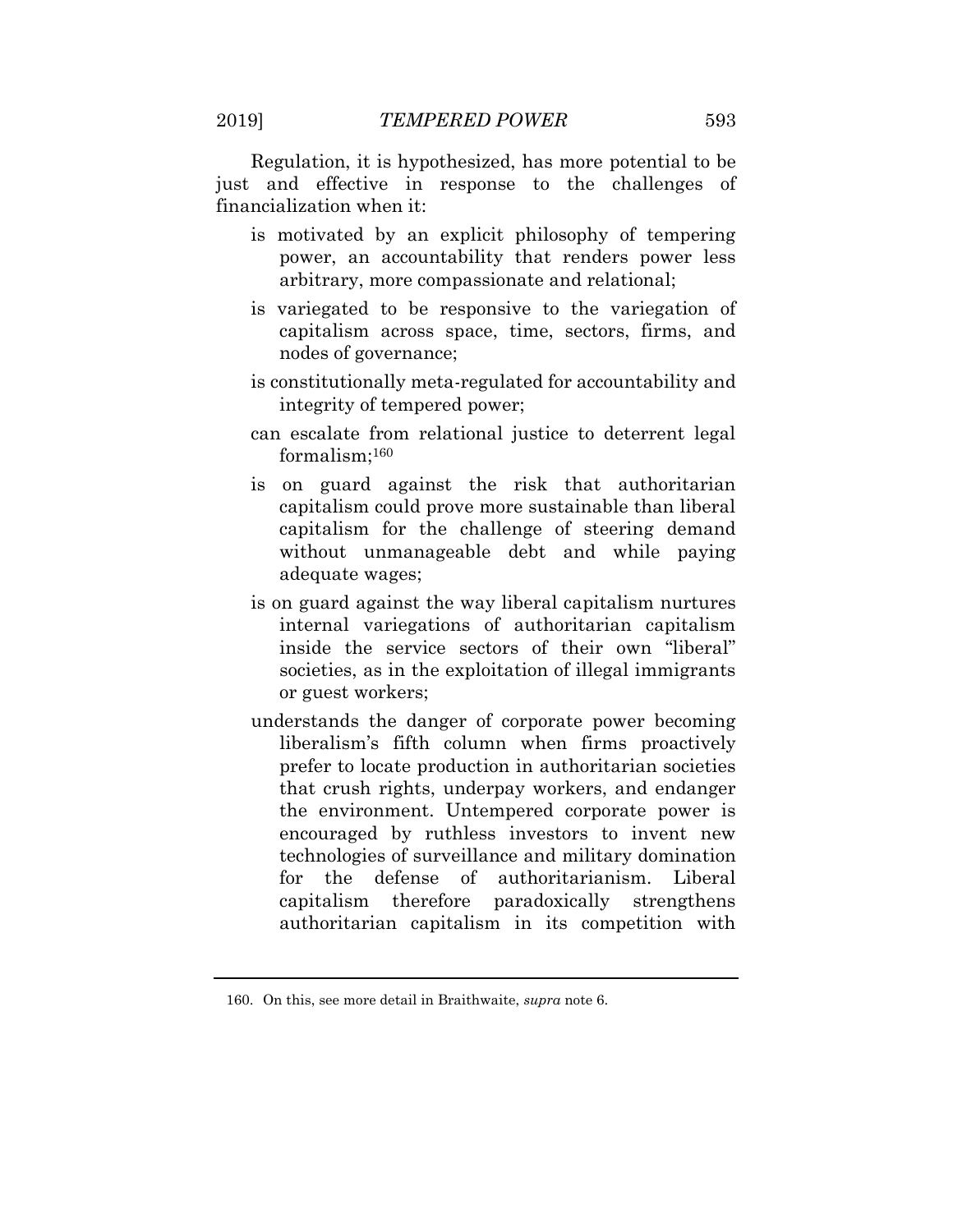Regulation, it is hypothesized, has more potential to be just and effective in response to the challenges of financialization when it:

- is motivated by an explicit philosophy of tempering power, an accountability that renders power less arbitrary, more compassionate and relational;
- is variegated to be responsive to the variegation of capitalism across space, time, sectors, firms, and nodes of governance;
- is constitutionally meta-regulated for accountability and integrity of tempered power;
- can escalate from relational justice to deterrent legal formalism;<sup>160</sup>
- is on guard against the risk that authoritarian capitalism could prove more sustainable than liberal capitalism for the challenge of steering demand without unmanageable debt and while paying adequate wages;
- is on guard against the way liberal capitalism nurtures internal variegations of authoritarian capitalism inside the service sectors of their own "liberal" societies, as in the exploitation of illegal immigrants or guest workers;
- understands the danger of corporate power becoming liberalism's fifth column when firms proactively prefer to locate production in authoritarian societies that crush rights, underpay workers, and endanger the environment. Untempered corporate power is encouraged by ruthless investors to invent new technologies of surveillance and military domination for the defense of authoritarianism. Liberal capitalism therefore paradoxically strengthens authoritarian capitalism in its competition with

<sup>160.</sup> On this, see more detail in Braithwaite, *supra* note 6.